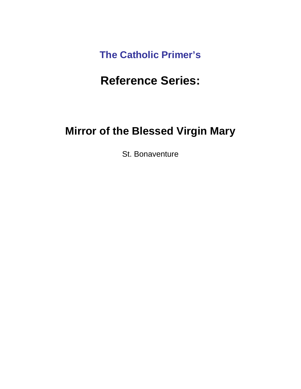**The Catholic Primer's** 

# **Reference Series:**

# **Mirror of the Blessed Virgin Mary**

St. Bonaventure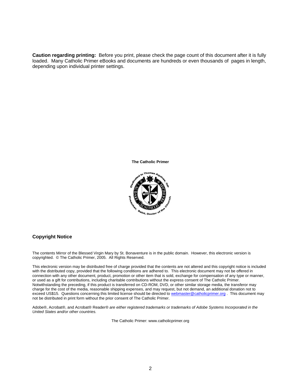**Caution regarding printing:** Before you print, please check the page count of this document after it is fully loaded. Many Catholic Primer eBooks and documents are hundreds or even thousands of pages in length, depending upon individual printer settings.

**The Catholic Primer** 



#### **Copyright Notice**

The contents Mirror of the Blessed Virgin Mary by St. Bonaventure is in the public domain. However, this electronic version is copyrighted. © The Catholic Primer, 2005. All Rights Reserved.

This electronic version may be distributed free of charge provided that the contents are not altered and this copyright notice is included with the distributed copy, provided that the following conditions are adhered to. This electronic document may not be offered in connection with any other document, product, promotion or other item that is sold, exchange for compensation of any type or manner, or used as a gift for contributions, including charitable contributions without the express consent of The Catholic Primer. Notwithstanding the preceding, if this product is transferred on CD-ROM, DVD, or other similar storage media, the transferor may charge for the cost of the media, reasonable shipping expenses, and may request, but not demand, an additional donation not to exceed US\$15. Questions concerning this limited license should be directed to [webmaster@catholicprimer.org](mailto:webmaster@catholicprimer.org) . This document may not be distributed in print form without the prior consent of The Catholic Primer.

Adobe®, Acrobat®, and Acrobat® Reader® *are either registered trademarks or trademarks of Adobe Systems Incorporated in the United States and/or other countries.*

The Catholic Primer: www.catholicprimer.org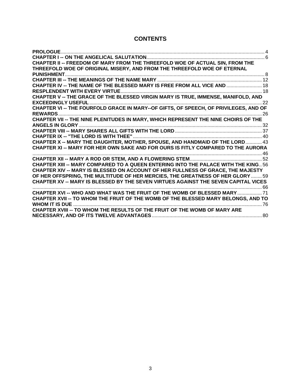# **CONTENTS**

| CHAPTER II -- FREEDOM OF MARY FROM THE THREEFOLD WOE OF ACTUAL SIN, FROM THE             |  |
|------------------------------------------------------------------------------------------|--|
| THREEFOLD WOE OF ORIGINAL MISERY, AND FROM THE THREEFOLD WOE OF ETERNAL                  |  |
|                                                                                          |  |
|                                                                                          |  |
| CHAPTER IV -- THE NAME OF THE BLESSED MARY IS FREE FROM ALL VICE AND  18                 |  |
|                                                                                          |  |
| CHAPTER V -- THE GRACE OF THE BLESSED VIRGIN MARY IS TRUE, IMMENSE, MANIFOLD, AND        |  |
|                                                                                          |  |
|                                                                                          |  |
|                                                                                          |  |
| CHAPTER VII -- THE NINE PLENITUDES IN MARY, WHICH REPRESENT THE NINE CHOIRS OF THE       |  |
|                                                                                          |  |
|                                                                                          |  |
|                                                                                          |  |
| CHAPTER X -- MARY THE DAUGHTER, MOTHER, SPOUSE, AND HANDMAID OF THE LORD 43              |  |
| CHAPTER XI -- MARY FOR HER OWN SAKE AND FOR OURS IS FITLY COMPARED TO THE AURORA         |  |
|                                                                                          |  |
|                                                                                          |  |
| <b>CHAPTER XIII -- MARY COMPARED TO A QUEEN ENTERING INTO THE PALACE WITH THE KING56</b> |  |
| CHAPTER XIV -- MARY IS BLESSED ON ACCOUNT OF HER FULLNESS OF GRACE, THE MAJESTY          |  |
| OF HER OFFSPRING, THE MULTITUDE OF HER MERCIES, THE GREATNESS OF HER GLORY  59           |  |
| CHAPTER XV -- MARY IS BLESSED BY THE SEVEN VIRTUES AGAINST THE SEVEN CAPITAL VICES       |  |
|                                                                                          |  |
| CHAPTER XVI -- WHO AND WHAT WAS THE FRUIT OF THE WOMB OF BLESSED MARY  71                |  |
| CHAPTER XVII -- TO WHOM THE FRUIT OF THE WOMB OF THE BLESSED MARY BELONGS, AND TO        |  |
|                                                                                          |  |
| CHAPTER XVIII -- TO WHOM THE RESULTS OF THE FRUIT OF THE WOMB OF MARY ARE                |  |
|                                                                                          |  |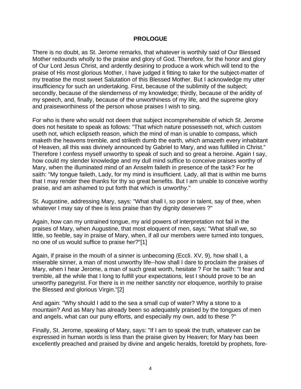#### **PROLOGUE**

<span id="page-3-0"></span>There is no doubt, as St. Jerome remarks, that whatever is worthily said of Our Blessed Mother redounds wholly to the praise and glory of God. Therefore, for the honor and glory of Our Lord Jesus Christ, and ardently desiring to produce a work which will tend to the praise of His most glorious Mother, I have judged it fitting to take for the subject-matter of my treatise the most sweet Salutation of this Blessed Mother. But I acknowledge my utter insufficiency for such an undertaking. First, because of the sublimity of the subject; secondly, because of the slenderness of my knowledge; thirdly, because of the aridity of my speech, and, finally, because of the unworthiness of my life, and the supreme glory and praiseworthiness of the person whose praises I wish to sing.

For who is there who would not deem that subject incomprehensible of which St. Jerome does not hesitate to speak as follows: "That which nature possesseth not, which custom useth not, which eclipseth reason, which the mind of man is unable to compass, which maketh the heavens tremble, and striketh dumb the earth, which amazeth every inhabitant of Heaven, all this was divinely announced by Gabriel to Mary, and was fulfilled in Christ." Therefore I confess myself unworthy to speak of such and so great a heroine. Again I say, how could my slender knowledge and my dull mind suffice to conceive praises worthy of Mary, when the illuminated mind of an Anselm faileth in presence of the task? For he saith: "My tongue faileth, Lady, for my mind is insufficient. Lady, all that is within me burns that I may render thee thanks for thy so great benefits. But I am unable to conceive worthy praise, and am ashamed to put forth that which is unworthy."

St. Augustine, addressing Mary, says: "What shall I, so poor in talent, say of thee, when whatever I may say of thee is less praise than thy dignity deserves ?"

Again, how can my untrained tongue, my arid powers of interpretation not fail in the praises of Mary, when Augustine, that most eloquent of men, says: "What shall we, so little, so feeble, say in praise of Mary, when, if all our members were turned into tongues, no one of us would suffice to praise her?"[1]

Again, if praise in the mouth of a sinner is unbecoming (Eccli. XV, 9), how shall I, a miserable sinner, a man of most unworthy life--how shall I dare to proclaim the praises of Mary, when I hear Jerome, a man of such great worth, hesitate ? For he saith: "I fear and tremble, all the while that I long to fulfill your expectations, lest I should prove to be an unworthy panegyrist. For there is in me neither sanctity nor eloquence, worthily to praise the Blessed and glorious Virgin."[2]

And again: "Why should I add to the sea a small cup of water? Why a stone to a mountain? And as Mary has already been so adequately praised by the tongues of men and angels, what can our puny efforts, and especially my own, add to these ?"

Finally, St. Jerome, speaking of Mary, says: "If I am to speak the truth, whatever can be expressed in human words is less than the praise given by Heaven; for Mary has been excellently preached and praised by divine and angelic heralds, foretold by prophets, fore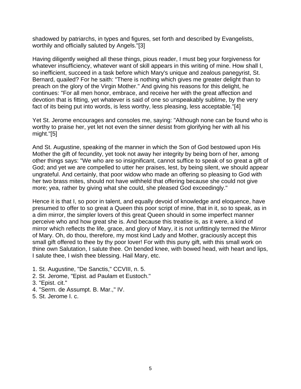shadowed by patriarchs, in types and figures, set forth and described by Evangelists, worthily and officially saluted by Angels."[3]

Having diligently weighed all these things, pious reader, I must beg your forgiveness for whatever insufficiency, whatever want of skill appears in this writing of mine. How shall I, so inefficient, succeed in a task before which Mary's unique and zealous panegyrist, St. Bernard, quailed? For he saith: "There is nothing which gives me greater delight than to preach on the glory of the Virgin Mother." And giving his reasons for this delight, he continues: "For all men honor, embrace, and receive her with the great affection and devotion that is fitting, yet whatever is said of one so unspeakably sublime, by the very fact of its being put into words, is less worthy, less pleasing, less acceptable."[4]

Yet St. Jerome encourages and consoles me, saying: "Although none can be found who is worthy to praise her, yet let not even the sinner desist from glorifying her with all his might."[5]

And St. Augustine, speaking of the manner in which the Son of God bestowed upon His Mother the gift of fecundity, yet took not away her integrity by being born of her, among other things says: "We who are so insignificant, cannot suffice to speak of so great a gift of God; and yet we are compelled to utter her praises, lest, by being silent, we should appear ungrateful. And certainly, that poor widow who made an offering so pleasing to God with her two brass mites, should not have withheld that offering because she could not give more; yea, rather by giving what she could, she pleased God exceedingly."

Hence it is that I, so poor in talent, and equally devoid of knowledge and eloquence, have presumed to offer to so great a Queen this poor script of mine, that in it, so to speak, as in a dim mirror, the simpler lovers of this great Queen should in some imperfect manner perceive who and how great she is. And because this treatise is, as it were, a kind of mirror which reflects the life, grace, and glory of Mary, it is not unfittingly termed the Mirror of Mary. Oh, do thou, therefore, my most kind Lady and Mother, graciously accept this small gift offered to thee by thy poor lover! For with this puny gift, with this small work on thine own Salutation, I salute thee. On bended knee, with bowed head, with heart and lips, I salute thee, I wish thee blessing. Hail Mary, etc.

- 1. St. Augustine, "De Sanctis," CCVIII, n. 5.
- 2. St. Jerome, "Epist. ad Paulam et Eustoch."
- 3. "Epist. cit."
- 4. "Serm. de Assumpt. B. Mar.," IV.
- 5. St. Jerome I. c.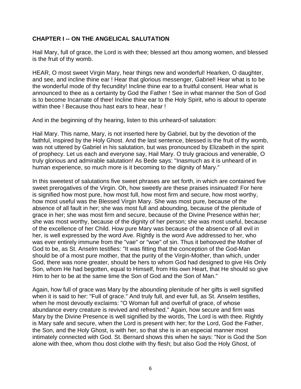# <span id="page-5-0"></span>**CHAPTER I -- ON THE ANGELICAL SALUTATION**

Hail Mary, full of grace, the Lord is with thee; blessed art thou among women, and blessed is the fruit of thy womb.

HEAR, O most sweet Virgin Mary, hear things new and wonderful! Hearken, O daughter, and see, and incline thine ear ! Hear that glorious messenger, Gabriel! Hear what is to be the wonderful mode of thy fecundity! Incline thine ear to a fruitful consent. Hear what is announced to thee as a certainty by God the Father ! See in what manner the Son of God is to become Incarnate of thee! Incline thine ear to the Holy Spirit, who is about to operate within thee ! Because thou hast ears to hear, hear !

And in the beginning of thy hearing, listen to this unheard-of salutation:

Hail Mary. This name, Mary, is not inserted here by Gabriel, but by the devotion of the faithful, inspired by the Holy Ghost. And the last sentence, blessed is the fruit of thy womb, was not uttered by Gabriel in his salutation, but was pronounced by Elizabeth in the spirit of prophecy. Let us each and everyone say, Hail Mary. O truly gracious and venerable, O truly glorious and admirable salutation! As Bede says: "Inasmuch as it is unheard of in human experience, so much more is it becoming to the dignity of Mary."

In this sweetest of salutations five sweet phrases are set forth, in which are contained five sweet prerogatives of the Virgin. Oh, how sweetly are these praises insinuated! For here is signified how most pure, how most full, how most firm and secure, how most worthy, how most useful was the Blessed Virgin Mary. She was most pure, because of the absence of all fault in her; she was most full and abounding, because of the plenitude of grace in her; she was most firm and secure, because of the Divine Presence within her; she was most worthy, because of the dignity of her person; she was most useful, because of the excellence of her Child. How pure Mary was because of the absence of all evil in her, is well expressed by the word Ave. Rightly is the word Ave addressed to her, who was ever entirely immune from the "vae" or "woe" of sin. Thus it behooved the Mother of God to be, as St. Anselm testifies: "It was fitting that the conception of the God-Man should be of a most pure mother, that the purity of the Virgin-Mother, than which, under God, there was none greater, should be hers to whom God had designed to give His Only Son, whom He had begotten, equal to Himself, from His own Heart, that He should so give Him to her to be at the same time the Son of God and the Son of Man."

Again, how full of grace was Mary by the abounding plenitude of her gifts is well signified when it is said to her: "Full of grace." And truly full, and ever full, as St. Anselm testifies, when he most devoutly exclaims: "O Woman full and overfull of grace, of whose abundance every creature is revived and refreshed." Again, how secure and firm was Mary by the Divine Presence is well signified by the words, The Lord is with thee. Rightly is Mary safe and secure, when the Lord is present with her; for the Lord, God the Father, the Son, and the Holy Ghost, is with her, so that she is in an especial manner most intimately connected with God. St. Bernard shows this when he says: "Nor is God the Son alone with thee, whom thou dost clothe with thy flesh; but also God the Holy Ghost, of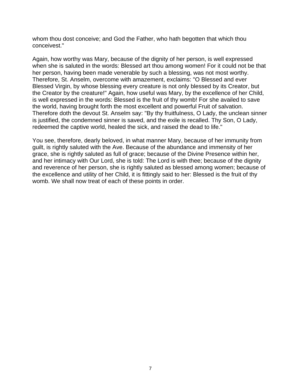whom thou dost conceive; and God the Father, who hath begotten that which thou conceivest."

Again, how worthy was Mary, because of the dignity of her person, is well expressed when she is saluted in the words: Blessed art thou among women! For it could not be that her person, having been made venerable by such a blessing, was not most worthy. Therefore, St. Anselm, overcome with amazement, exclaims: "O Blessed and ever Blessed Virgin, by whose blessing every creature is not only blessed by its Creator, but the Creator by the creature!" Again, how useful was Mary, by the excellence of her Child, is well expressed in the words: Blessed is the fruit of thy womb! For she availed to save the world, having brought forth the most excellent and powerful Fruit of salvation. Therefore doth the devout St. Anselm say: "By thy fruitfulness, O Lady, the unclean sinner is justified, the condemned sinner is saved, and the exile is recalled. Thy Son, O Lady, redeemed the captive world, healed the sick, and raised the dead to life."

You see, therefore, dearly beloved, in what manner Mary, because of her immunity from guilt, is rightly saluted with the Ave. Because of the abundance and immensity of her grace, she is rightly saluted as full of grace; because of the Divine Presence within her, and her intimacy with Our Lord, she is told: The Lord is with thee; because of the dignity and reverence of her person, she is rightly saluted as blessed among women; because of the excellence and utility of her Child, it is fittingly said to her: Blessed is the fruit of thy womb. We shall now treat of each of these points in order.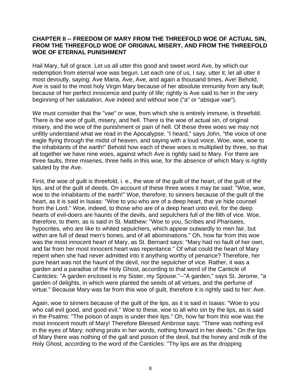### <span id="page-7-0"></span>**CHAPTER II -- FREEDOM OF MARY FROM THE THREEFOLD WOE OF ACTUAL SIN, FROM THE THREEFOLD WOE OF ORIGINAL MISERY, AND FROM THE THREEFOLD WOE OF ETERNAL PUNISHMENT**

Hail Mary, full of grace. Let us all utter this good and sweet word Ave, by which our redemption from eternal woe was begun. Let each one of us, I say, utter it; let all utter it most devoutly, saying: Ave Maria, Ave, Ave, and again a thousand times, Ave! Behold, Ave is said to the most holy Virgin Mary because of her absolute immunity from any fault; because of her perfect innocence and purity of life; rightly is Ave said to her in the very beginning of her salutation, Ave indeed and without woe ("a" or "absque vae").

We must consider that the "vae" or woe, from which she is entirely immune, is threefold. There is the woe of guilt, misery, and hell. There is the woe of actual sin, of original misery, and the woe of the punishment or pain of hell. Of these three woes we may not unfitly understand what we read in the Apocalypse. "I heard," says John, "the voice of one eagle flying through the midst of heaven, and saying with a loud voice, Woe, woe, woe to the inhabitants of the earth!" Behold how each of these woes is multiplied by three, so that all together we have nine woes, against which Ave is rightly said to Mary. For there are three faults, three miseries, three hells in this woe, for the absence of which Mary is rightly saluted by the Ave.

First, the woe of guilt is threefold, i. e., the woe of the guilt of the heart, of the guilt of the lips, and of the guilt of deeds. On account of these three woes it may be said: "Woe, woe, woe to the inhabitants of the earth!" Woe, therefore, to sinners because of the guilt of the heart, as it is said in Isaias: "Woe to you who are of a deep heart, that ye hide counsel from the Lord." Woe, indeed, to those who are of a deep heart unto evil, for the deep hearts of evil-doers are haunts of the devils, and sepulchers full of the filth of vice. Woe, therefore, to them, as is said in St. Matthew: "Woe to you, Scribes and Pharisees, hypocrites, who are like to whited sepulchers, which appear outwardly to men fair, but within are full of dead men's bones, and of all abominations." Oh, how far from this woe was the most innocent heart of Mary, as St. Bernard says: "Mary had no fault of her own, and far from her most innocent heart was repentance." Of what could the heart of Mary repent when she had never admitted into it anything worthy of penance? Therefore, her pure heart was not the haunt of the devil, nor the sepulcher of vice. Rather, it was a garden and a paradise of the Holy Ghost, according to that word of the Canticle of Canticles: "A garden enclosed is my Sister, my Spouse."--"A garden," says St. Jerome, "a garden of delights, in which were planted the seeds of all virtues, and the perfume of virtue." Because Mary was far from this woe of guilt, therefore it is rightly said to her: Ave.

Again, woe to sinners because of the guilt of the lips, as it is said in Isaias: "Woe to you who call evil good, and good evil." Woe to these, woe to all who sin by the lips, as is said in the Psalms: "The poison of asps is under their lips." Oh, how far from this woe was the most innocent mouth of Mary! Therefore Blessed Ambrose says: "There was nothing evil in the eyes of Mary; nothing prolix in her words, nothing forward in her deeds." On the lips of Mary there was nothing of the gall and poison of the devil, but the honey and milk of the Holy Ghost, according to the word of the Canticles: "Thy lips are as the dropping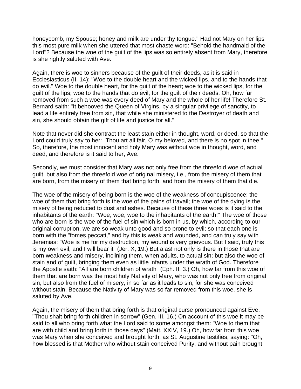honeycomb, my Spouse; honey and milk are under thy tongue." Had not Mary on her lips this most pure milk when she uttered that most chaste word: "Behold the handmaid of the Lord"? Because the woe of the guilt of the lips was so entirely absent from Mary, therefore is she rightly saluted with Ave.

Again, there is woe to sinners because of the guilt of their deeds, as it is said in Ecclesiasticus (II, 14): "Woe to the double heart and the wicked lips, and to the hands that do evil." Woe to the double heart, for the guilt of the heart; woe to the wicked lips, for the guilt of the lips; woe to the hands that do evil, for the guilt of their deeds. Oh, how far removed from such a woe was every deed of Mary and the whole of her life! Therefore St. Bernard saith: "It behooved the Queen of Virgins, by a singular privilege of sanctity, to lead a life entirely free from sin, that while she ministered to the Destroyer of death and sin, she should obtain the gift of life and justice for all."

Note that never did she contract the least stain either in thought, word, or deed, so that the Lord could truly say to her: "Thou art all fair, O my beloved, and there is no spot in thee." So, therefore, the most innocent and holy Mary was without woe in thought, word, and deed, and therefore is it said to her, Ave.

Secondly, we must consider that Mary was not only free from the threefold woe of actual guilt, but also from the threefold woe of original misery, i.e., from the misery of them that are born, from the misery of them that bring forth, and from the misery of them that die.

The woe of the misery of being born is the woe of the weakness of concupiscence; the woe of them that bring forth is the woe of the pains of travail; the woe of the dying is the misery of being reduced to dust and ashes. Because of these three woes is it said to the inhabitants of the earth: "Woe, woe, woe to the inhabitants of the earth!" The woe of those who are born is the woe of the fuel of sin which is born in us, by which, according to our original corruption, we are so weak unto good and so prone to evil; so that each one is born with the "fomes peccati," and by this is weak and wounded, and can truly say with Jeremias: "Woe is me for my destruction, my wound is very grievous. But I said, truly this is my own evil, and I will bear it" (Jer. X, 19.) But alas! not only is there in those that are born weakness and misery, inclining them, when adults, to actual sin; but also the woe of stain and of guilt, bringing them even as little infants under the wrath of God. Therefore the Apostle saith: "All are born children of wrath" (Eph. II, 3.) Oh, how far from this woe of them that are born was the most holy Nativity of Mary, who was not only free from original sin, but also from the fuel of misery, in so far as it leads to sin, for she was conceived without stain. Because the Nativity of Mary was so far removed from this woe, she is saluted by Ave.

Again, the misery of them that bring forth is that original curse pronounced against Eve, "Thou shalt bring forth children in sorrow" (Gen. III, 16.) On account of this woe it may be said to all who bring forth what the Lord said to some amongst them: "Woe to them that are with child and bring forth in those days" (Matt. XXIV, 19.) Oh, how far from this woe was Mary when she conceived and brought forth, as St. Augustine testifies, saying: "Oh, how blessed is that Mother who without stain conceived Purity, and without pain brought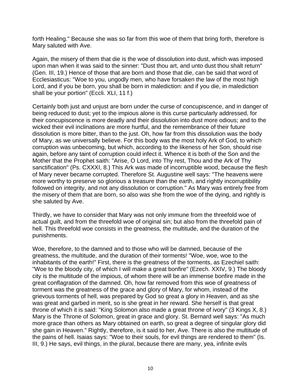forth Healing." Because she was so far from this woe of them that bring forth, therefore is Mary saluted with Ave.

Again, the misery of them that die is the woe of dissolution into dust, which was imposed upon man when it was said to the sinner: "Dust thou art, and unto dust thou shalt return" (Gen. III, 19.) Hence of those that are born and those that die, can be said that word of Ecclesiasticus: "Woe to you, ungodly men, who have forsaken the law of the most high Lord, and if you be born, you shall be born in malediction: and if you die, in malediction shall be your portion" (Eccli. XLI, 11 f.)

Certainly both just and unjust are born under the curse of concupiscence, and in danger of being reduced to dust; yet to the impious alone is this curse particularly addressed, for their concupiscence is more deadly and their dissolution into dust more odious; and to the wicked their evil inclinations are more hurtful, and the remembrance of their future dissolution is more bitter, than to the just. Oh, how far from this dissolution was the body of Mary, as we universally believe. For this body was the most holy Ark of God, to which corruption was unbecoming, but which, according to the likeness of her Son, should rise again, before any taint of corruption could infect it. Whence it is both of the Son and the Mother that the Prophet saith: "Arise, O Lord, into Thy rest, Thou and the Ark of Thy sanctification" (Ps. CXXXI, 8.) This Ark was made of incorruptible wood, because the flesh of Mary never became corrupted. Therefore St. Augustine well says: "The heavens were more worthy to preserve so glorious a treasure than the earth, and rightly incorruptibility followed on integrity, and not any dissolution or corruption." As Mary was entirely free from the misery of them that are born, so also was she from the woe of the dying, and rightly is she saluted by Ave.

Thirdly, we have to consider that Mary was not only immune from the threefold woe of actual guilt, and from the threefold woe of original sin; but also from the threefold pain of hell. This threefold woe consists in the greatness, the multitude, and the duration of the punishments.

Woe, therefore, to the damned and to those who will be damned, because of the greatness, the multitude, and the duration of their torments! "Woe, woe, woe to the inhabitants of the earth!" First, there is the greatness of the torments, as Ezechiel saith: "Woe to the bloody city, of which I will make a great bonfire" (Ezech. XXIV, 9.) The bloody city is the multitude of the impious, of whom there will be an immense bonfire made in the great conflagration of the damned. Oh, how far removed from this woe of greatness of torment was the greatness of the grace and glory of Mary, for whom, instead of the grievous torments of hell, was prepared by God so great a glory in Heaven, and as she was great and garbed in merit, so is she great in her reward. She herself is that great throne of which it is said: "King Solomon also made a great throne of ivory" (3 Kings X, 8.) Mary is the Throne of Solomon, great in grace and glory. St. Bernard well says: "As much more grace than others as Mary obtained on earth, so great a degree of singular glory did she gain in Heaven." Rightly, therefore, is it said to her, Ave. There is also the multitude of the pains of hell. Isaias says: "Woe to their souls, for evil things are rendered to them" (Is. III, 9.) He says, evil things, in the plural, because there are many, yea, infinite evils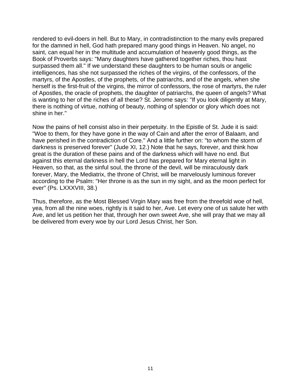rendered to evil-doers in hell. But to Mary, in contradistinction to the many evils prepared for the damned in hell, God hath prepared many good things in Heaven. No angel, no saint, can equal her in the multitude and accumulation of heavenly good things, as the Book of Proverbs says: "Many daughters have gathered together riches, thou hast surpassed them all." If we understand these daughters to be human souls or angelic intelligences, has she not surpassed the riches of the virgins, of the confessors, of the martyrs, of the Apostles, of the prophets, of the patriarchs, and of the angels, when she herself is the first-fruit of the virgins, the mirror of confessors, the rose of martyrs, the ruler of Apostles, the oracle of prophets, the daughter of patriarchs, the queen of angels? What is wanting to her of the riches of all these? St. Jerome says: "If you look diligently at Mary, there is nothing of virtue, nothing of beauty, nothing of splendor or glory which does not shine in her."

Now the pains of hell consist also in their perpetuity. In the Epistle of St. Jude it is said: "Woe to them, for they have gone in the way of Cain and after the error of Balaam, and have perished in the contradiction of Core." And a little further on: "to whom the storm of darkness is preserved forever" (Jude XI, 12.) Note that he says, forever, and think how great is the duration of these pains and of the darkness which will have no end. But against this eternal darkness in hell the Lord has prepared for Mary eternal light in Heaven, so that, as the sinful soul, the throne of the devil, will be miraculously dark forever, Mary, the Mediatrix, the throne of Christ, will be marvelously luminous forever according to the Psalm: "Her throne is as the sun in my sight, and as the moon perfect for ever" (Ps. LXXXVIII, 38.)

Thus, therefore, as the Most Blessed Virgin Mary was free from the threefold woe of hell, yea, from all the nine woes, rightly is it said to her, Ave. Let every one of us salute her with Ave, and let us petition her that, through her own sweet Ave, she will pray that we may all be delivered from every woe by our Lord Jesus Christ, her Son.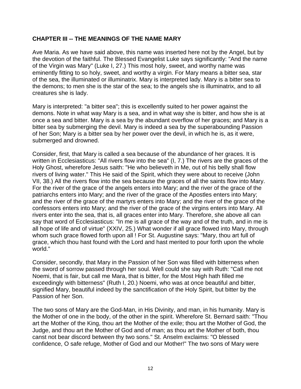## <span id="page-11-0"></span>**CHAPTER III -- THE MEANINGS OF THE NAME MARY**

Ave Maria. As we have said above, this name was inserted here not by the Angel, but by the devotion of the faithful. The Blessed Evangelist Luke says significantly: "And the name of the Virgin was Mary" (Luke I, 27.) This most holy, sweet, and worthy name was eminently fitting to so holy, sweet, and worthy a virgin. For Mary means a bitter sea, star of the sea, the illuminated or illuminatrix. Mary is interpreted lady. Mary is a bitter sea to the demons; to men she is the star of the sea; to the angels she is illuminatrix, and to all creatures she is lady.

Mary is interpreted: "a bitter sea"; this is excellently suited to her power against the demons. Note in what way Mary is a sea, and in what way she is bitter, and how she is at once a sea and bitter. Mary is a sea by the abundant overflow of her graces; and Mary is a bitter sea by submerging the devil. Mary is indeed a sea by the superabounding Passion of her Son; Mary is a bitter sea by her power over the devil, in which he is, as it were, submerged and drowned.

Consider, first, that Mary is called a sea because of the abundance of her graces. It is written in Ecclesiasticus: "All rivers flow into the sea" (I, 7.) The rivers are the graces of the Holy Ghost, wherefore Jesus saith: "He who believeth in Me, out of his belly shall flow rivers of living water." This He said of the Spirit, which they were about to receive (John VII, 38.) All the rivers flow into the sea because the graces of all the saints flow into Mary. For the river of the grace of the angels enters into Mary; and the river of the grace of the patriarchs enters into Mary; and the river of the grace of the Apostles enters into Mary; and the river of the grace of the martyrs enters into Mary; and the river of the grace of the confessors enters into Mary; and the river of the grace of the virgins enters into Mary. All rivers enter into the sea, that is, all graces enter into Mary. Therefore, she above all can say that word of Ecclesiasticus: "In me is all grace of the way and of the truth, and in me is all hope of life and of virtue" (XXIV, 25.) What wonder if all grace flowed into Mary, through whom such grace flowed forth upon all ! For St. Augustine says: "Mary, thou art full of grace, which thou hast found with the Lord and hast merited to pour forth upon the whole world."

Consider, secondly, that Mary in the Passion of her Son was filled with bitterness when the sword of sorrow passed through her soul. Well could she say with Ruth: "Call me not Noemi, that is fair, but call me Mara, that is bitter, for the Most High hath filled me exceedingly with bitterness" (Ruth I, 20.) Noemi, who was at once beautiful and bitter, signified Mary, beautiful indeed by the sanctification of the Holy Spirit, but bitter by the Passion of her Son.

The two sons of Mary are the God-Man, in His Divinity, and man, in his humanity. Mary is the Mother of one in the body, of the other in the spirit. Wherefore St. Bernard saith: "Thou art the Mother of the King, thou art the Mother of the exile; thou art the Mother of God, the Judge, and thou art the Mother of God and of man; as thou art the Mother of both, thou canst not bear discord between thy two sons." St. Anselm exclaims: "O blessed confidence, O safe refuge, Mother of God and our Mother!" The two sons of Mary were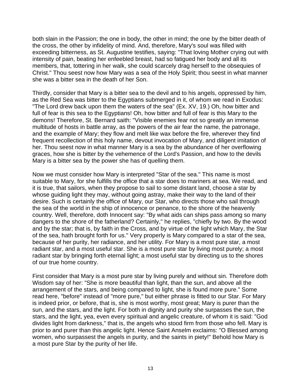both slain in the Passion; the one in body, the other in mind; the one by the bitter death of the cross, the other by infidelity of mind. And, therefore, Mary's soul was filled with exceeding bitterness, as St. Augustine testifies, saying: "That loving Mother crying out with intensity of pain, beating her enfeebled breast, had so fatigued her body and all its members, that, tottering in her walk, she could scarcely drag herself to the obsequies of Christ." Thou seest now how Mary was a sea of the Holy Spirit; thou seest in what manner she was a bitter sea in the death of her Son.

Thirdly, consider that Mary is a bitter sea to the devil and to his angels, oppressed by him, as the Red Sea was bitter to the Egyptians submerged in it, of whom we read in Exodus: "The Lord drew back upon them the waters of the sea" (Ex. XV, 19.) Oh, how bitter and full of fear is this sea to the Egyptians! Oh, how bitter and full of fear is this Mary to the demons! Therefore, St. Bernard saith: "Visible enemies fear not so greatly an immense multitude of hosts in battle array, as the powers of the air fear the name, the patronage, and the example of Mary; they flow and melt like wax before the fire, wherever they find frequent recollection of this holy name, devout invocation of Mary, and diligent imitation of her. Thou seest now in what manner Mary is a sea by the abundance of her overflowing graces, how she is bitter by the vehemence of the Lord's Passion, and how to the devils Mary is a bitter sea by the power she has of quelling them.

Now we must consider how Mary is interpreted "Star of the sea." This name is most suitable to Mary, for she fulfills the office that a star does to mariners at sea. We read, and it is true, that sailors, when they propose to sail to some distant land, choose a star by whose guiding light they may, without going astray, make their way to the land of their desire. Such is certainly the office of Mary, our Star, who directs those who sail through the sea of the world in the ship of innocence or penance, to the shore of the heavenly country. Well, therefore, doth Innocent say: "By what aids can ships pass among so many dangers to the shore of the fatherland? Certainly," he replies, "chiefly by two. By the wood and by the star; that is, by faith in the Cross, and by virtue of the light which Mary, the Star of the sea, hath brought forth for us." Very properly is Mary compared to a star of the sea, because of her purity, her radiance, and her utility. For Mary is a most pure star, a most radiant star, and a most useful star. She is a most pure star by living most purely; a most radiant star by bringing forth eternal light; a most useful star by directing us to the shores of our true home country.

First consider that Mary is a most pure star by living purely and without sin. Therefore doth Wisdom say of her: "She is more beautiful than light, than the sun, and above all the arrangement of the stars, and being compared to light, she is found more pure." Some read here, "before" instead of "more pure," but either phrase is fitted to our Star. For Mary is indeed prior, or before, that is, she is most worthy, most great; Mary is purer than the sun, and the stars, and the light. For both in dignity and purity she surpasses the sun, the stars, and the light, yea, even every spiritual and angelic creature, of whom it is said: "God divides light from darkness," that is, the angels who stood firm from those who fell. Mary is prior to and purer than this angelic light. Hence Saint Anselm exclaims: "O Blessed among women, who surpassest the angels in purity, and the saints in piety!" Behold how Mary is a most pure Star by the purity of her life.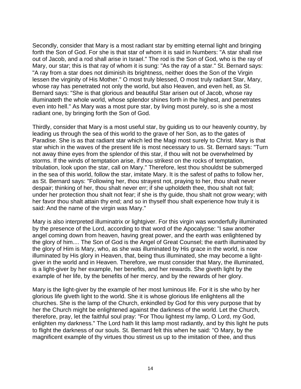Secondly, consider that Mary is a most radiant star by emitting eternal light and bringing forth the Son of God. For she is that star of whom it is said in Numbers: "A star shall rise out of Jacob, and a rod shall arise in Israel." The rod is the Son of God, who is the ray of Mary, our star; this is that ray of whom it is sung: "As the ray of a star." St. Bernard says: "A ray from a star does not diminish its brightness, neither does the Son of the Virgin lessen the virginity of His Mother." O most truly blessed, O most truly radiant Star, Mary, whose ray has penetrated not only the world, but also Heaven, and even hell, as St. Bernard says: "She is that glorious and beautiful Star arisen out of Jacob, whose ray illuminateth the whole world, whose splendor shines forth in the highest, and penetrates even into hell." As Mary was a most pure star, by living most purely, so is she a most radiant one, by bringing forth the Son of God.

Thirdly, consider that Mary is a most useful star, by guiding us to our heavenly country, by leading us through the sea of this world to the grave of her Son, as to the gates of Paradise. She is as that radiant star which led the Magi most surely to Christ. Mary is that star which in the waves of the present life is most necessary to us. St. Bernard says: "Turn not away thine eyes from the splendor of this star, if thou wilt not be overwhelmed by storms. If the winds of temptation arise, if thou strikest on the rocks of temptation, tribulation, look upon the star, call on Mary." Therefore, lest thou shouldst be submerged in the sea of this world, follow the star, imitate Mary. It is the safest of paths to follow her, as St. Bernard says: "Following her, thou strayest not, praying to her, thou shalt never despair; thinking of her, thou shalt never err; if she upholdeth thee, thou shalt not fall; under her protection thou shalt not fear; if she is thy guide, thou shalt not grow weary; with her favor thou shalt attain thy end; and so in thyself thou shalt experience how truly it is said: And the name of the virgin was Mary."

Mary is also interpreted illuminatrix or lightgiver. For this virgin was wonderfully illuminated by the presence of the Lord, according to that word of the Apocalypse: "I saw another angel coming down from heaven, having great power, and the earth was enlightened by the glory of him.... The Son of God is the Angel of Great Counsel; the earth illuminated by the glory of Him is Mary, who, as she was illuminated by His grace in the world, is now illuminated by His glory in Heaven, that, being thus illuminated, she may become a lightgiver in the world and in Heaven. Therefore, we must consider that Mary, the illuminated, is a light-giver by her example, her benefits, and her rewards. She giveth light by the example of her life, by the benefits of her mercy, and by the rewards of her glory.

Mary is the light-giver by the example of her most luminous life. For it is she who by her glorious life giveth light to the world. She it is whose glorious life enlightens all the churches. She is the lamp of the Church, enkindled by God for this very purpose that by her the Church might be enlightened against the darkness of the world. Let the Church, therefore, pray, let the faithful soul pray: "For Thou lightest my lamp, O Lord, my God, enlighten my darkness." The Lord hath lit this lamp most radiantly, and by this light he puts to flight the darkness of our souls. St. Bernard felt this when he said: "O Mary, by the magnificent example of thy virtues thou stirrest us up to the imitation of thee, and thus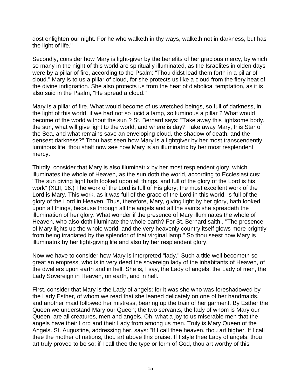dost enlighten our night. For he who walketh in thy ways, walketh not in darkness, but has the light of life."

Secondly, consider how Mary is light-giver by the benefits of her gracious mercy, by which so many in the night of this world are spiritually illuminated, as the Israelites in olden days were by a pillar of fire, according to the Psalm: "Thou didst lead them forth in a pillar of cloud." Mary is to us a pillar of cloud, for she protects us like a cloud from the fiery heat of the divine indignation. She also protects us from the heat of diabolical temptation, as it is also said in the Psalm, "He spread a cloud."

Mary is a pillar of fire. What would become of us wretched beings, so full of darkness, in the light of this world, if we had not so lucid a lamp, so luminous a pillar ? What would become of the world without the sun ? St. Bernard says: "Take away this lightsome body, the sun, what will give light to the world, and where is day? Take away Mary, this Star of the Sea, and what remains save an enveloping cloud, the shadow of death, and the densest darkness?" Thou hast seen how Mary is a lightgiver by her most transcendently luminous life, thou shalt now see how Mary is an illuminatrix by her most resplendent mercy.

Thirdly, consider that Mary is also illuminatrix by her most resplendent glory, which illuminates the whole of Heaven, as the sun doth the world, according to Ecclesiasticus: "The sun giving light hath looked upon all things, and full of the glory of the Lord is his work" (XLII, 16.) The work of the Lord is full of His glory; the most excellent work of the Lord is Mary. This work, as it was full of the grace of the Lord in this world, is full of the glory of the Lord in Heaven. Thus, therefore, Mary, giving light by her glory, hath looked upon all things, because through all the angels and all the saints she spreadeth the illumination of her glory. What wonder if the presence of Mary illuminates the whole of Heaven, who also doth illuminate the whole earth? For St. Bernard saith . "The presence of Mary lights up the whole world, and the very heavenly country itself glows more brightly from being irradiated by the splendor of that virginal lamp." So thou seest how Mary is illuminatrix by her light-giving life and also by her resplendent glory.

Now we have to consider how Mary is interpreted "lady." Such a title well becometh so great an empress, who is in very deed the sovereign lady of the inhabitants of Heaven, of the dwellers upon earth and in hell. She is, I say, the Lady of angels, the Lady of men, the Lady Sovereign in Heaven, on earth, and in hell.

First, consider that Mary is the Lady of angels; for it was she who was foreshadowed by the Lady Esther, of whom we read that she leaned delicately on one of her handmaids, and another maid followed her mistress, bearing up the train of her garment. By Esther the Queen we understand Mary our Queen; the two servants, the lady of whom is Mary our Queen, are all creatures, men and angels. Oh, what a joy to us miserable men that the angels have their Lord and their Lady from among us men. Truly is Mary Queen of the Angels. St. Augustine, addressing her, says: "If I call thee heaven, thou art higher. If I call thee the mother of nations, thou art above this praise. If I style thee Lady of angels, thou art truly proved to be so; if I call thee the type or form of God, thou art worthy of this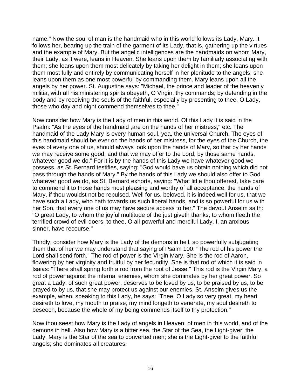name." Now the soul of man is the handmaid who in this world follows its Lady, Mary. It follows her, bearing up the train of the garment of its Lady, that is, gathering up the virtues and the example of Mary. But the angelic intelligences are the handmaids on whom Mary, their Lady, as it were, leans in Heaven. She leans upon them by familiarly associating with them; she leans upon them most delicately by taking her delight in them; she leans upon them most fully and entirely by communicating herself in her plenitude to the angels; she leans upon them as one most powerful by commanding them. Mary leans upon all the angels by her power. St. Augustine says: "Michael, the prince and leader of the heavenly militia, with all his ministering spirits obeyeth, O Virgin, thy commands; by defending in the body and by receiving the souls of the faithful, especially by presenting to thee, O Lady, those who day and night commend themselves to thee."

Now consider how Mary is the Lady of men in this world. Of this Lady it is said in the Psalm: "As the eyes of the handmaid ,are on the hands of her mistress," etc. The handmaid of the Lady Mary is every human soul, yea, the universal Church. The eyes of this handmaid should be ever on the hands of her mistress, for the eyes of the Church, the eyes of every one of us, should always look upon the hands of Mary, so that by her hands we may receive some good, and that we may offer to the Lord, by those same hands, whatever good we do." For it is by the hands of this Lady we have whatever good we possess, as St. Bernard testifies, saying: "God would have us obtain nothing which did not pass through the hands of Mary." By the hands of this Lady we should also offer to God whatever good we do, as St. Bernard exhorts, saying: "What little thou offerest, take care to commend it to those hands most pleasing and worthy of all acceptance, the hands of Mary, if thou wouldst not be repulsed. Well for us, beloved, it is indeed well for us, that we have such a Lady, who hath towards us such liberal hands, and is so powerful for us with her Son, that every one of us may have secure access to her." The devout Anselm saith: "O great Lady, to whom the joyful multitude of the just giveth thanks, to whom fleeth the terrified crowd of evil-doers, to thee, O all-powerful and merciful Lady, I, an anxious sinner, have recourse."

Thirdly, consider how Mary is the Lady of the demons in hell, so powerfully subjugating them that of her we may understand that saying of Psalm 100: "The rod of his power the Lord shall send forth." The rod of power is the Virgin Mary. She is the rod of Aaron, flowering by her virginity and fruitful by her fecundity. She is that rod of which it is said in Isaias: "There shall spring forth a rod from the root of Jesse." This rod is the Virgin Mary, a rod of power against the infernal enemies, whom she dominates by her great power. So great a Lady, of such great power, deserves to be loved by us, to be praised by us, to be prayed to by us, that she may protect us against our enemies. St. Anselm gives us the example, when, speaking to this Lady, he says: "Thee, O Lady so very great, my heart desireth to love, my mouth to praise, my mind longeth to venerate, my soul desireth to beseech, because the whole of my being commends itself to thy protection."

Now thou seest how Mary is the Lady of angels in Heaven, of men in this world, and of the demons in hell. Also how Mary is a bitter sea, the Star of the Sea, the Light-giver, the Lady. Mary is the Star of the sea to converted men; she is the Light-giver to the faithful angels; she dominates all creatures.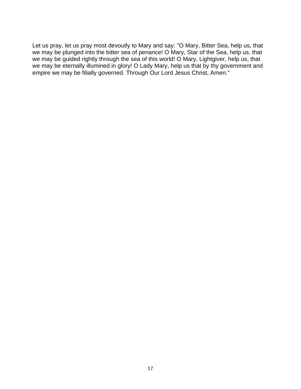Let us pray, let us pray most devoutly to Mary and say: "O Mary, Bitter Sea, help us, that we may be plunged into the bitter sea of penance! O Mary, Star of the Sea, help us, that we may be guided rightly through the sea of this world! O Mary, Lightgiver, help us, that we may be eternally illumined in glory! O Lady Mary, help us that by thy government and empire we may be filially governed. Through Our Lord Jesus Christ, Amen."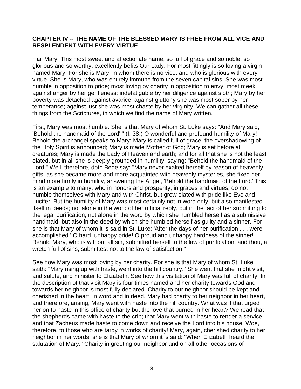### <span id="page-17-0"></span>**CHAPTER IV -- THE NAME OF THE BLESSED MARY IS FREE FROM ALL VICE AND RESPLENDENT WITH EVERY VIRTUE**

Hail Mary. This most sweet and affectionate name, so full of grace and so noble, so glorious and so worthy, excellently befits Our Lady. For most fittingly is so loving a virgin named Mary. For she is Mary, in whom there is no vice, and who is glorious with every virtue. She is Mary, who was entirely immune from the seven capital sins. She was most humble in opposition to pride; most loving by charity in opposition to envy; most meek against anger by her gentleness; indefatigable by her diligence against sloth; Mary by her poverty was detached against avarice; against gluttony she was most sober by her temperance; against lust she was most chaste by her virginity. We can gather all these things from the Scriptures, in which we find the name of Mary written.

First, Mary was most humble. She is that Mary of whom St. Luke says: "And Mary said, 'Behold the handmaid of the Lord' " (I, 38.) O wonderful and profound humility of Mary! Behold the archangel speaks to Mary; Mary is called full of grace; the overshadowing of the Holy Spirit is announced; Mary is made Mother of God; Mary is set before all creatures; Mary is made the Lady of Heaven and earth; and for all that she is not the least elated, but in all she is deeply grounded in humility, saying: "Behold the handmaid of the Lord." Well, therefore, doth Bede say: "Mary never exalted herself by reason of heavenly gifts; as she became more and more acquainted with heavenly mysteries, she fixed her mind more firmly in humility, answering the Angel, 'Behold the handmaid of the Lord.' This is an example to many, who in honors and prosperity, in graces and virtues, do not humble themselves with Mary and with Christ, but grow elated with pride like Eve and Lucifer. But the humility of Mary was most certainly not in word only, but also manifested itself in deeds; not alone in the word of her official reply, but in the fact of her submitting to the legal purification; not alone in the word by which she humbled herself as a submissive handmaid, but also in the deed by which she humbled herself as guilty and a sinner. For she is that Mary of whom it is said in St. Luke: 'After the days of her purification . . . were accomplished.' O hard, unhappy pride! O proud and unhappy hardness of the sinner! Behold Mary, who is without all sin, submitted herself to the law of purification, and thou, a wretch full of sins, submittest not to the law of satisfaction."

See how Mary was most loving by her charity. For she is that Mary of whom St. Luke saith: "Mary rising up with haste, went into the hill country." She went that she might visit, and salute, and minister to Elizabeth. See how this visitation of Mary was full of charity. In the description of that visit Mary is four times named and her charity towards God and towards her neighbor is most fully declared. Charity to our neighbor should be kept and cherished in the heart, in word and in deed. Mary had charity to her neighbor in her heart, and therefore, arising, Mary went with haste into the hill country. What was it that urged her on to haste in this office of charity but the love that burned in her heart? We read that the shepherds came with haste to the crib; that Mary went with haste to render a service; and that Zacheus made haste to come down and receive the Lord into his house. Woe, therefore, to those who are tardy in works of charity! Mary, again, cherished charity to her neighbor in her words; she is that Mary of whom it is said: "When Elizabeth heard the salutation of Mary." Charity in greeting our neighbor and on all other occasions of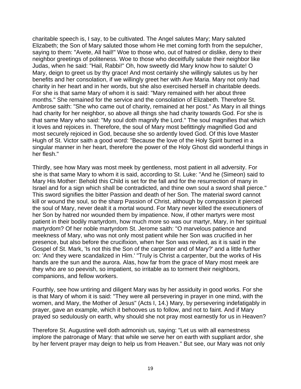charitable speech is, I say, to be cultivated. The Angel salutes Mary; Mary saluted Elizabeth; the Son of Mary saluted those whom He met coming forth from the sepulcher, saying to them: "Avete, All hail!" Woe to those who, out of hatred or dislike, deny to their neighbor greetings of politeness. Woe to those who deceitfully salute their neighbor like Judas, when he said: "Hail, Rabbi!" Oh, how sweetly did Mary know how to salute! O Mary, deign to greet us by thy grace! And most certainly she willingly salutes us by her benefits and her consolation, if we willingly greet her with Ave Maria. Mary not only had charity in her heart and in her words, but she also exercised herself in charitable deeds. For she is that same Mary of whom it is said: "Mary remained with her about three months." She remained for the service and the consolation of Elizabeth. Therefore St. Ambrose saith: "She who came out of charity, remained at her post." As Mary in all things had charity for her neighbor, so above all things she had charity towards God. For she is that same Mary who said: "My soul doth magnify the Lord." The soul magnifies that which it loves and rejoices in. Therefore, the soul of Mary most befittingly magnified God and most securely rejoiced in God, because she so ardently loved God. Of this love Master Hugh of St. Victor saith a good word: "Because the love of the Holy Spirit burned in a singular manner in her heart, therefore the power of the Holy Ghost did wonderful things in her flesh."

Thirdly, see how Mary was most meek by gentleness, most patient in all adversity. For she is that same Mary to whom it is said, according to St. Luke: "And he (Simeon) said to Mary His Mother: Behold this Child is set for the fall and for the resurrection of many in Israel and for a sign which shall be contradicted, and thine own soul a sword shall pierce." This sword signifies the bitter Passion and death of her Son. The material sword cannot kill or wound the soul, so the sharp Passion of Christ, although by compassion it pierced the soul of Mary, never dealt it a mortal wound. For Mary never killed the executioners of her Son by hatred nor wounded them by impatience. Now, if other martyrs were most patient in their bodily martyrdom, how much more so was our martyr, Mary, in her spiritual martyrdom? Of her noble martyrdom St. Jerome saith: "O marvelous patience and meekness of Mary, who was not only most patient while her Son was crucified in her presence, but also before the crucifixion, when her Son was reviled, as it is said in the Gospel of St. Mark, 'Is not this the Son of the carpenter and of Mary?' and a little further on: 'And they were scandalized in Him.' "Truly is Christ a carpenter, but the works of His hands are the sun and the aurora. Alas, how far from the grace of Mary most meek are they who are so peevish, so impatient, so irritable as to torment their neighbors, companions, and fellow workers.

Fourthly, see how untiring and diligent Mary was by her assiduity in good works. For she is that Mary of whom it is said: "They were all persevering in prayer in one mind, with the women, and Mary, the Mother of Jesus" (Acts I, 14.) Mary, by persevering indefatigably in prayer, gave an example, which it behooves us to follow, and not to faint. And if Mary prayed so sedulously on earth, why should she not pray most earnestly for us in Heaven?

Therefore St. Augustine well doth admonish us, saying: "Let us with all earnestness implore the patronage of Mary: that while we serve her on earth with suppliant ardor, she by her fervent prayer may deign to help us from Heaven." But see, our Mary was not only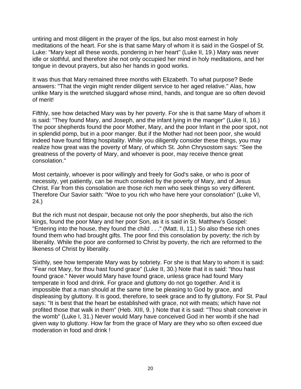untiring and most diligent in the prayer of the lips, but also most earnest in holy meditations of the heart. For she is that same Mary of whom it is said in the Gospel of St. Luke: "Mary kept all these words, pondering in her heart" (Luke II, 19.) Mary was never idle or slothful, and therefore she not only occupied her mind in holy meditations, and her tongue in devout prayers, but also her hands in good works.

It was thus that Mary remained three months with Elizabeth. To what purpose? Bede answers: "That the virgin might render diligent service to her aged relative." Alas, how unlike Mary is the wretched sluggard whose mind, hands, and tongue are so often devoid of merit!

Fifthly, see how detached Mary was by her poverty. For she is that same Mary of whom it is said: "They found Mary, and Joseph, and the infant lying in the manger" (Luke II, 16.) The poor shepherds found the poor Mother, Mary, and the poor Infant in the poor spot, not in splendid pomp, but in a poor manger. But if the Mother had not been poor, she would indeed have found fitting hospitality. While you diligently consider these things, you may realize how great was the poverty of Mary, of which St. John Chrysostom says: "See the greatness of the poverty of Mary, and whoever is poor, may receive thence great consolation."

Most certainly, whoever is poor willingly and freely for God's sake, or who is poor of necessity, yet patiently, can be much consoled by the poverty of Mary, and of Jesus Christ. Far from this consolation are those rich men who seek things so very different. Therefore Our Savior saith: "Woe to you rich who have here your consolation" (Luke VI, 24.)

But the rich must not despair, because not only the poor shepherds, but also the rich kings, found the poor Mary and her poor Son, as it is said in St. Matthew's Gospel: "Entering into the house, they found the child . . ." (Matt. II, 11.) So also these rich ones found them who had brought gifts. The poor find this consolation by poverty; the rich by liberality. While the poor are conformed to Christ by poverty, the rich are reformed to the likeness of Christ by liberality.

Sixthly, see how temperate Mary was by sobriety. For she is that Mary to whom it is said: "Fear not Mary, for thou hast found grace" (Luke II, 30.) Note that it is said: "thou hast found grace." Never would Mary have found grace, unless grace had found Mary temperate in food and drink. For grace and gluttony do not go together. And it is impossible that a man should at the same time be pleasing to God by grace, and displeasing by gluttony. It is good, therefore, to seek grace and to fly gluttony. For St. Paul says: "It is best that the heart be established with grace, not with meats; which have not profited those that walk in them" (Heb. XIII, 9. ) Note that it is said: "Thou shalt conceive in the womb" (Luke I, 31.) Never would Mary have conceived God in her womb if she had given way to gluttony. How far from the grace of Mary are they who so often exceed due moderation in food and drink !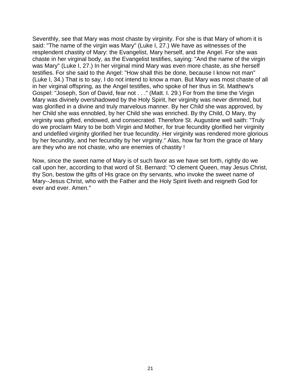Seventhly, see that Mary was most chaste by virginity. For she is that Mary of whom it is said: "The name of the virgin was Mary" (Luke I, 27.) We have as witnesses of the resplendent chastity of Mary: the Evangelist, Mary herself, and the Angel. For she was chaste in her virginal body, as the Evangelist testifies, saying: "And the name of the virgin was Mary" (Luke I, 27.) In her virginal mind Mary was even more chaste, as she herself testifies. For she said to the Angel: "How shall this be done, because I know not man" (Luke I, 34.) That is to say, I do not intend to know a man. But Mary was most chaste of all in her virginal offspring, as the Angel testifies, who spoke of her thus in St. Matthew's Gospel: "Joseph, Son of David, fear not . . ." (Matt. I. 29.) For from the time the Virgin Mary was divinely overshadowed by the Holy Spirit, her virginity was never dimmed, but was glorified in a divine and truly marvelous manner. By her Child she was approved, by her Child she was ennobled, by her Child she was enriched. By thy Child, O Mary, thy virginity was gifted, endowed, and consecrated. Therefore St. Augustine well saith: "Truly do we proclaim Mary to be both Virgin and Mother, for true fecundity glorified her virginity and undefiled virginity glorified her true fecundity. Her virginity was rendered more glorious by her fecundity, and her fecundity by her virginity." Alas, how far from the grace of Mary are they who are not chaste, who are enemies of chastity !

Now, since the sweet name of Mary is of such favor as we have set forth, rightly do we call upon her, according to that word of St. Bernard: "O clement Queen, may Jesus Christ, thy Son, bestow the gifts of His grace on thy servants, who invoke the sweet name of Mary--Jesus Christ, who with the Father and the Holy Spirit liveth and reigneth God for ever and ever. Amen."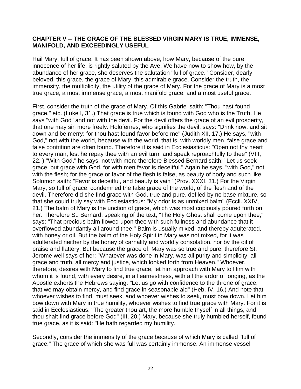### <span id="page-21-0"></span>**CHAPTER V -- THE GRACE OF THE BLESSED VIRGIN MARY IS TRUE, IMMENSE, MANIFOLD, AND EXCEEDINGLY USEFUL**

Hail Mary, full of grace. It has been shown above, how Mary, because of the pure innocence of her life, is rightly saluted by the Ave. We have now to show how, by the abundance of her grace, she deserves the salutation "full of grace." Consider, dearly beloved, this grace, the grace of Mary, this admirable grace. Consider the truth, the immensity, the multiplicity, the utility of the grace of Mary. For the grace of Mary is a most true grace, a most immense grace, a most manifold grace, and a most useful grace.

First, consider the truth of the grace of Mary. Of this Gabriel saith: "Thou hast found grace," etc. (Luke I, 31.) That grace is true which is found with God who is the Truth. He says "with God" and not with the devil. For the devil offers the grace of an evil prosperity, that one may sin more freely. Holofernes, who signifies the devil, says: "Drink now, and sit down and be merry: for thou hast found favor before me" (Judith XII, 17.) He says, "with God," not with the world, because with the world, that is, with worldly men, false grace and false contrition are often found. Therefore it is said in Ecclesiasticus: "Open not thy heart to every man, lest he repay thee with an evil turn; and speak reproachfully to thee" (VIII, 22. ) "With God," he says, not with men; therefore Blessed Bernard saith: "Let us seek grace, but grace with God, for with men favor is deceitful." Again he says, "with God," not with the flesh; for the grace or favor of the flesh is false, as beauty of body and such like. Solomon saith: "Favor is deceitful, and beauty is vain" (Prov. XXXI, 31.) For the Virgin Mary, so full of grace, condemned the false grace of the world, of the flesh and of the devil. Therefore did she find grace with God, true and pure, defiled by no base mixture, so that she could truly say with Ecclesiasticus: "My odor is as unmixed balm" (Eccli. XXIV, 21.) The balm of Mary is the unction of grace, which was most copiously poured forth on her. Therefore St. Bernard, speaking of the text, "The Holy Ghost shall come upon thee," says: "That precious balm flowed upon thee with such fullness and abundance that it overflowed abundantly all around thee." Balm is usually mixed, and thereby adulterated, with honey or oil. But the balm of the Holy Spirit in Mary was not mixed, for it was adulterated neither by the honey of carnality and worldly consolation, nor by the oil of praise and flattery. But because the grace of, Mary was so true and pure, therefore St. Jerome well says of her: "Whatever was done in Mary, was all purity and simplicity, all grace and truth, all mercy and justice, which looked forth from Heaven." Whoever, therefore, desires with Mary to find true grace, let him approach with Mary to Him with whom it is found, with every desire, in all earnestness, with all the ardor of longing, as the Apostle exhorts the Hebrews saying: "Let us go with confidence to the throne of grace, that we may obtain mercy, and find grace in seasonable aid" (Heb. IV, 16.) And note that whoever wishes to find, must seek, and whoever wishes to seek, must bow down. Let him bow down with Mary in true humility, whoever wishes to find true grace with Mary. For it is said in Ecclesiasticus: "The greater thou art, the more humble thyself in all things, and thou shalt find grace before God" (III, 20.) Mary, because she truly humbled herself, found true grace, as it is said: "He hath regarded my humility."

Secondly, consider the immensity of the grace because of which Mary is called "full of grace." The grace of which she was full was certainly immense. An immense vessel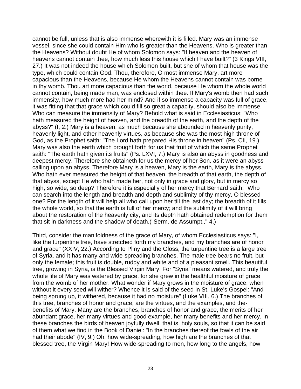cannot be full, unless that is also immense wherewith it is filled. Mary was an immense vessel, since she could contain Him who is greater than the Heavens. Who is greater than the Heavens? Without doubt He of whom Solomon says: "If heaven and the heaven of heavens cannot contain thee, how much less this house which I have built?" (3 Kings VIII, 27.) It was not indeed the house which Solomon built, but she of whom that house was the type, which could contain God. Thou, therefore, O most immense Mary, art more capacious than the Heavens, because He whom the Heavens cannot contain was borne in thy womb. Thou art more capacious than the world, because He whom the whole world cannot contain, being made man, was enclosed within thee. If Mary's womb then had such immensity, how much more had her mind? And if so immense a capacity was full of grace, it was fitting that that grace which could fill so great a capacity, should also be immense. Who can measure the immensity of Mary? Behold what is said in Ecclesiasticus: "Who hath measured the height of heaven, and the breadth of the earth, and the depth of the abyss?" (I, 2.) Mary is a heaven, as much because she abounded in heavenly purity, heavenly light, and other heavenly virtues, as because she was the most high throne of God, as the Prophet saith: "The Lord hath prepared His throne in heaven" (Ps. CII, 19.) Mary was also the earth which brought forth for us that fruit of which the same Prophet saith: "The earth hath given its fruits" (Ps. LXVI, 7.) Mary is also an abyss in goodness and deepest mercy. Therefore she obtaineth for us the mercy of her Son, as it were an abyss calling upon an abyss. Therefore Mary is a heaven, Mary is the earth, Mary is the abyss. Who hath ever measured the height of that heaven, the breadth of that earth, the depth of that abyss, except He who hath made her, not only in grace and glory, but in mercy so high, so wide, so deep? Therefore it is especially of her mercy that Bernard saith: "Who can search into the length and breadth and depth and sublimity of thy mercy, O blessed one? For the length of it will help all who call upon her till the last day; the breadth of it fills the whole world, so that the earth is full of her mercy; and the sublimity of it will bring about the restoration of the heavenly city, and its depth hath obtained redemption for them that sit in darkness and the shadow of death.("Serm. de Assumpt.," 4.)

Third, consider the manifoldness of the grace of Mary, of whom Ecclesiasticus says: "I, like the turpentine tree, have stretched forth my branches, and my branches are of honor and grace" (XXIV, 22.) According to Pliny and the Gloss, the turpentine tree is a large tree of Syria, and it has many and wide-spreading branches. The male tree bears no fruit, but only the female; this fruit is double, ruddy and white and of a pleasant smell. This beautiful tree, growing in Syria, is the Blessed Virgin Mary. For "Syria" means watered, and truly the whole life of Mary was watered by grace, for she grew in the healthful moisture of grace from the womb of her mother. What wonder if Mary grows in the moisture of grace, when without it every seed will wither? Whence it is said of the seed in St. Luke's Gospel: "And being sprung up, it withered, because it had no moisture" (Luke VIII, 6.) The branches of this tree, branches of honor and grace, are the virtues, and the examples, and thebenefits of Mary. Many are the branches, branches of honor and grace, the merits of her abundant grace, her many virtues and good example, her many benefits and her mercy. In these branches the birds of heaven joyfully dwell, that is, holy souls, so that it can be said of them what we find in the Book of Daniel: "In the branches thereof the fowls of the air had their abode" (IV, 9.) Oh, how wide-spreading, how high are the branches of that blessed tree, the Virgin Mary! How wide-spreading to men, how long to the angels, how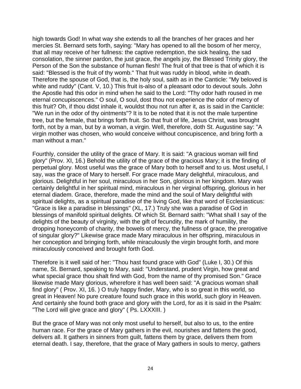high towards God! In what way she extends to all the branches of her graces and her mercies St. Bernard sets forth, saying: "Mary has opened to all the bosom of her mercy, that all may receive of her fullness: the captive redemption, the sick healing, the sad consolation, the sinner pardon, the just grace, the angels joy, the Blessed Trinity glory, the Person of the Son the substance of human flesh! The fruit of that tree is that of which it is said: "Blessed is the fruit of thy womb." That fruit was ruddy in blood, white in death. Therefore the spouse of God, that is, the holy soul, saith as in the Canticle: "My beloved is white and ruddy" (Cant. V, 10.) This fruit is-also of a pleasant odor to devout souls. John the Apostle had this odor in mind when he said to the Lord: "Thy odor hath roused in me eternal concupiscences." O soul, O soul, dost thou not experience the odor of mercy of this fruit? Oh, if thou didst inhale it, wouldst thou not run after it, as is said in the Canticle: "We run in the odor of thy ointments"? It is to be noted that it is not the male turpentine tree, but the female, that brings forth fruit. So that fruit of life, Jesus Christ, was brought forth, not by a man, but by a woman, a virgin. Well, therefore, doth St. Augustine say: "A virgin mother was chosen, who would conceive without concupiscence, and bring forth a man without a man."

Fourthly, consider the utility of the grace of Mary. It is said: "A gracious woman will find glory" (Prov. XI, 16.) Behold the utility of the grace of the gracious Mary; it is the finding of perpetual glory. Most useful was the grace of Mary both to herself and to us. Most useful, I say, was the grace of Mary to herself. For grace made Mary delightful, miraculous, and glorious. Delightful in her soul, miraculous in her Son, glorious in her kingdom. Mary was certainly delightful in her spiritual mind, miraculous in her virginal offspring, glorious in her eternal diadem. Grace, therefore, made the mind and the soul of Mary delightful with spiritual delights, as a spiritual paradise of the living God, like that word of Ecclesiasticus: "Grace is like a paradise in blessings" (XL, 17.) Truly she was a paradise of God in blessings of manifold spiritual delights. Of which St. Bernard saith: "What shall I say of the delights of the beauty of virginity, with the gift of fecundity, the mark of humility, the dropping honeycomb of charity, the bowels of mercy, the fullness of grace, the prerogative of singular glory?" Likewise grace made Mary miraculous in her offspring, miraculous in her conception and bringing forth, while miraculously the virgin brought forth, and more miraculously conceived and brought forth God.

Therefore is it well said of her: "Thou hast found grace with God" (Luke I, 30.) Of this name, St. Bernard, speaking to Mary, said: "Understand, prudent Virgin, how great and what special grace thou shalt find with God, from the name of thy promised Son." Grace likewise made Mary glorious, wherefore it has well been said: "A gracious woman shall find glory" ( Prov. XI, 16. ) O truly happy finder, Mary, who is so great in this world, so great in Heaven! No pure creature found such grace in this world, such glory in Heaven. And certainly she found both grace and glory with the Lord, for as it is said in the Psalm: "The Lord will give grace and glory" ( Ps. LXXXIII. )

But the grace of Mary was not only most useful to herself, but also to us, to the entire human race. For the grace of Mary gathers in the evil, nourishes and fattens the good, delivers all. It gathers in sinners from guilt, fattens them by grace, delivers them from eternal death. I say, therefore, that the grace of Mary gathers in souls to mercy, gathers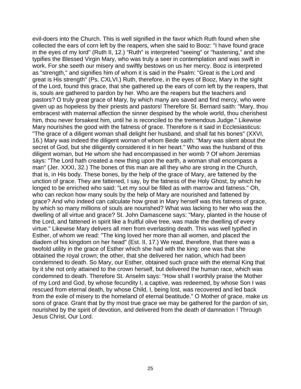evil-doers into the Church. This is well signified in the favor which Ruth found when she collected the ears of corn left by the reapers, when she said to Booz: "I have found grace in the eyes of my lord" (Ruth II, 12.) "Ruth" is interpreted "seeing" or "hastening," and she typifies the Blessed Virgin Mary, who was truly a seer in contemplation and was swift in work. For she seeth our misery and swiftly bestows on us her mercy. Booz is interpreted as "strength," and signifies him of whom it is said in the Psalm: "Great is the Lord and great is His strength" (Ps. CXLVI.) Ruth, therefore, in the eyes of Booz, Mary in the sight of the Lord, found this grace, that she gathered up the ears of corn left by the reapers, that is, souls are gathered to pardon by her. Who are the reapers but the teachers and pastors? O truly great grace of Mary, by which many are saved and find mercy, who were given up as hopeless by their priests and pastors! Therefore St. Bernard saith: "Mary, thou embracest with maternal affection the sinner despised by the whole world, thou cherishest him, thou never forsakest him, until he is reconciled to the tremendous Judge." Likewise Mary nourishes the good with the fatness of grace. Therefore is it said in Ecclesiasticus: "The grace of a diligent woman shall delight her husband, and shall fat his bones" (XXVI, 16.) Mary was indeed the diligent woman of whom Bede saith: "Mary was silent about the secret of God, but she diligently considered it in her heart." Who was the husband of this diligent woman, but He whom she had encompassed in her womb ? Of whom Jeremias says: "The Lord hath created a new thing upon the earth, a woman shall encompass a man" (Jer. XXXI, 32.) The bones of this man are all they who are strong in the Church, that is, in His body. These bones, by the help of the grace of Mary, are fattened by the unction of grace. They are fattened, I say, by the fatness of the Holy Ghost, by which he longed to be enriched who said: "Let my soul be filled as with marrow and fatness." Oh, who can reckon how many souls by the help of Mary are nourished and fattened by grace? And who indeed can calculate how great in Mary herself was this fatness of grace, by which so many millions of souls are nourished? What was lacking to her who was the dwelling of all virtue and grace? St. John Damascene says: "Mary, planted in the house of the Lord, and fattened in spirit like a fruitful olive tree, was made the dwelling of every virtue." Likewise Mary delivers all men from everlasting death. This was well typified in Esther, of whom we read: "The king loved her more than all women, and placed the diadem of his kingdom on her head" (Est. II, 17.) We read, therefore, that there was a twofold utility in the grace of Esther which she had with the king: one was that she obtained the royal crown; the other, that she delivered her nation, which had been condemned to death. So Mary, our Esther, obtained such grace with the eternal King that by it she not only attained to the crown herself, but delivered the human race, which was condemned to death. Therefore St. Anselm says: "How shall I worthily praise the Mother of my Lord and God, by whose fecundity I, a captive, was redeemed, by whose Son I was rescued from eternal death, by whose Child, I, being lost, was recovered and led back from the exile of misery to the homeland of eternal beatitude." O Mother of grace, make us sons of grace. Grant that by thy most true grace we may be gathered for the pardon of sin, nourished by the spirit of devotion, and delivered from the death of damnation ! Through Jesus Christ, Our Lord.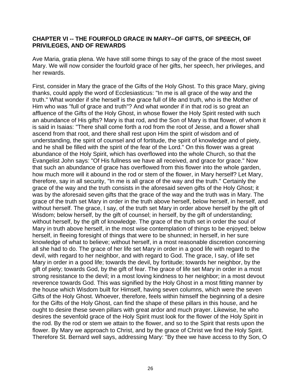### <span id="page-25-0"></span>**CHAPTER VI -- THE FOURFOLD GRACE IN MARY--OF GIFTS, OF SPEECH, OF PRIVILEGES, AND OF REWARDS**

Ave Maria, gratia plena. We have still some things to say of the grace of the most sweet Mary. We will now consider the fourfold grace of her gifts, her speech, her privileges, and her rewards.

First, consider in Mary the grace of the Gifts of the Holy Ghost. To this grace Mary, giving thanks, could apply the word of Ecclesiasticus: "In me is all grace of the way and the truth." What wonder if she herself is the grace full of life and truth, who is the Mother of Him who was "full of grace and truth"? And what wonder if in that rod is so great an affluence of the Gifts of the Holy Ghost, in whose flower the Holy Spirit rested with such an abundance of His gifts? Mary is that rod, and the Son of Mary is that flower, of whom it is said in Isaias: "There shall come forth a rod from the root of Jesse, and a flower shall ascend from that root, and there shall rest upon Him the spirit of wisdom and of understanding, the spirit of counsel and of fortitude, the spirit of knowledge and of piety, and he shall be filled with the spirit of the fear of the Lord." On this flower was a great abundance of the Holy Spirit, which has overflowed into the whole Church, so that the Evangelist John says: "Of His fullness we have all received, and grace for grace." Now that such an abundance of grace has overflowed from this flower into the whole garden, how much more will it abound in the rod or stem of the flower, in Mary herself? Let Mary, therefore, say in all security, "In me is all grace of the way and the truth." Certainly the grace of the way and the truth consists in the aforesaid seven gifts of the Holy Ghost; it was by the aforesaid seven gifts that the grace of the way and the truth was in Mary. The grace of the truth set Mary in order in the truth above herself, below herself, in herself, and without herself. The grace, I say, of the truth set Mary in order above herself by the gift of Wisdom; below herself, by the gift of counsel; in herself, by the gift of understanding; without herself, by the gift of knowledge. The grace of the truth set in order the soul of Mary in truth above herself, in the most wise contemplation of things to be enjoyed; below herself, in fleeing foresight of things that were to be shunned; in herself, in her sure knowledge of what to believe; without herself, in a most reasonable discretion concerning all she had to do. The grace of her life set Mary in order in a good life with regard to the devil, with regard to her neighbor, and with regard to God. The grace, I say, of life set Mary in order in a good life; towards the devil, by fortitude; towards her neighbor, by the gift of piety; towards God, by the gift of fear. The grace of life set Mary in order in a most strong resistance to the devil; in a most loving kindness to her neighbor; in a most devout reverence towards God. This was signified by the Holy Ghost in a most fitting manner by the house which Wisdom built for Himself, having seven columns, which were the seven Gifts of the Holy Ghost. Whoever, therefore, feels within himself the beginning of a desire for the Gifts of the Holy Ghost, can find the shape of these pillars in this house, and he ought to desire these seven pillars with great ardor and much prayer. Likewise, he who desires the sevenfold grace of the Holy Spirit must look for the flower of the Holy Spirit in the rod. By the rod or stem we attain to the flower, and so to the Spirit that rests upon the flower. By Mary we approach to Christ, and by the grace of Christ we find the Holy Spirit. Therefore St. Bernard well says, addressing Mary: "By thee we have access to thy Son, O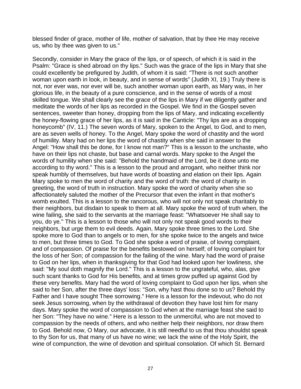blessed finder of grace, mother of life, mother of salvation, that by thee He may receive us, who by thee was given to us."

Secondly, consider in Mary the grace of the lips, or of speech, of which it is said in the Psalm: "Grace is shed abroad on thy lips." Such was the grace of the lips in Mary that she could excellently be prefigured by Judith, of whom it is said: "There is not such another woman upon earth in look, in beauty, and in sense of words" (Judith XI, 19.) Truly there is not, nor ever was, nor ever will be, such another woman upon earth, as Mary was, in her glorious life, in the beauty of a pure conscience, and in the sense of words of a most skilled tongue. We shall clearly see the grace of the lips in Mary if we diligently gather and meditate the words of her lips as recorded in the Gospel. We find in the Gospel seven sentences, sweeter than honey, dropping from the lips of Mary, and indicating excellently the honey-flowing grace of her lips, as it is said in the Canticle: "Thy lips are as a dropping honeycomb" (IV, 11.) The seven words of Mary, spoken to the Angel, to God, and to men, are as seven wells of honey. To the Angel, Mary spoke the word of chastity and the word of humility. Mary had on her lips the word of chastity when she said in answer to the Angel: "How shall this be done, for I know not man?" This is a lesson to the unchaste, who have on their lips not chaste, but base and carnal words. Mary spoke to the Angel the words of humility when she said: "Behold the handmaid of the Lord, be it done unto me according to thy word." This is a lesson to the proud and arrogant, who neither think nor speak humbly of themselves, but have words of boasting and elation on their lips. Again Mary spoke to men the word of charity and the word of truth: the word of charity in greeting, the word of truth in instruction. Mary spoke the word of charity when she so affectionately saluted the mother of the Precursor that even the infant in that mother's womb exulted. This is a lesson to the rancorous, who will not only not speak charitably to their neighbors, but disdain to speak to them at all. Mary spoke the word of truth when, the wine failing, she said to the servants at the marriage feast: "Whatsoever He shall say to you, do ye." This is a lesson to those who will not only not speak good words to their neighbors, but urge them to evil deeds. Again, Mary spoke three times to the Lord. She spoke more to God than to angels or to men, for she spoke twice to the angels and twice to men, but three times to God. To God she spoke a word of praise, of loving complaint, and of compassion. Of praise for the benefits bestowed on herself; of loving complaint for the loss of her Son; of compassion for the failing of the wine. Mary had the word of praise to God on her lips, when in thanksgiving for that God had looked upon her lowliness, she said: "My soul doth magnify the Lord." This is a lesson to the ungrateful, who, alas, give such scant thanks to God for His benefits, and at times grow puffed up against God by these very benefits. Mary had the word of loving complaint to God upon her lips, when she said to her Son, after the three days' loss: "Son, why hast thou done so to us? Behold thy Father and I have sought Thee sorrowing." Here is a lesson for the indevout, who do not seek Jesus sorrowing, when by the withdrawal of devotion they have lost him for many days. Mary spoke the word of compassion to God when at the marriage feast she said to her Son: "They have no wine." Here is a lesson to the unmerciful, who are not moved to compassion by the needs of others, and who neither help their neighbors, nor draw them to God. Behold now, O Mary, our advocate, it is still needful to us that thou shouldst speak to thy Son for us, that many of us have no wine; we lack the wine of the Holy Spirit, the wine of compunction, the wine of devotion and spiritual consolation. Of which St. Bernard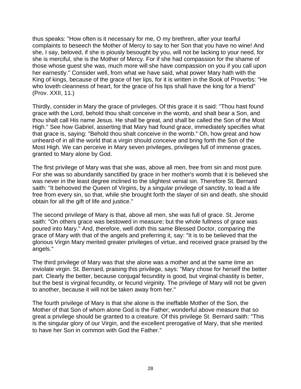thus speaks: "How often is it necessary for me, O my brethren, after your tearful complaints to beseech the Mother of Mercy to say to her Son that you have no wine! And she, I say, beloved, if she is piously besought by you, will not be lacking to your need, for she is merciful, she is the Mother of Mercy. For if she had compassion for the shame of those whose guest she was, much more will she have compassion on you if you call upon her earnestly." Consider well, from what we have said, what power Mary hath with the King of kings, because of the grace of her lips, for it is written in the Book of Proverbs: "He who loveth cleanness of heart, for the grace of his lips shall have the king for a friend" (Prov. XXII, 11.)

Thirdly, consider in Mary the grace of privileges. Of this grace it is said: "Thou hast found grace with the Lord, behold thou shalt conceive in the womb, and shalt bear a Son, and thou shalt call His name Jesus. He shall be great, and shall be called the Son of the Most High." See how Gabriel, asserting that Mary had found grace, immediately specifies what that grace is, saying: "Behold thou shalt conceive in the womb." Oh, how great and how unheard-of in all the world that a virgin should conceive and bring forth the Son of the Most High. We can perceive in Mary seven privileges, privileges full of immense graces, granted to Mary alone by God.

The first privilege of Mary was that she was, above all men, free from sin and most pure. For she was so abundantly sanctified by grace in her mother's womb that it is believed she was never in the least degree inclined to the slightest venial sin. Therefore St. Bernard saith: "It behooved the Queen of Virgins, by a singular privilege of sanctity, to lead a life free from every sin, so that, while she brought forth the slayer of sin and death, she should obtain for all the gift of life and justice."

The second privilege of Mary is that, above all men, she was full of grace. St. Jerome saith: "On others grace was bestowed in measure; but the whole fullness of grace was poured into Mary." And, therefore, well doth this same Blessed Doctor, comparing the grace of Mary with that of the angels and preferring it, say: "It is to be believed that the glorious Virgin Mary merited greater privileges of virtue, and received grace praised by the angels."

The third privilege of Mary was that she alone was a mother and at the same time an inviolate virgin. St. Bernard, praising this privilege, says: "Mary chose for herself the better part. Clearly the better, because conjugal fecundity is good, but virginal chastity is better, but the best is virginal fecundity, or fecund virginity. The privilege of Mary will not be given to another, because it will not be taken away from her."

The fourth privilege of Mary is that she alone is the ineffable Mother of the Son, the Mother of that Son of whom alone God is the Father; wonderful above measure that so great a privilege should be granted to a creature. Of this privilege St. Bernard saith: "This is the singular glory of our Virgin, and the excellent prerogative of Mary, that she merited to have her Son in common with God the Father."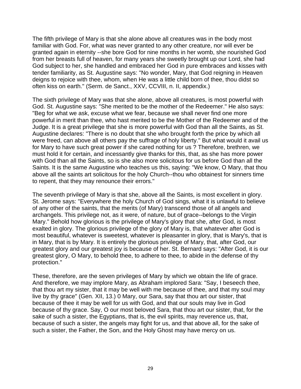The fifth privilege of Mary is that she alone above all creatures was in the body most familiar with God. For, what was never granted to any other creature, nor will ever be granted again in eternity --she bore God for nine months in her womb, she nourished God from her breasts full of heaven, for many years she sweetly brought up our Lord, she had God subject to her, she handled and embraced her God in pure embraces and kisses with tender familiarity, as St. Augustine says: "No wonder, Mary, that God reigning in Heaven deigns to rejoice with thee, whom, when He was a little child born of thee, thou didst so often kiss on earth." (Serm. de Sanct., XXV, CCVIII, n. II, appendix.)

The sixth privilege of Mary was that she alone, above all creatures, is most powerful with God. St. Augustine says: "She merited to be the mother of the Redeemer." He also says: "Beg for what we ask, excuse what we fear, because we shall never find one more powerful in merit than thee, who hast merited to be the Mother of the Redeemer and of the Judge. It is a great privilege that she is more powerful with God than all the Saints, as St. Augustine declares: "There is no doubt that she who brought forth the price by which all were freed, can above all others pay the suffrage of holy liberty." But what would it avail us for Mary to have such great power if she cared nothing for us ? Therefore, brethren, we must hold it for certain, and incessantly give thanks for this, that, as she has more power with God than all the Saints, so is she also more solicitous for us before God than all the Saints. It is the same Augustine who teaches us this, saying: "We know, O Mary, that thou above all the saints art solicitous for the holy Church--thou who obtainest for sinners time to repent, that they may renounce their errors."

The seventh privilege of Mary is that she, above all the Saints, is most excellent in glory. St. Jerome says: "Everywhere the holy Church of God sings, what it is unlawful to believe of any other of the saints, that the merits (of Mary) transcend those of all angels and archangels. This privilege not, as it were, of nature, but of grace--belongs to the Virgin Mary." Behold how glorious is the privilege of Mary's glory that she, after God, is most exalted in glory. The glorious privilege of the glory of Mary is, that whatever after God is most beautiful, whatever is sweetest, whatever is pleasanter in glory, that is Mary's, that is in Mary, that is by Mary. It is entirely the glorious privilege of Mary, that, after God, our greatest glory and our greatest joy is because of her. St. Bernard says: "After God, it is our greatest glory, O Mary, to behold thee, to adhere to thee, to abide in the defense of thy protection."

These, therefore, are the seven privileges of Mary by which we obtain the life of grace. And therefore, we may implore Mary, as Abraham implored Sara: "Say, I beseech thee, that thou art my sister, that it may be well with me because of thee, and that my soul may live by thy grace" (Gen. XII, 13.) 0 Mary, our Sara, say that thou art our sister, that because of thee it may be well for us with God, and that our souls may live in God because of thy grace. Say, O our most beloved Sara, that thou art our sister, that, for the sake of such a sister, the Egyptians, that is, the evil spirits, may reverence us, that, because of such a sister, the angels may fight for us, and that above all, for the sake of such a sister, the Father, the Son, and the Holy Ghost may have mercy on us.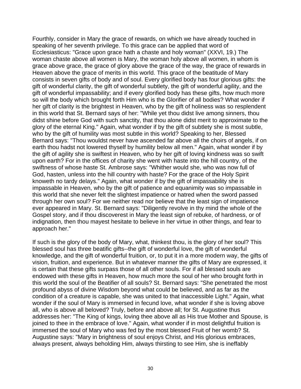Fourthly, consider in Mary the grace of rewards, on which we have already touched in speaking of her seventh privilege. To this grace can be applied that word of Ecclesiasticus: "Grace upon grace hath a chaste and holy woman" (XXVI, 19.) The woman chaste above all women is Mary, the woman holy above all women, in whom is grace above grace, the grace of glory above the grace of the way, the grace of rewards in Heaven above the grace of merits in this world. This grace of the beatitude of Mary consists in seven gifts of body and of soul. Every glorified body has four glorious gifts: the gift of wonderful clarity, the gift of wonderful subtlety, the gift of wonderful agility, and the gift of wonderful impassability; and if every glorified body has these gifts, how much more so will the body which brought forth Him who is the Glorifier of all bodies? What wonder if her gift of clarity is the brightest in Heaven, who by the gift of holiness was so resplendent in this world that St. Bernard says of her: "While yet thou didst live among sinners, thou didst shine before God with such sanctity, that thou alone didst merit to approximate to the glory of the eternal King." Again, what wonder if by the gift of subtlety she is most subtle, who by the gift of humility was most subtle in this world? Speaking to her, Blessed Bernard says: "Thou wouldst never have ascended far above all the choirs of angels, if on earth thou hadst not lowered thyself by humility below all men." Again, what wonder if by the gift of agility she is swiftest in Heaven, who by her gift of loving kindness was so swift upon earth? For in the offices of charity she went with haste into the hill country, of the swiftness of whose haste St. Ambrose says: "Whither would she, who was now full of God, hasten, unless into the hill country with haste? For the grace of the Holy Spirit knoweth no tardy delays." Again, what wonder if by the gift of impassability she is impassable in Heaven, who by the gift of patience and equanimity was so impassable in this world that she never felt the slightest impatience or hatred when the sword passed through her own soul? For we neither read nor believe that the least sign of impatience ever appeared in Mary. St. Bernard says: "Diligently revolve in thy mind the whole of the Gospel story, and if thou discoverest in Mary the least sign of rebuke, of hardness, or of indignation, then thou mayest hesitate to believe in her virtue in other things, and fear to approach her."

If such is the glory of the body of Mary, what, thinkest thou, is the glory of her soul? This blessed soul has three beatific gifts--the gift of wonderful love, the gift of wonderful knowledge, and the gift of wonderful fruition, or, to put it in a more modern way, the gifts of vision, fruition, and experience. But in whatever manner the gifts of Mary are expressed, it is certain that these gifts surpass those of all other souls. For if all blessed souls are endowed with these gifts in Heaven, how much more the soul of her who brought forth in this world the soul of the Beatifier of all souls? St. Bernard says: "She penetrated the most profound abyss of divine Wisdom beyond what could be believed, and as far as the condition of a creature is capable, she was united to that inaccessible Light." Again, what wonder if the soul of Mary is immersed in fecund love, what wonder if she is loving above all, who is above all beloved? Truly, before and above all; for St. Augustine thus addresses her: "The King of kings, loving thee above all as His true Mother and Spouse, is joined to thee in the embrace of love." Again, what wonder if in most delightful fruition is immersed the soul of Mary who was fed by the most blessed Fruit of her womb? St. Augustine says: "Mary in brightness of soul enjoys Christ, and His glorious embraces, always present, always beholding Him, always thirsting to see Him, she is ineffably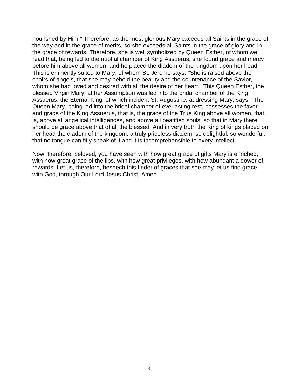nourished by Him." Therefore, as the most glorious Mary exceeds all Saints in the grace of the way and in the grace of merits, so she exceeds all Saints in the grace of glory and in the grace of rewards. Therefore, she is well symbolized by Queen Esther, of whom we read that, being led to the nuptial chamber of King Assuerus, she found grace and mercy before him above all women, and he placed the diadem of the kingdom upon her head. This is eminently suited to Mary, of whom St. Jerome says: "She is raised above the choirs of angels, that she may behold the beauty and the countenance of the Savior, whom she had loved and desired with all the desire of her heart." This Queen Esther, the blessed Virgin Mary, at her Assumption was led into the bridal chamber of the King Assuerus, the Eternal King, of which incident St. Augustine, addressing Mary, says: "The Queen Mary, being led into the bridal chamber of everlasting rest, possesses the favor and grace of the King Assuerus, that is, the grace of the True King above all women, that is, above all angelical intelligences, and above all beatified souls, so that in Mary there should be grace above that of all the blessed. And in very truth the King of kings placed on her head the diadem of the kingdom, a truly priceless diadem, so delightful, so wonderful, that no tongue can fitly speak of it and it is incomprehensible to every intellect.

Now, therefore, beloved, you have seen with how great grace of gifts Mary is enriched, with how great grace of the lips, with how great privileges, with how abundant a dower of rewards. Let us, therefore, beseech this finder of graces that she may let us find grace with God, through Our Lord Jesus Christ, Amen.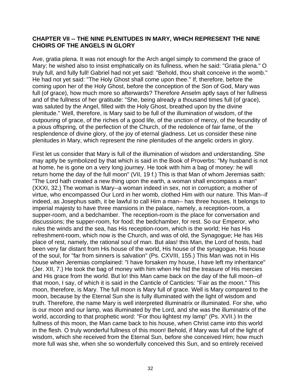### <span id="page-31-0"></span>**CHAPTER VII -- THE NINE PLENITUDES IN MARY, WHICH REPRESENT THE NINE CHOIRS OF THE ANGELS IN GLORY**

Ave, gratia plena. It was not enough for the Arch angel simply to commend the grace of Mary; he wished also to insist emphatically on its fullness, when he said: "Gratia plena." O truly full, and fully full! Gabriel had not yet said: "Behold, thou shalt conceive in the womb." He had not yet said: "The Holy Ghost shall come upon thee." If, therefore, before the coming upon her of the Holy Ghost, before the conception of the Son of God, Mary was full (of grace), how much more so afterwards? Therefore Anselm aptly says of her fullness and of the fullness of her gratitude: "She, being already a thousand times full (of grace), was saluted by the Angel, filled with the Holy Ghost, breathed upon by the divine plenitude." Well, therefore, is Mary said to be full of the illumination of wisdom, of the outpouring of grace, of the riches of a good life, of the unction of mercy, of the fecundity of a pious offspring, of the perfection of the Church, of the redolence of fair fame, of the resplendence of divine glory, of the joy of eternal gladness. Let us consider these nine plenitudes in Mary, which represent the nine plenitudes of the angelic orders in glory.

First let us consider that Mary is full of the illumination of wisdom and understanding. She may aptly be symbolized by that which is said in the Book of Proverbs: "My husband is not at home, he is gone on a very long journey. He took with him a bag of money: he will return home the day of the full moon" (VII, 19 f.) This is that Man of whom Jeremias saith: "The Lord hath created a new thing upon the earth, a woman shall encompass a man" (XXXI, 32.) The woman is Mary--a woman indeed in sex, not in corruption; a mother of virtue, who encompassed Our Lord in her womb, clothed Him with our nature. This Man--if indeed, as Josephus saith, it be lawful to call Him a man-- has three houses. It belongs to imperial majesty to have three mansions in the palace, namely, a reception-room, a supper-room, and a bedchamber. The reception-room is the place for conversation and discussions; the supper-room, for food; the bedchamber, for rest. So our Emperor, who rules the winds and the sea, has His reception-room, which is the world; He has His refreshment-room, which now is the Church, and was of old, the Synagogue; He has His place of rest, namely, the rational soul of man. But alas! this Man, the Lord of hosts, had been very far distant from His house of the world, His house of the synagogue, His house of the soul, for "far from sinners is salvation" (Ps. CXVIII, 155.) This Man was not in His house when Jeremias complained: "I have forsaken my house, I have left my inheritance" (Jer. XII, 7.) He took the bag of money with him when He hid the treasure of His mercies and His grace from the world. But lo! this Man came back on the day of the full moon--of that moon, I say, of which it is said in the Canticle of Canticles: "Fair as the moon." This moon, therefore, is Mary. The full moon is Mary full of grace. Well is Mary compared to the moon, because by the Eternal Sun she is fully illuminated with the light of wisdom and truth. Therefore, the name Mary is well interpreted illuminatrix or illuminated. For she, who is our moon and our lamp, was illuminated by the Lord, and she was the illuminatrix of the world, according to that prophetic word: "For thou lightest my lamp" (Ps. XVII.) In the fullness of this moon, the Man came back to his house, when Christ came into this world in the flesh. O truly wonderful fullness of this moon! Behold, if Mary was full of the light of wisdom, which she received from the Eternal Sun, before she conceived Him; how much more full was she, when she so wonderfully conceived this Sun, and so entirely received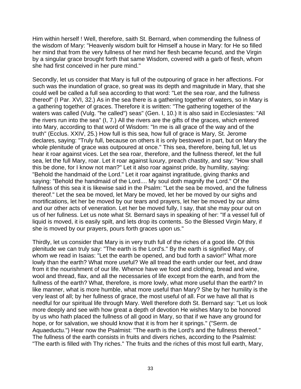Him within herself ! Well, therefore, saith St. Bernard, when commending the fullness of the wisdom of Mary: "Heavenly wisdom built for Himself a house in Mary: for He so filled her mind that from the very fullness of her mind her flesh became fecund, and the Virgin by a singular grace brought forth that same Wisdom, covered with a garb of flesh, whom she had first conceived in her pure mind."

Secondly, let us consider that Mary is full of the outpouring of grace in her affections. For such was the inundation of grace, so great was its depth and magnitude in Mary, that she could well be called a full sea according to that word: "Let the sea roar, and the fullness thereof" (I Par. XVI, 32.) As in the sea there is a gathering together of waters, so in Mary is a gathering together of graces. Therefore it is written: "The gathering together of the waters was called (Vulg. "he called") seas" (Gen. I, 10.) It is also said in Ecclesiastes: "All the rivers run into the sea" (I, 7.) All the rivers are the gifts of the graces, which entered into Mary, according to that word of Wisdom: "In me is all grace of the way and of the truth" (Ecclus. XXIV, 25.) How full is this sea, how full of grace is Mary, St. Jerome declares, saying: "Truly full, because on others it is only bestowed in part, but on Mary the whole plenitude of grace was outpoured at once." This sea, therefore, being full, let us hear it roar against vices. Let the sea roar, therefore, and the fullness thereof, let the full sea, let the full Mary, roar. Let it roar against luxury, preach chastity, and say: "How shall this be done, for I know not man?" Let it also roar against pride, by humility, saying: "Behold the handmaid of the Lord." Let it roar against ingratitude, giving thanks and saying: "Behold the handmaid of the Lord.... My soul doth magnify the Lord." Of the fullness of this sea it is likewise said in the Psalm: "Let the sea be moved, and the fullness thereof." Let the sea be moved, let Mary be moved, let her be moved by our sighs and mortifications, let her be moved by our tears and prayers, let her be moved by our alms and our other acts of veneration. Let her be moved fully, I say, that she may pour out on us of her fullness. Let us note what St. Bernard says in speaking of her: "If a vessel full of liquid is moved, it is easily spilt, and lets drop its contents. So the Blessed Virgin Mary, if she is moved by our prayers, pours forth graces upon us."

Thirdly, let us consider that Mary is in very truth full of the riches of a good life. Of this plenitude we can truly say: "The earth is the Lord's." By the earth is signified Mary, of whom we read in Isaias: "Let the earth be opened, and bud forth a savior!" What more lowly than the earth? What more useful? We all tread the earth under our feet, and draw from it the nourishment of our life. Whence have we food and clothing, bread and wine, wool and thread, flax, and all the necessaries of life except from the earth, and from the fullness of the earth? What, therefore, is more lowly, what more useful than the earth? In like manner, what is more humble, what more useful than Mary? She by her humility is the very least of all; by her fullness of grace, the most useful of all. For we have all that is needful for our spiritual life through Mary. Well therefore doth St. Bernard say: "Let us look more deeply and see with how great a depth of devotion He wishes Mary to be honored by us who hath placed the fullness of all good in Mary, so that if we have any ground for hope, or for salvation, we should know that it is from her it springs." ("Serm. de Aquaeductu.") Hear now the Psalmist: "The earth is the Lord's and the fullness thereof." The fullness of the earth consists in fruits and divers riches, according to the Psalmist: "The earth is filled with Thy riches." The fruits and the riches of this most full earth, Mary,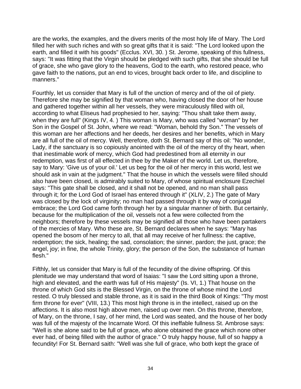are the works, the examples, and the divers merits of the most holy life of Mary. The Lord filled her with such riches and with so great gifts that it is said: "The Lord looked upon the earth, and filled it with his goods" (Ecclus. XVI, 30. ) St. Jerome, speaking of this fullness, says: "It was fitting that the Virgin should be pledged with such gifts, that she should be full of grace, she who gave glory to the heavens, God to the earth, who restored peace, who gave faith to the nations, put an end to vices, brought back order to life, and discipline to manners."

Fourthly, let us consider that Mary is full of the unction of mercy and of the oil of piety. Therefore she may be signified by that woman who, having closed the door of her house and gathered together within all her vessels, they were miraculously filled with oil, according to what Eliseus had prophesied to her, saying: "Thou shalt take them away, when they are full" (Kings IV, 4. ) This woman is Mary, who was called "woman" by her Son in the Gospel of St. John, where we read: "Woman, behold thy Son." The vessels of this woman are her affections and her deeds, her desires and her benefits, which in Mary are all full of the oil of mercy. Well, therefore, doth St. Bernard say of this oil: "No wonder, Lady, if the sanctuary is so copiously anointed with the oil of the mercy of thy heart, when that inestimable work of mercy, which God had predestined from all eternity in our redemption, was first of all effected in thee by the Maker of the world. Let us, therefore, say to Mary: 'Give us of your oil.' Let us beg for the oil of her mercy in this world, lest we should ask in vain at the judgment." That the house in which the vessels were filled should also have been closed, is admirably suited to Mary, of whose spiritual enclosure Ezechiel says: "This gate shall be closed, and it shall not be opened, and no man shall pass through it; for the Lord God of Israel has entered through it" (XLIV, 2.) The gate of Mary was closed by the lock of virginity; no man had passed through it by way of conjugal embrace; the Lord God came forth through her by a singular manner of birth. But certainly, because for the multiplication of the oil, vessels not a few were collected from the neighbors; therefore by these vessels may be signified all those who have been partakers of the mercies of Mary. Who these are, St. Bernard declares when he says: "Mary has opened the bosom of her mercy to all, that all may receive of her fullness: the captive, redemption; the sick, healing; the sad, consolation; the sinner, pardon; the just, grace; the angel, joy; in fine, the whole Trinity, glory; the person of the Son, the substance of human flesh."

Fifthly, let us consider that Mary is full of the fecundity of the divine offspring. Of this plenitude we may understand that word of Isaias: "I saw the Lord sitting upon a throne, high and elevated, and the earth was full of His majesty" (Is. VI, 1.) That house on the throne of which God sits is the Blessed Virgin, on the throne of whose mind the Lord rested. O truly blessed and stable throne, as it is said in the third Book of Kings: "Thy most firm throne for ever" (VIII, 13.) This most high throne is in the intellect, raised up on the affections. It is also most high above men, raised up over men. On this throne, therefore, of Mary, on the throne, I say, of her mind, the Lord was seated, and the house of her body was full of the majesty of the Incarnate Word. Of this ineffable fullness St. Ambrose says: "Well is she alone said to be full of grace, who alone obtained the grace which none other ever had, of being filled with the author of grace." O truly happy house, full of so happy a fecundity! For St. Bernard saith: "Well was she full of grace, who both kept the grace of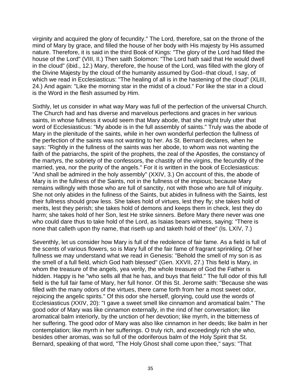virginity and acquired the glory of fecundity." The Lord, therefore, sat on the throne of the mind of Mary by grace, and filled the house of her body with His majesty by His assumed nature. Therefore, it is said in the third Book of Kings: "The glory of the Lord had filled the house of the Lord" (VIII, II.) Then saith Solomon: "The Lord hath said that He would dwell in the cloud" (ibid., 12.) Mary, therefore, the house of the Lord, was filled with the glory of the Divine Majesty by the cloud of the humanity assumed by God--that cloud, I say, of which we read in Ecclesiasticus: "The healing of all is in the hastening of the cloud" (XLIII, 24.) And again: "Like the morning star in the midst of a cloud." For like the star in a cloud is the Word in the flesh assumed by Him.

Sixthly, let us consider in what way Mary was full of the perfection of the universal Church. The Church had and has diverse and marvelous perfections and graces in her various saints, in whose fullness it would seem that Mary abode, that she might truly utter that word of Ecclesiasticus: "My abode is in the full assembly of saints." Truly was the abode of Mary in the plenitude of the saints, while in her own wonderful perfection the fullness of the perfection of the saints was not wanting to her. As St. Bernard declares, when he says: "Rightly in the fullness of the saints was her abode, to whom was not wanting the faith of the patriarchs, the spirit of the prophets, the zeal of the Apostles, the constancy of the martyrs, the sobriety of the confessors, the chastity of the virgins, the fecundity of the married, yea, nor the purity of the angels." For it is written in the book of Ecclesiasticus: "And shall be admired in the holy assembly" (XXIV, 3.) On account of this, the abode of Mary is in the fullness of the Saints, not in the fullness of the impious; because Mary remains willingly with those who are full of sanctity, not with those who are full of iniquity. She not only abides in the fullness of the Saints, but abides in fullness with the Saints, lest their fullness should grow less. She takes hold of virtues, lest they fly; she takes hold of merits, lest they perish; she takes hold of demons and keeps them in check, lest they do harm; she takes hold of her Son, lest He strike sinners. Before Mary there never was one who could dare thus to take hold of the Lord, as Isaias bears witness, saying: "There is none that calleth upon thy name, that riseth up and taketh hold of thee" (Is. LXIV, 7.)

Seventhly, let us consider how Mary is full of the redolence of fair fame. As a field is full of the scents of various flowers, so is Mary full of the fair fame of fragrant sprinkling. Of her fullness we may understand what we read in Genesis: "Behold the smell of my son is as the smell of a full field, which God hath blessed" (Gen. XXVII, 27.) This field is Mary, in whom the treasure of the angels, yea verily, the whole treasure of God the Father is hidden. Happy is he "who sells all that he has, and buys that field." The full odor of this full field is the full fair fame of Mary, her full honor. Of this St. Jerome saith: "Because she was filled with the many odors of the virtues, there came forth from her a most sweet odor, rejoicing the angelic spirits." Of this odor she herself, glorying, could use the words of Ecclesiasticus (XXIV, 20): "I gave a sweet smell like cinnamon and aromatical balm." The good odor of Mary was like cinnamon externally, in the rind of her conversation; like aromatical balm interiorly, by the unction of her devotion; like myrrh, in the bitterness of her suffering. The good odor of Mary was also like cinnamon in her deeds; like balm in her contemplation; like myrrh in her sufferings. O truly rich, and exceedingly rich she who, besides other aromas, was so full of the odoriferous balm of the Holy Spirit that St. Bernard, speaking of that word, "The Holy Ghost shall come upon thee," says: "That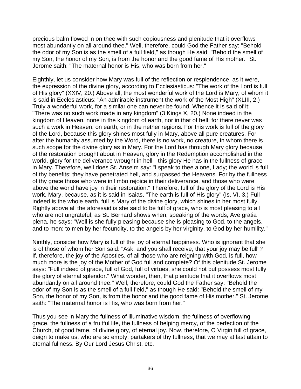precious balm flowed in on thee with such copiousness and plenitude that it overflows most abundantly on all around thee." Well, therefore, could God the Father say: "Behold the odor of my Son is as the smell of a full field," as though He said: "Behold the smell of my Son, the honor of my Son, is from the honor and the good fame of His mother." St. Jerome saith: "The maternal honor is His, who was born from her."

Eighthly, let us consider how Mary was full of the reflection or resplendence, as it were, the expression of the divine glory, according to Ecclesiasticus: "The work of the Lord is full of His glory" (XXIV, 20.) Above all, the most wonderful work of the Lord is Mary, of whom it is said in Ecclesiasticus: "An admirable instrument the work of the Most High" (XLIII, 2.) Truly a wonderful work, for a similar one can never be found. Whence it is said of it: "There was no such work made in any kingdom" (3 Kings X, 20.) None indeed in the kingdom of Heaven, none in the kingdom of earth, nor in that of hell; for there never was such a work in Heaven, on earth, or in the nether regions. For this work is full of the glory of the Lord, because this glory shines most fully in Mary, above all pure creatures. For after the humanity assumed by the Word, there is no work, no creature, in whom there is such scope for the divine glory as in Mary. For the Lord has through Mary glory because of the restoration brought about in Heaven, glory in the Redemption accomplished in the world, glory for the deliverance wrought in hell --this glory He has in the fullness of grace in Mary. Therefore, well does St. Anselm say: "I speak to thee alone, Lady; the world is full of thy benefits; they have penetrated hell, and surpassed the Heavens. For by the fullness of thy grace those who were in limbo rejoice in their deliverance, and those who were above the world have joy in their restoration." Therefore, full of the glory of the Lord is His work, Mary, because, as it is said in Isaias, "The earth is full of His glory" (Is. VI, 3.) Full indeed is the whole earth, full is Mary of the divine glory, which shines in her most fully. Rightly above all the aforesaid is she said to be full of grace, who is most pleasing to all who are not ungrateful, as St. Bernard shows when, speaking of the words, Ave gratia plena, he says: "Well is she fully pleasing because she is pleasing to God, to the angels, and to men; to men by her fecundity, to the angels by her virginity, to God by her humility."

Ninthly, consider how Mary is full of the joy of eternal happiness. Who is ignorant that she is of those of whom her Son said: "Ask, and you shall receive, that your joy may be full"? If, therefore, the joy of the Apostles, of all those who are reigning with God, is full, how much more is the joy of the Mother of God full and complete? Of this plenitude St. Jerome says: "Full indeed of grace, full of God, full of virtues, she could not but possess most fully the glory of eternal splendor." What wonder, then, that plenitude that it overflows most abundantly on all around thee." Well, therefore, could God the Father say: "Behold the odor of my Son is as the smell of a full field," as though He said: "Behold the smell of my Son, the honor of my Son, is from the honor and the good fame of His mother." St. Jerome saith: "The maternal honor is His, who was born from her."

Thus you see in Mary the fullness of illuminative wisdom, the fullness of overflowing grace, the fullness of a fruitful life, the fullness of helping mercy, of the perfection of the Church, of good fame, of divine glory, of eternal joy. Now, therefore, O Virgin full of grace, deign to make us, who are so empty, partakers of thy fullness, that we may at last attain to eternal fullness. By Our Lord Jesus Christ, etc.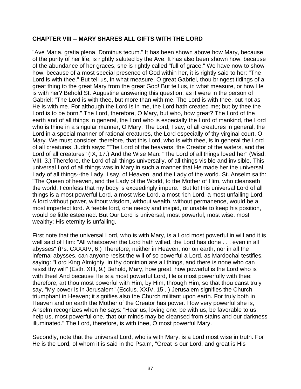# **CHAPTER VIII -- MARY SHARES ALL GIFTS WITH THE LORD**

"Ave Maria, gratia plena, Dominus tecum." It has been shown above how Mary, because of the purity of her life, is rightly saluted by the Ave. It has also been shown how, because of the abundance of her graces, she is rightly called "full of grace." We have now to show how, because of a most special presence of God within her, it is rightly said to her: "The Lord is with thee." But tell us, in what measure, O great Gabriel, thou bringest tidings of a great thing to the great Mary from the great God! But tell us, in what measure, or how He is with her? Behold St. Augustine answering this question, as it were in the person of Gabriel: "The Lord is with thee, but more than with me. The Lord is with thee, but not as He is with me. For although the Lord is in me, the Lord hath created me; but by thee the Lord is to be born." The Lord, therefore, O Mary, but who, how great? The Lord of the earth and of all things in general, the Lord who is especially the Lord of mankind, the Lord who is thine in a singular manner, O Mary. The Lord, I say, of all creatures in general, the Lord in a special manner of rational creatures, the Lord especially of thy virginal court, O Mary. We must consider, therefore, that this Lord, who is with thee, is in general the Lord of all creatures. Judith says: "The Lord of the heavens, the Creator of the waters, and the Lord of all creatures" (IX, 17.) And the Wise Man: "The Lord of all things loved her" (Wisd. VIII, 3.) Therefore, the Lord of all things universally, of all things visible and invisible. This universal Lord of all things was in Mary in such a manner that He made her the universal Lady of all things--the Lady, I say, of Heaven, and the Lady of the world. St. Anselm saith: "The Queen of heaven, and the Lady of the World, to the Mother of Him, who cleanseth the world, I confess that my body is exceedingly impure." But lo! this universal Lord of all things is a most powerful Lord, a most wise Lord, a most rich Lord, a most unfailing Lord. A lord without power, without wisdom, without wealth, without permanence, would be a most imperfect lord. A feeble lord, one needy and insipid, or unable to keep his position, would be little esteemed. But Our Lord is universal, most powerful, most wise, most wealthy; His eternity is unfailing.

First note that the universal Lord, who is with Mary, is a Lord most powerful in will and it is well said of Him: "All whatsoever the Lord hath willed, the Lord has done . . . even in all abysses" (Ps. CXXXIV, 6.) Therefore, neither in Heaven, nor on earth, nor in all the infernal abysses, can anyone resist the will of so powerful a Lord, as Mardochai testifies, saying: "Lord King Almighty, in thy dominion are all things, and there is none who can resist thy will" (Esth. XIII, 9.) Behold, Mary, how great, how powerful is the Lord who is with thee! And because He is a most powerful Lord, He is most powerfully with thee: therefore, art thou most powerful with Him, by Him, through Him, so that thou canst truly say, "My power is in Jerusalem" (Ecclus. XXIV, 15 . ) Jerusalem signifies the Church triumphant in Heaven; it signifies also the Church militant upon earth. For truly both in Heaven and on earth the Mother of the Creator has power. How very powerful she is, Anselm recognizes when he says: "Hear us, loving one; be with us, be favorable to us; help us, most powerful one, that our minds may be cleansed from stains and our darkness illuminated." The Lord, therefore, is with thee, O most powerful Mary.

Secondly, note that the universal Lord, who is with Mary, is a Lord most wise in truth. For He is the Lord, of whom it is said in the Psalm, "Great is our Lord, and great is His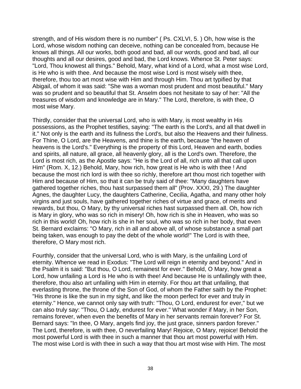strength, and of His wisdom there is no number" ( Ps. CXLVI, 5. ) Oh, how wise is the Lord, whose wisdom nothing can deceive, nothing can be concealed from, because He knows all things. All our works, both good and bad, all our words, good and bad, all our thoughts and all our desires, good and bad, the Lord knows. Whence St. Peter says: "Lord, Thou knowest all things." Behold, Mary, what kind of a Lord, what a most wise Lord, is He who is with thee. And because the most wise Lord is most wisely with thee, therefore, thou too art most wise with Him and through Him. Thou art typified by that Abigail, of whom it was said: "She was a woman most prudent and most beautiful." Mary was so prudent and so beautiful that St. Anselm does not hesitate to say of her: "All the treasures of wisdom and knowledge are in Mary." The Lord, therefore, is with thee, O most wise Mary.

Thirdly, consider that the universal Lord, who is with Mary, is most wealthy in His possessions, as the Prophet testifies, saying: "The earth is the Lord's, and all that dwell in it." Not only is the earth and its fullness the Lord's, but also the Heavens and their fullness. For Thine, O Lord, are the Heavens, and thine is the earth, because "the heaven of heavens is the Lord's." Everything is the property of this Lord, Heaven and earth, bodies and spirits, all nature, all grace, all heavenly glory, all is the Lord's own. Therefore, the Lord is most rich, as the Apostle says: "He is the Lord of all, rich unto all that call upon Him" (Rom. X, 12.) Behold, Mary, how rich, how great is He who is with thee ! And because the most rich lord is with thee so richly, therefore art thou most rich together with Him and because of Him, so that it can be truly said of thee: "Many daughters have gathered together riches, thou hast surpassed them all" (Prov. XXXI, 29.) The daughter Agnes, the daughter Lucy, the daughters Catherine, Cecilia, Agatha, and many other holy virgins and just souls, have gathered together riches of virtue and grace, of merits and rewards, but thou, O Mary, by thy universal riches hast surpassed them all. Oh, how rich is Mary in glory, who was so rich in misery! Oh, how rich is she in Heaven, who was so rich in this world! Oh, how rich is she in her soul, who was so rich in her body, that even St. Bernard exclaims: "O Mary, rich in all and above all, of whose substance a small part being taken, was enough to pay the debt of the whole world!" The Lord is with thee, therefore, O Mary most rich.

Fourthly, consider that the universal Lord, who is with Mary, is the unfailing Lord of eternity. Whence we read in Exodus: "The Lord will reign in eternity and beyond." And in the Psalm it is said: "But thou, O Lord, remainest for ever." Behold, O Mary, how great a Lord, how unfailing a Lord is He who is with thee! And because He is unfailingly with thee, therefore, thou also art unfailing with Him in eternity. For thou art that unfailing, that everlasting throne, the throne of the Son of God, of whom the Father saith by the Prophet: "His throne is like the sun in my sight, and like the moon perfect for ever and truly in eternity." Hence, we cannot only say with truth: "Thou, O Lord, endurest for ever," but we can also truly say: "Thou, O Lady, endurest for ever." What wonder if Mary, in her Son, remains forever, when even the benefits of Mary in her servants remain forever? For St. Bernard says: "In thee, O Mary, angels find joy, the just grace, sinners pardon forever." The Lord, therefore, is with thee, O neverfailing Mary! Rejoice, O Mary, rejoice! Behold the most powerful Lord is with thee in such a manner that thou art most powerful with Him. The most wise Lord is with thee in such a way that thou art most wise with Him. The most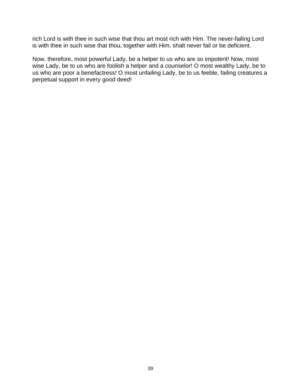rich Lord is with thee in such wise that thou art most rich with Him. The never-failing Lord is with thee in such wise that thou, together with Him, shalt never fail or be deficient.

Now, therefore, most powerful Lady, be a helper to us who are so impotent! Now, most wise Lady, be to us who are foolish a helper and a counselor! O most wealthy Lady, be to us who are poor a benefactress! O most unfailing Lady, be to us feeble, failing creatures a perpetual support in every good deed!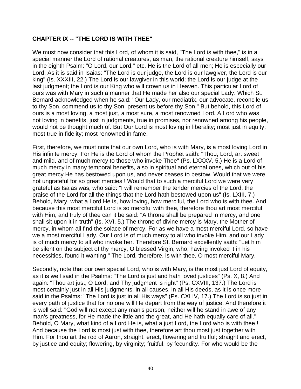# **CHAPTER IX -- "THE LORD IS WITH THEE"**

We must now consider that this Lord, of whom it is said, "The Lord is with thee," is in a special manner the Lord of rational creatures, as man, the rational creature himself, says in the eighth Psalm: "O Lord, our Lord," etc. He is the Lord of all men; He is especially our Lord. As it is said in Isaias: "The Lord is our judge, the Lord is our lawgiver, the Lord is our king" (Is. XXXIII, 22.) The Lord is our lawgiver in this world; the Lord is our judge at the last judgment; the Lord is our King who will crown us in Heaven. This particular Lord of ours was with Mary in such a manner that He made her also our special Lady. Which St. Bernard acknowledged when he said: "Our Lady, our mediatrix, our advocate, reconcile us to thy Son, commend us to thy Son, present us before thy Son." But behold, this Lord of ours is a most loving, a most just, a most sure, a most renowned Lord. A Lord who was not loving in benefits, just in judgments, true in promises, nor renowned among his people, would not be thought much of. But Our Lord is most loving in liberality; most just in equity; most true in fidelity; most renowned in fame.

First, therefore, we must note that our own Lord, who is with Mary, is a most loving Lord in His infinite mercy. For He is the Lord of whom the Prophet saith: "Thou, Lord, art sweet and mild, and of much mercy to those who invoke Thee" (Ps. LXXXV, 5.) He is a Lord of much mercy in many temporal benefits, also in spiritual and eternal ones, which out of his great mercy He has bestowed upon us, and never ceases to bestow. Would that we were not ungrateful for so great mercies ! Would that to such a merciful Lord we were very grateful as Isaias was, who said: "I will remember the tender mercies of the Lord, the praise of the Lord for all the things that the Lord hath bestowed upon us" (Is. LXIII, 7.) Behold, Mary, what a Lord He is, how loving, how merciful, the Lord who is with thee. And because this most merciful Lord is so merciful with thee, therefore thou art most merciful with Him, and truly of thee can it be said: "A throne shall be prepared in mercy, and one shall sit upon it in truth" (Is. XVI, 5.) The throne of divine mercy is Mary, the Mother of mercy, in whom all find the solace of mercy. For as we have a most merciful Lord, so have we a most merciful Lady. Our Lord is of much mercy to all who invoke Him, and our Lady is of much mercy to all who invoke her. Therefore St. Bernard excellently saith: "Let him be silent on the subject of thy mercy, O blessed Virgin, who, having invoked it in his necessities, found it wanting." The Lord, therefore, is with thee, O most merciful Mary.

Secondly, note that our own special Lord, who is with Mary, is the most just Lord of equity, as it is well said in the Psalms: "The Lord is just and hath loved justices" (Ps. X, 8.) And again: "Thou art just, O Lord, and Thy judgment is right" (Ps. CXVIII, 137.) The Lord is most certainly just in all His judgments, in all causes, in all His deeds, as it is once more said in the Psalms: "The Lord is just in all His ways" (Ps. CXLIV, 17.) The Lord is so just in every path of justice that for no one will He depart from the way of justice. And therefore it is well said: "God will not except any man's person, neither will he stand in awe of any man's greatness, for He made the little and the great, and He hath equally care of all." Behold, O Mary, what kind of a Lord He is, what a just Lord, the Lord who is with thee ! And because the Lord is most just with thee, therefore art thou most just together with Him. For thou art the rod of Aaron, straight, erect, flowering and fruitful; straight and erect, by justice and equity; flowering, by virginity; fruitful, by fecundity. For who would be the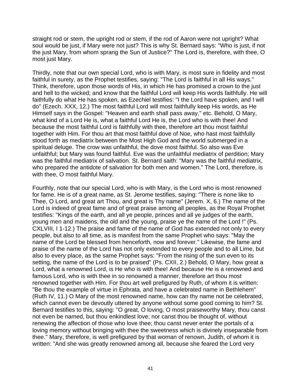straight rod or stem, the upright rod or stem, if the rod of Aaron were not upright? What soul would be just, if Mary were not just? This is why St. Bernard says: "Who is just, if not the just Mary, from whom sprang the Sun of Justice?" The Lord is, therefore, with thee, O most just Mary.

Thirdly, note that our own special Lord, who is with Mary, is most sure in fidelity and most faithful in surety, as the Prophet testifies, saying: "The Lord is faithful in all His ways." Think, therefore, upon those words of His, in which He has promised a crown to the just and hell to the wicked; and know that the faithful Lord will keep His words faithfully. He will faithfully do what He has spoken, as Ezechiel testifies: "I the Lord have spoken, and I will do" (Ezech. XXX, 12.) The most faithful Lord will most faithfully keep His words, as He Himself says in the Gospel: "Heaven and earth shall pass away," etc. Behold, O Mary, what kind of a Lord He is, what a faithful Lord He is, the Lord who is with thee! And because the most faithful Lord is faithfully with thee, therefore art thou most faithful together with Him. For thou art that most faithful dove of Noe, who hast most faithfully stood forth as mediatrix between the Most High God and the world submerged in a spiritual deluge. The crow was unfaithful, the dove most faithful. So also was Eve unfaithful; but Mary was found faithful. Eve was the unfaithful mediatrix of perdition; Mary was the faithful mediatrix of salvation. St. Bernard saith: "Mary was the faithful mediatrix, who prepared the antidote of salvation for both men and women." The Lord, therefore, is with thee, O most faithful Mary.

Fourthly, note that our special Lord, who is with Mary, is the Lord who is most renowned for fame. He is of a great name, as St. Jerome testifies, saying: "There is none like to Thee, O Lord, and great art Thou, and great is Thy name" (Jerem. X, 6.) The name of the Lord is indeed of great fame and of great praise among all peoples, as the Royal Prophet testifies: "Kings of the earth, and all ye people, princes and all ye judges of the earth, young men and maidens, the old and the young, praise ye the name of the Lord !" (Ps. CXLVIII, I 1-12.) The praise and fame of the name of God has extended not only to every people, but also to all time, as is manifest from the same Prophet who says: "May the name of the Lord be blessed from henceforth, now and forever." Likewise, the fame and praise of the name of the Lord has not only extended to every people and to all Lime, but also to every place, as the same Prophet says: "From the rising of the sun even to its setting, the name of the Lord is to be praised" (Ps. CXII, 2.) Behold, O Mary, how great a Lord, what a renowned Lord, is He who is with thee! And because He is a renowned and famous Lord, who is with thee in so renowned a manner, therefore art thou most renowned together with Him. For thou art well prefigured by Ruth, of whom it is written: "Be thou the example of virtue in Ephrata, and have a celebrated name in Bethlehem" (Ruth IV, 11.) O Mary of the most renowned name, how can thy name not be celebrated, which cannot even be devoutly uttered by anyone without some good coming to him? St. Bernard testifies to this, saying: "O great, O loving, O most praiseworthy Mary, thou canst not even be named, but thou enkindlest love; nor canst thou be thought of, without renewing the affection of those who love thee; thou canst never enter the portals of a loving memory without bringing with thee the sweetness which is divinely inseparable from thee." Mary, therefore, is well prefigured by that woman of renown, Judith, of whom it is written: "And she was greatly renowned among all, because she feared the Lord very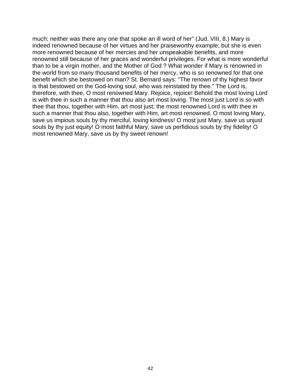much; neither was there any one that spoke an ill word of her" (Jud. VIII, 8.) Mary is indeed renowned because of her virtues and her praiseworthy example; but she is even more renowned because of her mercies and her unspeakable benefits, and more renowned still because of her graces and wonderful privileges. For what is more wonderful than to be a virgin mother, and the Mother of God ? What wonder if Mary is renowned in the world from so many thousand benefits of her mercy, who is so renowned for that one benefit which she bestowed on man? St. Bernard says: "The renown of thy highest favor is that bestowed on the God-loving soul, who was reinstated by thee." The Lord is, therefore, with thee, O most renowned Mary. Rejoice, rejoice! Behold the most loving Lord is with thee in such a manner that thou also art most loving. The most just Lord is so with thee that thou, together with Him, art most just; the most renowned Lord is with thee in such a manner that thou also, together with Him, art most renowned. O most loving Mary, save us impious souls by thy merciful, loving kindness! O most just Mary, save us unjust souls by thy just equity! O most faithful Mary, save us perfidious souls by thy fidelity! O most renowned Mary, save us by thy sweet renown!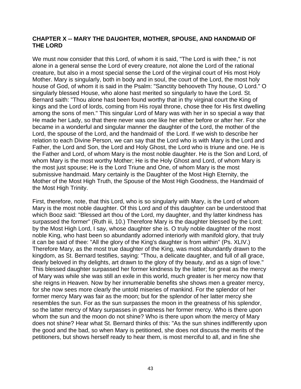## **CHAPTER X -- MARY THE DAUGHTER, MOTHER, SPOUSE, AND HANDMAID OF THE LORD**

We must now consider that this Lord, of whom it is said, "The Lord is with thee," is not alone in a general sense the Lord of every creature, not alone the Lord of the rational creature, but also in a most special sense the Lord of the virginal court of His most Holy Mother. Mary is singularly, both in body and in soul, the court of the Lord, the most holy house of God, of whom it is said in the Psalm: "Sanctity behooveth Thy house, O Lord." O singularly blessed House, who alone hast merited so singularly to have the Lord. St. Bernard saith: "Thou alone hast been found worthy that in thy virginal court the King of kings and the Lord of lords, coming from His royal throne, chose thee for His first dwelling among the sons of men." This singular Lord of Mary was with her in so special a way that He made her Lady, so that there never was one like her either before or after her. For she became in a wonderful and singular manner the daughter of the Lord, the mother of the Lord, the spouse of the Lord, and the handmaid of the Lord. If we wish to describe her relation to each Divine Person, we can say that the Lord who is with Mary is the Lord and Father, the Lord and Son, the Lord and Holy Ghost, the Lord who is triune and one. He is the Father and Lord, of whom Mary is the most noble daughter. He is the Son and Lord, of whom Mary is the most worthy Mother; He is the Holy Ghost and Lord, of whom Mary is the most just spouse; He is the Lord Triune and One, of whom Mary is the most submissive handmaid. Mary certainly is the Daughter of the Most High Eternity, the Mother of the Most High Truth, the Spouse of the Most High Goodness, the Handmaid of the Most High Trinity.

First, therefore, note, that this Lord, who is so singularly with Mary, is the Lord of whom Mary is the most noble daughter. Of this Lord and of this daughter can be understood that which Booz said: "Blessed art thou of the Lord, my daughter, and thy latter kindness has surpassed the former" (Ruth iii, 10.) Therefore Mary is the daughter blessed by the Lord; by the Most High Lord, I say, whose daughter she is. O truly noble daughter of the most noble King, who hast been so abundantly adorned interiorly with manifold glory, that truly it can be said of thee: "All the glory of the King's daughter is from within" (Ps. XLIV.) Therefore Mary, as the most true daughter of the King, was most abundantly drawn to the kingdom, as St. Bernard testifies, saying: "Thou, a delicate daughter, and full of all grace, dearly beloved in thy delights, art drawn to the glory of thy beauty, and as a sign of love." This blessed daughter surpassed her former kindness by the latter; for great as the mercy of Mary was while she was still an exile in this world, much greater is her mercy now that she reigns in Heaven. Now by her innumerable benefits she shows men a greater mercy, for she now sees more clearly the untold miseries of mankind. For the splendor of her former mercy Mary was fair as the moon; but for the splendor of her latter mercy she resembles the sun. For as the sun surpasses the moon in the greatness of his splendor, so the latter mercy of Mary surpasses in greatness her former mercy. Who is there upon whom the sun and the moon do not shine? Who is there upon whom the mercy of Mary does not shine? Hear what St. Bernard thinks of this: "As the sun shines indifferently upon the good and the bad, so when Mary is petitioned, she does not discuss the merits of the petitioners, but shows herself ready to hear them, is most merciful to all, and in fine she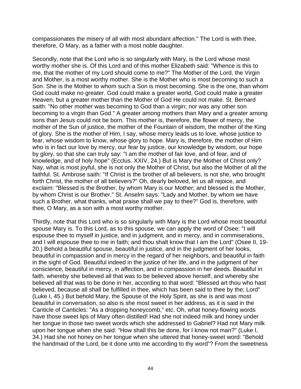compassionates the misery of all with most abundant affection." The Lord is with thee, therefore, O Mary, as a father with a most noble daughter.

Secondly, note that the Lord who is so singularly with Mary, is the Lord whose most worthy mother she is. Of this Lord and of this mother Elizabeth said: "Whence is this to me, that the mother of my Lord should come to me?" The Mother of the Lord, the Virgin and Mother, is a most worthy mother. She is the Mother who is most becoming to such a Son. She is the Mother to whom such a Son is most becoming. She is the one, than whom God could make no greater. God could make a greater world, God could make a greater Heaven, but a greater mother than the Mother of God He could not make. St. Bernard saith: "No other mother was becoming to God than a virgin; nor was any other son becoming to a virgin than God." A greater among mothers than Mary and a greater among sons than Jesus could not be born. This mother is, therefore, the flower of mercy, the mother of the Sun of justice, the mother of the Fountain of wisdom, the mother of the King of glory. She is the mother of Him, I say, whose mercy leads us to love, whose justice to fear, whose wisdom to know, whose glory to hope. Mary is, therefore, the mother of Him who is in fact our love by mercy, our fear by justice, our knowledge by wisdom, our hope by glory, so that she can truly say: "I am the mother of fair love, and of fear, and of knowledge, and of holy hope" (Ecclus. XXIV, 24.) But is Mary the Mother of Christ only? Nay, what is most joyful, she is not only the Mother of Christ, but also the Mother of all the faithful. St. Ambrose saith: "If Christ is the brother of all believers, is not she, who brought forth Christ, the mother of all believers?" Oh, dearly beloved, let us all rejoice, and exclaim: "Blessed is the Brother, by whom Mary is our Mother; and blessed is the Mother, by whom Christ is our Brother." St. Anselm says: "Lady and Mother, by whom we have such a Brother, what thanks, what praise shall we pay to thee?" God is, therefore, with thee, O Mary, as a son with a most worthy mother.

Thirdly, note that this Lord who is so singularly with Mary is the Lord whose most beautiful spouse Mary is. To this Lord, as to this spouse, we can apply the word of Osee: "I will espouse thee to myself in justice, and in judgment, and in mercy, and in commiserations, and I will espouse thee to me in faith; and thou shalt know that I am the Lord" (Osee II, 19- 20.) Behold a beautiful spouse, beautiful in justice, and in the judgment of her looks, beautiful in compassion and in mercy in the regard of her neighbors, and beautiful in faith in the sight of God. Beautiful indeed in the justice of her life, and in the judgment of her conscience, beautiful in mercy, in affection, and in compassion in her deeds. Beautiful in faith, whereby she believed all that was to be believed above herself, and whereby she believed all that was to be done in her, according to that word: "Blessed art thou who hast believed, because all shall be fulfilled in thee, which has been said to thee by the; Lord" (Luke I, 45.) But behold Mary, the Spouse of the Holy Spirit, as she is and was most beautiful in conversation, so also is she most sweet in her address, as it is said in the Canticle of Canticles: "As a dropping honeycomb," etc. Oh, what honey-flowing words have those sweet lips of Mary often distilled! Had she not indeed milk and honey under her tongue in those two sweet words which she addressed to Gabriel? Had not Mary milk upon her tongue when she said: "How shall this be done, for I know not man?" (Luke I, 34.) Had she not honey on her tongue when she uttered that honey-sweet word: "Behold the handmaid of the Lord, be it done unto me according to thy word"? From the sweetness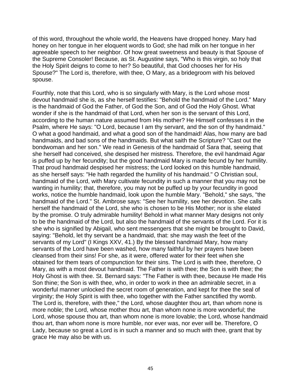of this word, throughout the whole world, the Heavens have dropped honey. Mary had honey on her tongue in her eloquent words to God; she had milk on her tongue in her agreeable speech to her neighbor. Of how great sweetness and beauty is that Spouse of the Supreme Consoler! Because, as St. Augustine says, "Who is this virgin, so holy that the Holy Spirit deigns to come to her? So beautiful, that God chooses her for His Spouse?" The Lord is, therefore, with thee, O Mary, as a bridegroom with his beloved spouse.

Fourthly, note that this Lord, who is so singularly with Mary, is the Lord whose most devout handmaid she is, as she herself testifies: "Behold the handmaid of the Lord." Mary is the handmaid of God the Father, of God the Son, and of God the Holy Ghost. What wonder if she is the handmaid of that Lord, when her son is the servant of this Lord, according to the human nature assumed from His mother? He Himself confesses it in the Psalm, where He says: "O Lord, because I am thy servant, and the son of thy handmaid." O what a good handmaid, and what a good son of the handmaid! Alas, how many are bad handmaids, and bad sons of the handmaids. But what saith the Scripture? "Cast out the bondwoman and her son." We read in Genesis of the handmaid of Sara that, seeing that she herself had conceived, she despised her mistress. Therefore, the evil handmaid Agar is puffed up by her fecundity; but the good handmaid Mary is made fecund by her humility. That proud handmaid despised her mistress; the Lord looked on this humble handmaid, as she herself says: "He hath regarded the humility of his handmaid." O Christian soul, handmaid of the Lord, with Mary cultivate fecundity in such a manner that you may not be wanting in humility; that, therefore, you may not be puffed up by your fecundity in good works, notice the humble handmaid, look upon the humble Mary. "Behold," she says, "the handmaid of the Lord." St. Ambrose says: "See her humility, see her devotion. She calls herself the handmaid of the Lord, she who is chosen to be His Mother; nor is she elated by the promise. O truly admirable humility! Behold in what manner Mary designs not only to be the handmaid of the Lord, but also the handmaid of the servants of the Lord. For it is she who is signified by Abigail, who sent messengers that she might be brought to David, saying: "Behold, let thy servant be a handmaid, that: she may wash the feet of the servants of my Lord" (I Kings XXV, 41.) By the blessed handmaid Mary, how many servants of the Lord have been washed, how many faithful by her prayers have been cleansed from their sins! For she, as it were, offered water for their feet when she obtained for them tears of compunction for their sins. The Lord is with thee, therefore, O Mary, as with a most devout handmaid. The Father is with thee; the Son is with thee; the Holy Ghost is with thee. St. Bernard says: "The Father is with thee, because He made His Son thine; the Son is with thee, who, in order to work in thee an admirable secret, in a wonderful manner unlocked the secret room of generation, and kept for thee the seal of virginity; the Holy Spirit is with thee, who together with the Father sanctified thy womb. The Lord is, therefore, with thee," the Lord, whose daughter thou art, than whom none is more noble; the Lord, whose mother thou art, than whom none is more wonderful; the Lord, whose spouse thou art, than whom none is more lovable; the Lord, whose handmaid thou art, than whom none is more humble, nor ever was, nor ever will be. Therefore, O Lady, because so great a Lord is in such a manner and so much with thee, grant that by grace He may also be with us.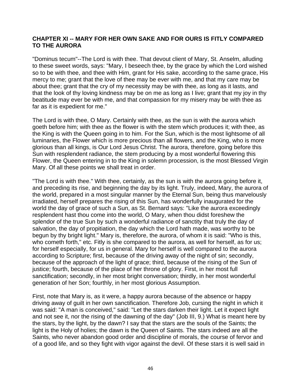## **CHAPTER XI -- MARY FOR HER OWN SAKE AND FOR OURS IS FITLY COMPARED TO THE AURORA**

"Dominus tecum"--The Lord is with thee. That devout client of Mary, St. Anselm, alluding to these sweet words, says: "Mary, I beseech thee, by the grace by which the Lord wished so to be with thee, and thee with Him, grant for His sake, according to the same grace, His mercy to me; grant that the love of thee may be ever with me, and that my care may be about thee; grant that the cry of my necessity may be with thee, as long as it lasts, and that the look of thy loving kindness may be on me as long as I live; grant that my joy in thy beatitude may ever be with me, and that compassion for my misery may be with thee as far as it is expedient for me."

The Lord is with thee, O Mary. Certainly with thee, as the sun is with the aurora which goeth before him; with thee as the flower is with the stem which produces it; with thee, as the King is with the Queen going in to him. For the Sun, which is the most lightsome of all luminaries, the Flower which is more precious than all flowers, and the King, who is more glorious than all kings, is Our Lord Jesus Christ. The aurora, therefore, going before this Sun with resplendent radiance, the stem producing by a most wonderful flowering this Flower, the Queen entering in to the King in solemn procession, is the most Blessed Virgin Mary. Of all these points we shall treat in order.

"The Lord is with thee." With thee, certainly, as the sun is with the aurora going before it, and preceding its rise, and beginning the day by its light. Truly, indeed, Mary, the aurora of the world, prepared in a most singular manner by the Eternal Sun, being thus marvelously irradiated, herself prepares the rising of this Sun, has wonderfully inaugurated for the world the day of grace of such a Sun, as St. Bernard says: "Like the aurora exceedingly resplendent hast thou come into the world, O Mary, when thou didst foreshew the splendor of the true Sun by such a wonderful radiance of sanctity that truly the day of salvation, the day of propitiation, the day which the Lord hath made, was worthy to be begun by thy bright light." Mary is, therefore, the aurora, of whom it is said: "Who is this, who cometh forth," etc. Fitly is she compared to the aurora, as well for herself, as for us; for herself especially, for us in general. Mary for herself is well compared to the aurora according to Scripture; first, because of the driving away of the night of sin; secondly, because of the approach of the light of grace; third, because of the rising of the Sun of justice; fourth, because of the place of her throne of glory. First, in her most full sanctification; secondly, in her most bright conversation; thirdly, in her most wonderful generation of her Son; fourthly, in her most glorious Assumption.

First, note that Mary is, as it were, a happy aurora because of the absence or happy driving away of guilt in her own sanctification. Therefore Job, cursing the night in which it was said: "A man is conceived," said: "Let the stars darken their light. Let it expect light and not see it, nor the rising of the dawning of the day" (Job III, 9.) What is meant here by the stars, by the light, by the dawn? I say that the stars are the souls of the Saints; the light is the Holy of holies; the dawn is the Queen of Saints. The stars indeed are all the Saints, who never abandon good order and discipline of morals, the course of fervor and of a good life, and so they fight with vigor against the devil. Of these stars it is well said in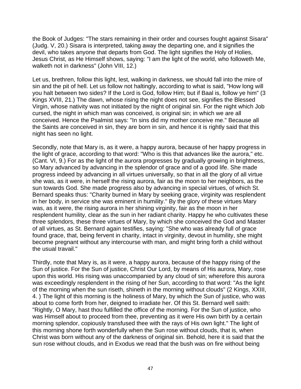the Book of Judges: "The stars remaining in their order and courses fought against Sisara" (Judg. V, 20.) Sisara is interpreted, taking away the departing one, and it signifies the devil, who takes anyone that departs from God. The light signifies the Holy of Holies, Jesus Christ, as He Himself shows, saying: "I am the light of the world, who followeth Me, walketh not in darkness" (John VIII, 12.)

Let us, brethren, follow this light, lest, walking in darkness, we should fall into the mire of sin and the pit of hell. Let us follow not haltingly, according to what is said, "How long will you halt between two sides? If the Lord is God, follow Him; but if Baal is, follow ye him" (3 Kings XVIII, 21.) The dawn, whose rising the night does not see, signifies the Blessed Virgin, whose nativity was not initiated by the night of original sin. For the night which Job cursed, the night in which man was conceived, is original sin; in which we are all conceived. Hence the Psalmist says: "In sins did my mother conceive me." Because all the Saints are conceived in sin, they are born in sin, and hence it is rightly said that this night has seen no light.

Secondly, note that Mary is, as it were, a happy aurora, because of her happy progress in the light of grace, according to that word: "Who is this that advances like the aurora," etc. (Cant. VI, 9.) For as the light of the aurora progresses by gradually growing in brightness, so Mary advanced by advancing in the splendor of grace and of a good life. She made progress indeed by advancing in all virtues universally, so that in all the glory of all virtue she was, as it were, in herself the rising aurora, fair as the moon to her neighbors, as the sun towards God. She made progress also by advancing in special virtues, of which St. Bernard speaks thus: "Charity burned in Mary by seeking grace, virginity was resplendent in her body, in service she was eminent in humility." By the glory of these virtues Mary was, as it were, the rising aurora in her shining virginity, fair as the moon in her resplendent humility, clear as the sun in her radiant charity. Happy he who cultivates these three splendors, these three virtues of Mary, by which she conceived the God and Master of all virtues, as St. Bernard again testifies, saying: "She who was already full of grace found grace, that, being fervent in charity, intact in virginity, devout in humility, she might become pregnant without any intercourse with man, and might bring forth a child without the usual travail."

Thirdly, note that Mary is, as it were, a happy aurora, because of the happy rising of the Sun of justice. For the Sun of justice, Christ Our Lord, by means of His aurora, Mary, rose upon this world. His rising was unaccompanied by any cloud of sin; wherefore this aurora was exceedingly resplendent in the rising of her Sun, according to that word: "As the light of the morning when the sun riseth, shineth in the morning without clouds" (2 Kings, XXIII, 4. ) The light of this morning is the holiness of Mary, by which the Sun of justice, who was about to come forth from her, deigned to irradiate her. Of this St. Bernard well saith: "Rightly, O Mary, hast thou fulfilled the office of the morning. For the Sun of justice, who was Himself about to proceed from thee, preventing as it were His own birth by a certain morning splendor, copiously transfused thee with the rays of His own light." The light of this morning shone forth wonderfully when the Sun rose without clouds, that is, when Christ was born without any of the darkness of original sin. Behold, here it is said that the sun rose without clouds, and in Exodus we read that the bush was on fire without being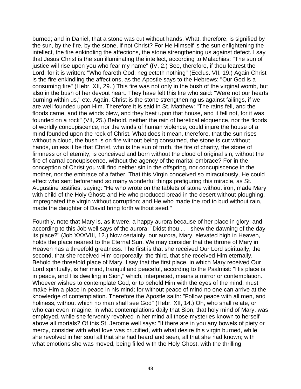burned; and in Daniel, that a stone was cut without hands. What, therefore, is signified by the sun, by the fire, by the stone, if not Christ? For He Himself is the sun enlightening the intellect, the fire enkindling the affections, the stone strengthening us against defect. I say that Jesus Christ is the sun illuminating the intellect, according to Malachias: "The sun of justice will rise upon you who fear my name" (IV, 2.) See, therefore, if thou fearest the Lord, for it is written: "Who feareth God, neglecteth nothing" (Ecclus. VII, 19.) Again Christ is the fire enkindling the affections, as the Apostle says to the Hebrews: "Our God is a consuming fire" (Hebr. XII, 29. ) This fire was not only in the bush of the virginal womb, but also in the bush of her devout heart. They have felt this fire who said: "Were not our hearts burning within us," etc. Again, Christ is the stone strengthening us against failings, if we are well founded upon Him. Therefore it is said in St. Matthew: "The rains fell, and the floods came, and the winds blew, and they beat upon that house, and it fell not, for it was founded on a rock" (VII, 25.) Behold, neither the rain of heretical eloquence, nor the floods of worldly concupiscence, nor the winds of human violence, could injure the house of a mind founded upon the rock of Christ. What does it mean, therefore, that the sun rises without a cloud, the bush is on fire without being consumed, the stone is cut without hands, unless it be that Christ, who is the sun of truth, the fire of charity, the stone of firmness or of eternity, is conceived and born without the cloud of original sin, without the fire of carnal concupiscence, without the agency of the marital embrace? For in the conception of Christ you will find neither sin in the offspring, nor concupiscence in the mother, nor the embrace of a father. That this Virgin conceived so miraculously, He could effect who sent beforehand so many wonderful things prefiguring this miracle, as St. Augustine testifies, saying: "He who wrote on the tablets of stone without iron, made Mary with child of the Holy Ghost; and He who produced bread in the desert without ploughing, impregnated the virgin without corruption; and He who made the rod to bud without rain, made the daughter of David bring forth without seed."

Fourthly, note that Mary is, as it were, a happy aurora because of her place in glory; and according to this Job well says of the aurora: "Didst thou . . . shew the dawning of the day its place?" (Job XXXVIII, 12.) Now certainly, our aurora, Mary, elevated high in Heaven, holds the place nearest to the Eternal Sun. We may consider that the throne of Mary in Heaven has a threefold greatness. The first is that she received Our Lord spiritually; the second, that she received Him corporeally; the third, that she received Him eternally. Behold the threefold place of Mary. I say that the first place, in which Mary received Our Lord spiritually, is her mind, tranquil and peaceful, according to the Psalmist: "His place is in peace, and His dwelling in Sion," which, interpreted, means a mirror or contemplation. Whoever wishes to contemplate God, or to behold Him with the eyes of the mind, must make Him a place in peace in his mind; for without peace of mind no one can arrive at the knowledge of contemplation. Therefore the Apostle saith: "Follow peace with all men, and holiness, without which no man shall see God" (Hebr. XII, 14.) Oh, who shall relate, or who can even imagine, in what contemplations daily that Sion, that holy mind of Mary, was employed, while she fervently revolved in her mind all those mysteries known to herself above all mortals? Of this St. Jerome well says: "If there are in you any bowels of piety or mercy, consider with what love was crucified, with what desire this virgin burned, while she revolved in her soul all that she had heard and seen, all that she had known; with what emotions she was moved, being filled with the Holy Ghost, with the thrilling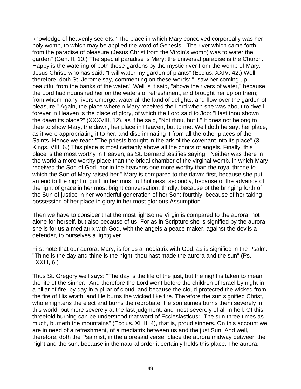knowledge of heavenly secrets." The place in which Mary conceived corporeally was her holy womb, to which may be applied the word of Genesis: "The river which came forth from the paradise of pleasure (Jesus Christ from the Virgin's womb) was to water the garden" (Gen. II, 10.) The special paradise is Mary; the universal paradise is the Church. Happy is the watering of both these gardens by the mystic river from the womb of Mary, Jesus Christ, who has said: "I will water my garden of plants" (Ecclus. XXIV, 42.) Well, therefore, doth St. Jerome say, commenting on these words: "I saw her coming up beautiful from the banks of the water." Well is it said, "above the rivers of water," because the Lord had nourished her on the waters of refreshment, and brought her up on them; from whom many rivers emerge, water all the land of delights, and flow over the garden of pleasure." Again, the place wherein Mary received the Lord when she was about to dwell forever in Heaven is the place of glory, of which the Lord said to Job: "Hast thou shown the dawn its place?" (XXXVIII, 12), as if he said, "Not thou, but I." It does not belong to thee to show Mary, the dawn, her place in Heaven, but to me. Well doth he say, her place, as it were appropriating it to her, and discriminating it from all the other places of the Saints. Hence we read: "The priests brought in the ark of the covenant into its place" (3 Kings, VIII, 6.) This place is most certainly above all the choirs of angels. Finally, this place is the most worthy in Heaven, as St. Bernard testifies saying: "Neither was there in the world a more worthy place than the bridal chamber of the virginal womb, in which Mary received the Son of God, nor in the heavens one more worthy than the royal throne to which the Son of Mary raised her." Mary is compared to the dawn; first, because she put an end to the night of guilt, in her most full holiness; secondly, because of the advance of the light of grace in her most bright conversation; thirdly, because of the bringing forth of the Sun of justice in her wonderful generation of her Son; fourthly, because of her taking possession of her place in glory in her most glorious Assumption.

Then we have to consider that the most lightsome Virgin is compared to the aurora, not alone for herself, but also because of us. For as in Scripture she is signified by the aurora, she is for us a mediatrix with God, with the angels a peace-maker, against the devils a defender, to ourselves a lightgiver.

First note that our aurora, Mary, is for us a mediatrix with God, as is signified in the Psalm: "Thine is the day and thine is the night, thou hast made the aurora and the sun" (Ps. LXXIII, 6.)

Thus St. Gregory well says: "The day is the life of the just, but the night is taken to mean the life of the sinner." And therefore the Lord went before the children of Israel by night in a pillar of fire, by day in a pillar of cloud, and because the cloud protected the wicked from the fire of His wrath, and He burns the wicked like fire. Therefore the sun signified Christ, who enlightens the elect and burns the reprobate. He sometimes burns them severely in this world, but more severely at the last judgment, and most severely of all in hell. Of this threefold burning can be understood that word of Ecclesiasticus: "The sun three times as much, burneth the mountains" (Ecclus. XLIII, 4), that is, proud sinners. On this account we are in need of a refreshment, of a mediatrix between us and the just Sun. And well, therefore, doth the Psalmist, in the aforesaid verse, place the aurora midway between the night and the sun, because in the natural order it certainly holds this place. The aurora,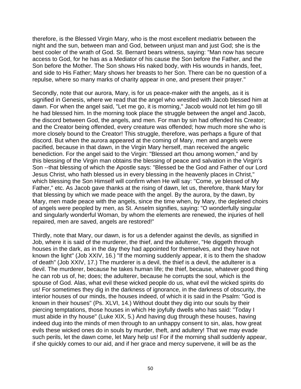therefore, is the Blessed Virgin Mary, who is the most excellent mediatrix between the night and the sun, between man and God, between unjust man and just God; she is the best cooler of the wrath of God. St. Bernard bears witness, saying: "Man now has secure access to God, for he has as a Mediator of his cause the Son before the Father, and the Son before the Mother. The Son shows His naked body, with His wounds in hands, feet, and side to His Father; Mary shows her breasts to her Son. There can be no question of a repulse, where so many marks of charity appear in one, and present their prayer."

Secondly, note that our aurora, Mary, is for us peace-maker with the angels, as it is signified in Genesis, where we read that the angel who wrestled with Jacob blessed him at dawn. For when the angel said, "Let me go, it is morning," Jacob would not let him go till he had blessed him. In the morning took place the struggle between the angel and Jacob, the discord between God, the angels, and men. For man by sin had offended his Creator; and the Creator being offended, every creature was offended; how much more she who is more closely bound to the Creator! This struggle, therefore, was perhaps a figure of that discord. But when the aurora appeared at the coming of Mary, men and angels were pacified, because in that dawn, in the Virgin Mary herself, man received the angelic benediction. For the angel said to the Virgin: "Blessed art thou among women," and by this blessing of the Virgin man obtains the blessing of peace and salvation in the Virgin's Son --that blessing of which the Apostle says: "Blessed be the God and Father of our Lord Jesus Christ, who hath blessed us in every blessing in the heavenly places in Christ," which blessing the Son Himself will confirm when He will say: "Come, ye blessed of My Father," etc. As Jacob gave thanks at the rising of dawn, let us, therefore, thank Mary for that blessing by which we made peace with the angel. By the aurora, by the dawn, by Mary, men made peace with the angels, since the time when, by Mary, the depleted choirs of angels were peopled by men, as St. Anselm signifies, saying: "O wonderfully singular and singularly wonderful Woman, by whom the elements are renewed, the injuries of hell repaired, men are saved, angels are restored!"

Thirdly, note that Mary, our dawn, is for us a defender against the devils, as signified in Job, where it is said of the murderer, the thief, and the adulterer, "He diggeth through houses in the dark, as in the day they had appointed for themselves, and they have not known the light" (Job XXIV, 16.) "If the morning suddenly appear, it is to them the shadow of death" (Job XXIV, 17.) The murderer is a devil, the thief is a devil, the adulterer is a devil. The murderer, because he takes human life; the thief, because, whatever good thing he can rob us of, he; does; the adulterer, because he corrupts the soul, which is the spouse of God. Alas, what evil these wicked people do us, what evil the wicked spirits do us! For sometimes they dig in the darkness of ignorance, in the darkness of obscurity, the interior houses of our minds, the houses indeed, of which it is said in the Psalm: "God is known in their houses" (Ps. XLVI, 14.) Without doubt they dig into our souls by their piercing temptations, those houses in which He joyfully dwells who has said: "Today I must abide in thy house" (Luke XIX, 5.) And having dug through these houses, having indeed dug into the minds of men through to an unhappy consent to sin, alas, how great evils these wicked ones do in souls by murder, theft, and adultery! That we may evade such perils, let the dawn come, let Mary help us! For if the morning shall suddenly appear, if she quickly comes to our aid, and if her grace and mercy supervene, it will be as the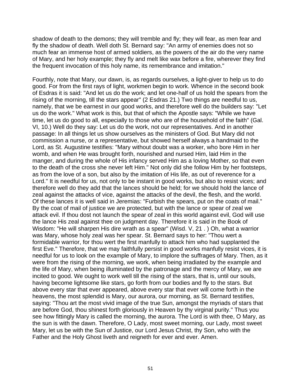shadow of death to the demons; they will tremble and fly; they will fear, as men fear and fly the shadow of death. Well doth St. Bernard say: "An army of enemies does not so much fear an immense host of armed soldiers, as the powers of the air do the very name of Mary, and her holy example; they fly and melt like wax before a fire, wherever they find the frequent invocation of this holy name, its remembrance and imitation."

Fourthly, note that Mary, our dawn, is, as regards ourselves, a light-giver to help us to do good. For from the first rays of light, workmen begin to work. Whence in the second book of Esdras it is said: "And let us do the work; and let one-half of us hold the spears from the rising of the morning, till the stars appear" (2 Esdras 21.) Two things are needful to us, namely, that we be earnest in our good works, and therefore well do the builders say: "Let us do the work." What work is this, but that of which the Apostle says: "While we have time, let us do good to all, especially to those who are of the household of the faith" (Gal. VI, 10.) Well do they say: Let us do the work, not our representatives. And in another passage: In all things let us show ourselves as the ministers of God. But Mary did not commission a nurse, or a representative, but showed herself always a handmaid to the Lord, as St. Augustine testifies: "Mary without doubt was a worker, who bore Him in her womb, and when He was brought forth, nourished and nursed Him, laid Him in the manger, and during the whole of His infancy served Him as a loving Mother, so that even to the death of the cross she never left Him." Not only did she follow Him by her footsteps, as from the love of a son, but also by the imitation of His life, as out of reverence for a Lord." It is needful for us, not only to be instant in good works, but also to resist vices; and therefore well do they add that the lances should be held; for we should hold the lance of zeal against the attacks of vice, against the attacks of the devil, the flesh, and the world. Of these lances it is well said in Jeremias: "Furbish the spears, put on the coats of mail." By the coat of mail of justice we are protected, but with the lance or spear of zeal we attack evil. If thou dost not launch the spear of zeal in this world against evil, God will use the lance His zeal against thee on judgment day. Therefore it is said in the Book of Wisdom: "He will sharpen His dire wrath as a spear" (Wisd. V, 21 . ) Oh, what a warrior was Mary, whose holy zeal was her spear. St. Bernard says to her: "Thou wert a formidable warrior, for thou wert the first manfully to attack him who had supplanted the first Eve." Therefore, that we may faithfully persist in good works manfully resist vices, it is needful for us to look on the example of Mary, to implore the suffrages of Mary. Then, as it were from the rising of the morning, we work, when being irradiated by the example and the life of Mary, when being illuminated by the patronage and the mercy of Mary, we are incited to good. We ought to work well till the rising of the stars, that is, until our souls, having become lightsome like stars, go forth from our bodies and fly to the stars. But above every star that ever appeared, above every star that ever will come forth in the heavens, the most splendid is Mary, our aurora, our morning, as St. Bernard testifies, saying: "Thou art the most vivid image of the true Sun, amongst the myriads of stars that are before God, thou shinest forth gloriously in Heaven by thy virginal purity." Thus you see how fittingly Mary is called the morning, the aurora. The Lord is with thee, O Mary, as the sun is with the dawn. Therefore, O Lady, most sweet morning, our Lady, most sweet Mary, let us be with the Sun of Justice, our Lord Jesus Christ, thy Son, who with the Father and the Holy Ghost liveth and reigneth for ever and ever. Amen.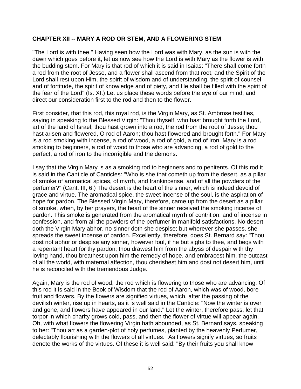## **CHAPTER XII -- MARY A ROD OR STEM, AND A FLOWERING STEM**

"The Lord is with thee." Having seen how the Lord was with Mary, as the sun is with the dawn which goes before it, let us now see how the Lord is with Mary as the flower is with the budding stem. For Mary is that rod of which it is said in Isaias: "There shall come forth a rod from the root of Jesse, and a flower shall ascend from that root, and the Spirit of the Lord shall rest upon Him, the spirit of wisdom and of understanding, the spirit of counsel and of fortitude, the spirit of knowledge and of piety, and He shall be filled with the spirit of the fear of the Lord" (Is. XI.) Let us place these words before the eye of our mind, and direct our consideration first to the rod and then to the flower.

First consider, that this rod, this royal rod, is the Virgin Mary, as St. Ambrose testifies, saying in speaking to the Blessed Virgin: "Thou thyself, who hast brought forth the Lord, art of the land of Israel; thou hast grown into a rod, the rod from the root of Jesse; thou hast arisen and flowered, O rod of Aaron; thou hast flowered and brought forth." For Mary is a rod smoking with incense, a rod of wood, a rod of gold, a rod of iron. Mary is a rod smoking to beginners, a rod of wood to those who are advancing, a rod of gold to the perfect, a rod of iron to the incorrigible and the demons.

I say that the Virgin Mary is as a smoking rod to beginners and to penitents. Of this rod it is said in the Canticle of Canticles: "Who is she that cometh up from the desert, as a pillar of smoke of aromatical spices, of myrrh, and frankincense, and of all the powders of the perfumer?" (Cant. III, 6.) The desert is the heart of the sinner, which is indeed devoid of grace and virtue. The aromatical spice, the sweet incense of the soul, is the aspiration of hope for pardon. The Blessed Virgin Mary, therefore, came up from the desert as a pillar of smoke, when, by her prayers, the heart of the sinner received the smoking incense of pardon. This smoke is generated from the aromatical myrrh of contrition, and of incense in confession, and from all the powders of the perfumer in manifold satisfactions. No desert doth the Virgin Mary abhor, no sinner doth she despise; but wherever she passes, she spreads the sweet incense of pardon. Excellently, therefore, does St. Bernard say: "Thou dost not abhor or despise any sinner, however foul, if he but sighs to thee, and begs with a repentant heart for thy pardon; thou drawest him from the abyss of despair with thy loving hand, thou breathest upon him the remedy of hope, and embracest him, the outcast of all the world, with maternal affection, thou cherishest him and dost not desert him, until he is reconciled with the tremendous Judge."

Again, Mary is the rod of wood, the rod which is flowering to those who are advancing. Of this rod it is said in the Book of Wisdom that the rod of Aaron, which was of wood, bore fruit and flowers. By the flowers are signified virtues, which, after the passing of the devilish winter, rise up in hearts, as it is well said in the Canticle: "Now the winter is over and gone, and flowers have appeared in our land." Let the winter, therefore pass, let that torpor in which charity grows cold, pass, and then the flower of virtue will appear again. Oh, with what flowers the flowering Virgin hath abounded, as St. Bernard says, speaking to her: "Thou art as a garden-plot of holy perfumes, planted by the heavenly Perfumer, delectably flourishing with the flowers of all virtues." As flowers signify virtues, so fruits denote the works of the virtues. Of these it is well said: "By their fruits you shall know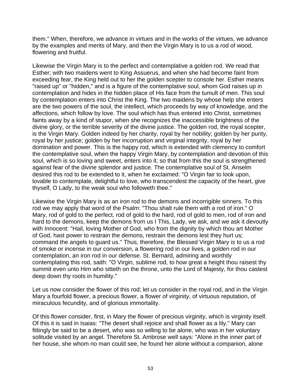them." When, therefore, we advance in virtues and in the works of the virtues, we advance by the examples and merits of Mary, and then the Virgin Mary is to us a rod of wood, flowering and fruitful.

Likewise the Virgin Mary is to the perfect and contemplative a golden rod. We read that Esther; with two maidens went to King Assuerus, and when she had become faint from exceeding fear, the King held out to her the golden scepter to console her. Esther means "raised up" or "hidden," and is a figure of the contemplative soul, whom God raises up in contemplation and hides in the hidden place of His face from the tumult of men. This soul by contemplation enters into Christ the King. The two maidens by whose help she enters are the two powers of the soul, the intellect, which proceeds by way of knowledge, and the affections, which follow by love. The soul which has thus entered into Christ, sometimes faints away by a kind of stupor, when she recognizes the inaccessible brightness of the divine glory, or the terrible severity of the divine justice. The golden rod, the royal scepter, is the Virgin Mary. Golden indeed by her charity, royal by her nobility; golden by her purity, royal by her justice; golden by her incorruption and virginal integrity, royal by her domination and power. This is the happy rod, which is extended with clemency to comfort the contemplative soul, when the happy Virgin Mary, by contemplation and devotion of this soul, which is so loving and sweet, enters into it; so that from this the soul is strengthened against fear of the divine splendor and justice. The contemplative soul of St. Anselm desired this rod to be extended to it, when he exclaimed: "O Virgin fair to look upon, lovable to contemplate, delightful to love, who transcendest the capacity of the heart, give thyself, O Lady, to the weak soul who followeth thee."

Likewise the Virgin Mary is as an iron rod to the demons and incorrigible sinners. To this rod we may apply that word of the Psalm: "Thou shalt rule them with a rod of iron." O Mary, rod of gold to the perfect, rod of gold to the hard, rod of gold to men, rod of iron and hard to the demons, keep the demons from us I This, Lady, we ask, and we ask it devoutly with Innocent: "Hail, loving Mother of God, who from the dignity by which thou art Mother of God, hast power to restrain the demons, restrain the demons lest they hurt us; command the angels to guard us." Thus, therefore, the Blessed Virgin Mary is to us a rod of smoke or incense in our conversion, a flowering rod in our lives, a golden rod in our contemplation, an iron rod in our defense. St. Bernard, admiring and worthily contemplating this rod, saith: "O Virgin, sublime rod, to how great a height thou raisest thy summit even unto Him who sitteth on the throne, unto the Lord of Majesty, for thou castest deep down thy roots in humility."

Let us now consider the flower of this rod; let us consider in the royal rod, and in the Virgin Mary a fourfold flower, a precious flower, a flower of virginity, of virtuous reputation, of miraculous fecundity, and of glorious immortality.

Of this flower consider, first, in Mary the flower of precious virginity, which is virginity itself. Of this it is said in Isaias: "The desert shall rejoice and shall flower as a lily." Mary can fittingly be said to be a desert, who was so willing to be alone, who was in her voluntary solitude visited by an angel. Therefore St. Ambrose well says: "Alone in the inner part of her house, she whom no man could see, he found her alone without a companion, alone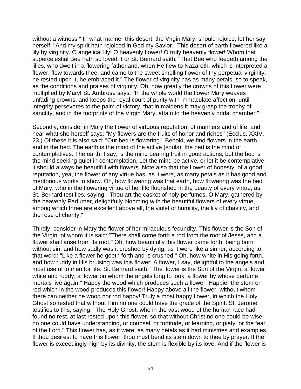without a witness." In what manner this desert, the Virgin Mary, should rejoice, let her say herself: "And my spirit hath rejoiced in God my Savior." This desert of earth flowered like a lily by virginity. O angelical lily! O heavenly flower! O truly heavenly flower! Whom that supercelestial Bee hath so loved. For St. Bernard saith: "That Bee who feedeth among the lilies, who dwelt in a flowering fatherland, when He flew to Nazareth, which is interpreted a flower, flew towards thee, and came to the sweet smelling flower of thy perpetual virginity, he rested upon it, he embraced it." The flower of virginity has as many petals, so to speak, as the conditions and praises of virginity. Oh, how greatly the crowns of this flower were multiplied by Mary! St. Ambrose says: "In the whole world the flower Mary weaves unfading crowns, and keeps the royal court of purity with immaculate affection, until integrity perseveres to the palm of victory, that in maidens it may grasp the trophy of sanctity, and in the footprints of the Virgin Mary, attain to the heavenly bridal chamber."

Secondly, consider in Mary the flower of virtuous reputation, of manners and of life, and hear what she herself says: "My flowers are the fruits of honor and riches" (Ecclus. XXIV, 23.) Of these it is also said: "Our bed is flowering." Behold, we find flowers in the earth, and in the bed. The earth is the mind of the active (souls); the bed is the mind of contemplatives. The earth, I say, is the mind bearing fruit in good actions; but the bed is the mind seeking quiet in contemplation. Let the mind be active, or let it be contemplative, it should always be beautiful with flowers. Note also that the flower of honesty, of a good reputation, yea, the flower of any virtue has, as it were, as many petals as it has good and meritorious works to show. Oh, how flowering was that earth, how flowering was the bed of Mary, who in the flowering virtue of her life flourished in the beauty of every virtue, as St. Bernard testifies, saying: "Thou art the casket of holy perfumes, O Mary, gathered by the heavenly Perfumer, delightfully blooming with the beautiful flowers of every virtue, among which three are excellent above all, the violet of humility, the lily of chastity, and the rose of charity."

Thirdly, consider in Mary the flower of her miraculous fecundity. This flower is the Son of the Virgin, of whom it is said: "There shall come forth a rod from the root of Jesse, and a flower shall arise from its root." Oh, how beautifully this flower came forth, being born without sin, and how sadly was it crushed by dying, as it were like a sinner, according to that word: "Like a flower he goeth forth and is crushed." Oh, how white in His going forth, and how ruddy in His bruising was this flower! A flower, I say, delightful to the angels and most useful to men for life. St. Bernard saith: "The flower is the Son of the Virgin, a flower white and ruddy, a flower on whom the angels long to look, a flower by whose perfume mortals live again." Happy the wood which produces such a flower! Happier the stem or rod which in the wood produces this flower! Happy above all the flower, without whom there can neither be wood nor rod happy! Truly a most happy flower, in which the Holy Ghost so rested that without Him no one could have the grace of the Spirit. St. Jerome testifies to this, saying: "The Holy Ghost, who in the vast wood of the human race had found no rest, at last rested upon this flower, so that without Christ no one could be wise, no one could have understanding, or counsel, or fortitude, or learning, or piety, or the fear of the Lord." This flower has, as it were, as many petals as it had ministries and examples. If thou desirest to have this flower, thou must bend its stem down to thee by prayer. If the flower is exceedingly high by its divinity, the stem is flexible by its love. And if the flower is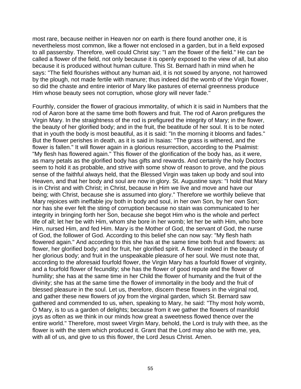most rare, because neither in Heaven nor on earth is there found another one, it is nevertheless most common, like a flower not enclosed in a garden, but in a field exposed to all passersby. Therefore, well could Christ say: "I am the flower of the field." He can be called a flower of the field, not only because it is openly exposed to the view of all, but also because it is produced without human culture. This St. Bernard hath in mind when he says: "The field flourishes without any human aid, it is not sowed by anyone, not harrowed by the plough, not made fertile with manure; thus indeed did the womb of the Virgin flower, so did the chaste and entire interior of Mary like pastures of eternal greenness produce Him whose beauty sees not corruption, whose glory will never fade."

Fourthly, consider the flower of gracious immortality, of which it is said in Numbers that the rod of Aaron bore at the same time both flowers and fruit. The rod of Aaron prefigures the Virgin Mary. In the straightness of the rod is prefigured the integrity of Mary; in the flower, the beauty of her glorified body; and in the fruit, the beatitude of her soul. It is to be noted that in youth the body is most beautiful, as it is said: "In the morning it blooms and fades." But the flower perishes in death, as it is said in Isaias: "The grass is withered, and the flower is fallen." It will flower again in a glorious resurrection, according to the Psalmist: "My flesh has flowered again." This flower of the glorification of the body has, as it were, as many petals as the glorified body has gifts and rewards. And certainly the holy Doctors seem to hold it as probable, and strive with some show of reason to prove, and the pious sense of the faithful always held, that the Blessed Virgin was taken up body and soul into Heaven, and that her body and soul are now in glory. St. Augustine says: "I hold that Mary is in Christ and with Christ; in Christ, because in Him we live and move and have our being; with Christ, because she is assumed into glory." Therefore we worthily believe that Mary rejoices with ineffable joy both in body and soul, in her own Son, by her own Son; nor has she ever felt the sting of corruption because no stain was communicated to her integrity in bringing forth her Son, because she begot Him who is the whole and perfect life of all; let her be with Him, whom she bore in her womb; let her be with Him, who bore Him, nursed Him, and fed Him. Mary is the Mother of God, the servant of God, the nurse of God, the follower of God. According to this belief she can now say: "My flesh hath flowered again." And according to this she has at the same time both fruit and flowers: as flower, her glorified body; and for fruit, her glorified spirit. A flower indeed in the beauty of her glorious body; and fruit in the unspeakable pleasure of her soul. We must note that, according to the aforesaid fourfold flower, the Virgin Mary has a fourfold flower of virginity, and a fourfold flower of fecundity; she has the flower of good repute and the flower of humility; she has at the same time in her Child the flower of humanity and the fruit of the divinity; she has at the same time the flower of immortality in the body and the fruit of blessed pleasure in the soul. Let us, therefore, discern these flowers in the virginal rod, and gather these new flowers of joy from the virginal garden, which St. Bernard saw gathered and commended to us, when, speaking to Mary, he said: "Thy most holy womb, O Mary, is to us a garden of delights; because from it we gather the flowers of manifold joys as often as we think in our minds how great a sweetness flowed thence over the entire world." Therefore, most sweet Virgin Mary, behold, the Lord is truly with thee, as the flower is with the stem which produced it. Grant that the Lord may also be with me, yea, with all of us, and give to us this flower, the Lord Jesus Christ. Amen.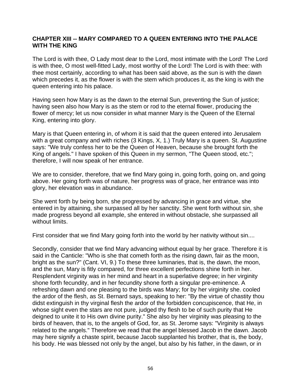## **CHAPTER XIII -- MARY COMPARED TO A QUEEN ENTERING INTO THE PALACE WITH THE KING**

The Lord is with thee, O Lady most dear to the Lord, most intimate with the Lord! The Lord is with thee, O most well-fitted Lady, most worthy of the Lord! The Lord is with thee: with thee most certainly, according to what has been said above, as the sun is with the dawn which precedes it, as the flower is with the stem which produces it, as the king is with the queen entering into his palace.

Having seen how Mary is as the dawn to the eternal Sun, preventing the Sun of justice; having seen also how Mary is as the stem or rod to the eternal flower, producing the flower of mercy; let us now consider in what manner Mary is the Queen of the Eternal King, entering into glory.

Mary is that Queen entering in, of whom it is said that the queen entered into Jerusalem with a great company and with riches (3 Kings, X, 1.) Truly Mary is a queen. St. Augustine says: "We truly confess her to be the Queen of Heaven, because she brought forth the King of angels." I have spoken of this Queen in my sermon, "The Queen stood, etc."; therefore, I will now speak of her entrance.

We are to consider, therefore, that we find Mary going in, going forth, going on, and going above. Her going forth was of nature, her progress was of grace, her entrance was into glory, her elevation was in abundance.

She went forth by being born, she progressed by advancing in grace and virtue, she entered in by attaining, she surpassed all by her sanctity. She went forth without sin, she made progress beyond all example, she entered in without obstacle, she surpassed all without limits.

First consider that we find Mary going forth into the world by her nativity without sin....

Secondly, consider that we find Mary advancing without equal by her grace. Therefore it is said in the Canticle: "Who is she that cometh forth as the rising dawn, fair as the moon, bright as the sun?" (Cant. VI, 9.) To these three luminaries, that is, the dawn, the moon, and the sun, Mary is fitly compared, for three excellent perfections shine forth in her. Resplendent virginity was in her mind and heart in a superlative degree; in her virginity shone forth fecundity, and in her fecundity shone forth a singular pre-eminence. A refreshing dawn and one pleasing to the birds was Mary; for by her virginity she. cooled the ardor of the flesh, as St. Bernard says, speaking to her: "By the virtue of chastity thou didst extinguish in thy virginal flesh the ardor of the forbidden concupiscence, that He, in whose sight even the stars are not pure, judged thy flesh to be of such purity that He deigned to unite it to His own divine purity." She also by her virginity was pleasing to the birds of heaven, that is, to the angels of God, for, as St. Jerome says: "Virginity is always related to the angels." Therefore we read that the angel blessed Jacob in the dawn. Jacob may here signify a chaste spirit, because Jacob supplanted his brother, that is, the body, his body. He was blessed not only by the angel, but also by his father, in the dawn, or in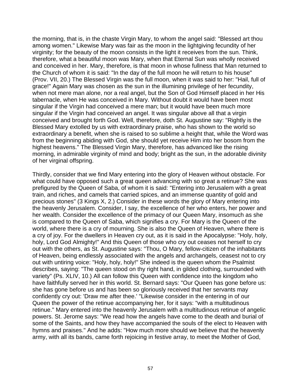the morning, that is, in the chaste Virgin Mary, to whom the angel said: "Blessed art thou among women." Likewise Mary was fair as the moon in the lightgiving fecundity of her virginity; for the beauty of the moon consists in the light it receives from the sun. Think, therefore, what a beautiful moon was Mary, when that Eternal Sun was wholly received and conceived in her. Mary, therefore, is that moon in whose fullness that Man returned to the Church of whom it is said: "In the day of the full moon he will return to his house" (Prov. VII, 20.) The Blessed Virgin was the full moon, when it was said to her: "Hail, full of grace!" Again Mary was chosen as the sun in the illumining privilege of her fecundity, when not mere man alone, nor a real angel, but the Son of God Himself placed in her His tabernacle, when He was conceived in Mary. Without doubt it would have been most singular if the Virgin had conceived a mere man; but it would have been much more singular if the Virgin had conceived an angel. It was singular above all that a virgin conceived and brought forth God. Well, therefore, doth St. Augustine say: "Rightly is the Blessed Mary extolled by us with extraordinary praise, who has shown to the world so extraordinary a benefit, when she is raised to so sublime a height that, while the Word was from the beginning abiding with God, she should yet receive Him into her bosom from the highest heavens." The Blessed Virgin Mary, therefore, has advanced like the rising morning, in admirable virginity of mind and body; bright as the sun, in the adorable divinity of her virginal offspring.

Thirdly, consider that we find Mary entering into the glory of Heaven without obstacle. For what could have opposed such a great queen advancing with so great a retinue? She was prefigured by the Queen of Saba, of whom it is said: "Entering into Jerusalem with a great train, and riches, and camels that carried spices, and an immense quantity of gold and precious stones" (3 Kings X, 2.) Consider in these words the glory of Mary entering into the heavenly Jerusalem. Consider, I say, the excellence of her who enters, her power and her wealth. Consider the excellence of the primacy of our Queen Mary, insomuch as she is compared to the Queen of Saba, which signifies a cry. For Mary is the Queen of the world, where there is a cry of mourning. She is also the Queen of Heaven, where there is a cry of joy. For the dwellers in Heaven cry out, as it is said in the Apocalypse: "Holy, holy, holy, Lord God Almighty!" And this Queen of those who cry out ceases not herself to cry out with the others, as St. Augustine says: "Thou, O Mary, fellow-citizen of the inhabitants of Heaven, being endlessly associated with the angels and archangels, ceasest not to cry out with untiring voice: "Holy, holy, holy!" She indeed is the queen whom the Psalmist describes, saying: "The queen stood on thy right hand, in gilded clothing, surrounded with variety" (Ps. XLIV, 10.) All can follow this Queen with confidence into the kingdom who have faithfully served her in this world. St. Bernard says: "Our Queen has gone before us: she has gone before us and has been so gloriously received that her servants may confidently cry out: 'Draw me after thee.' "Likewise consider in the entering in of our Queen the power of the retinue accompanying her, for it says: "with a multitudinous retinue." Mary entered into the heavenly Jerusalem with a multitudinous retinue of angelic powers. St. Jerome says: "We read how the angels have come to the death and burial of some of the Saints, and how they have accompanied the souls of the elect to Heaven with hymns and praises." And he adds: "How much more should we believe that the heavenly army, with all its bands, came forth rejoicing in festive array, to meet the Mother of God,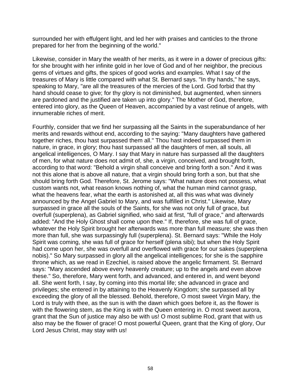surrounded her with effulgent light, and led her with praises and canticles to the throne prepared for her from the beginning of the world."

Likewise, consider in Mary the wealth of her merits, as it were in a dower of precious gifts: for she brought with her infinite gold in her love of God and of her neighbor, the precious gems of virtues and gifts, the spices of good works and examples. What I say of the treasures of Mary is little compared with what St. Bernard says. "In thy hands," he says, speaking to Mary, "are all the treasures of the mercies of the Lord. God forbid that thy hand should cease to give; for thy glory is not diminished, but augmented, when sinners are pardoned and the justified are taken up into glory." The Mother of God, therefore, entered into glory, as the Queen of Heaven, accompanied by a vast retinue of angels, with innumerable riches of merit.

Fourthly, consider that we find her surpassing all the Saints in the superabundance of her merits and rewards without end, according to the saying: "Many daughters have gathered together riches, thou hast surpassed them all." Thou hast indeed surpassed them in nature, in grace, in glory; thou hast surpassed all the daughters of men, all souls, all angelical intelligences, O Mary. I say that Mary in nature has surpassed all the daughters of men, for what nature does not admit of, she, a virgin, conceived, and brought forth, according to that word: "Behold a virgin shall conceive and bring forth a son." And it was not this alone that is above all nature, that a virgin should bring forth a son, but that she should bring forth God. Therefore, St. Jerome says: "What nature does not possess, what custom wants not, what reason knows nothing of, what the human mind cannot grasp, what the heavens fear, what the earth is astonished at, all this was what was divinely announced by the Angel Gabriel to Mary, and was fulfilled in Christ." Likewise, Mary surpassed in grace all the souls of the Saints, for she was not only full of grace, but overfull (superplena), as Gabriel signified, who said at first, "full of grace," and afterwards added: "And the Holy Ghost shall come upon thee." If, therefore, she was full of grace, whatever the Holy Spirit brought her afterwards was more than full measure; she was then more than full, she was surpassingly full (superplena). St. Bernard says: "While the Holy Spirit was coming, she was full of grace for herself (plena sibi); but when the Holy Spirit had come upon her, she was overfull and overflowed with grace for our sakes (superplena nobis)." So Mary surpassed in glory all the angelical intelligences; for she is the sapphire throne which, as we read in Ezechiel, is raised above the angelic firmament. St. Bernard says: "Mary ascended above every heavenly creature; up to the angels and even above these." So, therefore, Mary went forth, and advanced, and entered in, and went beyond all. She went forth, I say, by coming into this mortal life; she advanced in grace and privileges; she entered in by attaining to the Heavenly Kingdom; she surpassed all by exceeding the glory of all the blessed. Behold, therefore, O most sweet Virgin Mary, the Lord is truly with thee, as the sun is with the dawn which goes before it, as the flower is with the flowering stem, as the King is with the Queen entering in. O most sweet aurora, grant that the Sun of justice may also be with us! O most sublime Rod, grant that with us also may be the flower of grace! O most powerful Queen, grant that the King of glory, Our Lord Jesus Christ, may stay with us!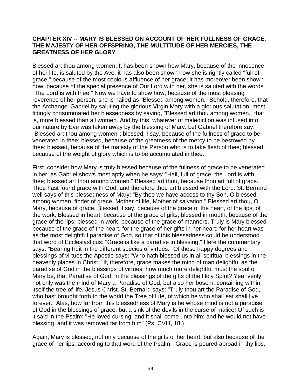#### **CHAPTER XIV -- MARY IS BLESSED ON ACCOUNT OF HER FULLNESS OF GRACE, THE MAJESTY OF HER OFFSPRING, THE MULTITUDE OF HER MERCIES, THE GREATNESS OF HER GLORY**

Blessed art thou among women. It has been shown how Mary, because of the innocence of her life, is saluted by the Ave: it has also been shown how she is rightly called "full of grace," because of the most copious affluence of her grace; it has moreover been shown how, because of the special presence of Our Lord with her, she is saluted with the words "The Lord is with thee." Now we have to show how, because of the most pleasing reverence of her person, she is hailed as "Blessed among women." Behold, therefore, that the Archangel Gabriel by saluting the glorious Virgin Mary with a glorious salutation, most fittingly consummated her blessedness by saying, "Blessed art thou among women," that is, more blessed than all women. And by this, whatever of malediction was infused into our nature by Eve was taken away by the blessing of Mary. Let Gabriel therefore say: "Blessed art thou among women"; blessed, I say, because of the fullness of grace to be venerated in thee; blessed, because of the greatness of the mercy to be bestowed by thee; blessed, because of the majesty of the Person who is to take flesh of thee; blessed, because of the weight of glory which is to be accumulated in thee.

First, consider how Mary is truly blessed because of the fullness of grace to be venerated in her, as Gabriel shows most aptly when he says: "Hail, full of grace, the Lord is with thee; blessed art thou among women." Blessed art thou, because thou art full of grace. Thou hast found grace with God, and therefore thou art blessed with the Lord. St. Bernard well says of this blessedness of Mary: "By thee we have access to thy Son, O blessed among women, finder of grace, Mother of life, Mother of salvation." Blessed art thou, O Mary, because of grace. Blessed, I say, because of the grace of the heart, of the lips, of the work. Blessed in heart, because of the grace of gifts; blessed in mouth, because of the grace of the lips; blessed in work, because of the grace of manners. Truly is Mary blessed because of the grace of the heart, for the grace of her gifts in her heart; for her heart was as the most delightful paradise of God, so that of this blessedness could be understood that word of Ecclesiasticus: "Grace is like a paradise in blessing." Here the commentary says: "Bearing fruit in the different species of virtues." Of these happy degrees and blessings of virtues the Apostle says: "Who hath blessed us in all spiritual blessings in the heavenly places in Christ." If, therefore, grace makes the mind of man delightful as the paradise of God in the blessings of virtues, how much more delightful must the soul of Mary be, that Paradise of God, in the blessings of the gifts of the Holy Spirit? Yea, verily, not only was the mind of Mary a Paradise of God, but also her bosom, containing within itself the tree of life, Jesus Christ. St. Bernard says: "Truly thou art the Paradise of God, who hast brought forth to the world the Tree of Life, of which he who shall eat shall live forever." Alas, how far from this blessedness of Mary is he whose mind is not a paradise of God in the blessings of grace, but a sink of the devils in the curse of malice! Of such is it said in the Psalm: "He loved cursing, and it shall come unto him: and he would not have blessing, and it was removed far from him" (Ps. CVIII, 18.)

Again, Mary is blessed, not only because of the gifts of her heart, but also because of the grace of her lips, according to that word of the Psalm: "Grace is poured abroad in thy lips,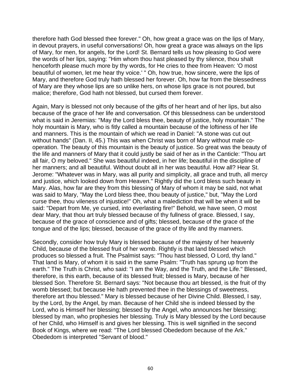therefore hath God blessed thee forever." Oh, how great a grace was on the lips of Mary, in devout prayers, in useful conversations! Oh, how great a grace was always on the lips of Mary, for men, for angels, for the Lord! St. Bernard tells us how pleasing to God were the words of her lips, saying: "Him whom thou hast pleased by thy silence, thou shalt henceforth please much more by thy words, for He cries to thee from Heaven: 'O most beautiful of women, let me hear thy voice.' " Oh, how true, how sincere, were the lips of Mary, and therefore God truly hath blessed her forever. Oh, how far from the blessedness of Mary are they whose lips are so unlike hers, on whose lips grace is not poured, but malice; therefore, God hath not blessed, but cursed them forever.

Again, Mary is blessed not only because of the gifts of her heart and of her lips, but also because of the grace of her life and conversation. Of this blessedness can be understood what is said in Jeremias: "May the Lord bless thee, beauty of justice, holy mountain." The holy mountain is Mary, who is fitly called a mountain because of the loftiness of her life and manners. This is the mountain of which we read in Daniel: "A stone was cut out without hands" (Dan. II, 45.) This was when Christ was born of Mary without male cooperation. The beauty of this mountain is the beauty of justice. So great was the beauty of the life and manners of Mary that it could justly be said of her as in the Canticle: "Thou art all fair, O my beloved." She was beautiful indeed, in her life; beautiful in the discipline of her manners; and all beautiful. Without doubt all in her was beautiful. How all? Hear St. Jerome: "Whatever was in Mary, was all purity and simplicity, all grace and truth, all mercy and justice, which looked down from Heaven." Rightly did the Lord bless such beauty in Mary. Alas, how far are they from this blessing of Mary of whom it may be said, not what was said to Mary, "May the Lord bless thee, thou beauty of justice," but, "May the Lord curse thee, thou vileness of injustice!" Oh, what a malediction that will be when it will be said: "Depart from Me, ye cursed, into everlasting fire!" Behold, we have seen, O most dear Mary, that thou art truly blessed because of thy fullness of grace. Blessed, I say, because of the grace of conscience and of gifts; blessed, because of the grace of the tongue and of the lips; blessed, because of the grace of thy life and thy manners.

Secondly, consider how truly Mary is blessed because of the majesty of her heavenly Child, because of the blessed fruit of her womb. Rightly is that land blessed which produces so blessed a fruit. The Psalmist says: "Thou hast blessed, O Lord, thy land." That land is Mary, of whom it is said in the same Psalm: "Truth has sprung up from the earth." The Truth is Christ, who said: "I am the Way, and the Truth, and the Life." Blessed, therefore, is this earth, because of its blessed fruit; blessed is Mary, because of her blessed Son. Therefore St. Bernard says: "Not because thou art blessed, is the fruit of thy womb blessed; but because He hath prevented thee in the blessings of sweetness, therefore art thou blessed." Mary is blessed because of her Divine Child. Blessed, I say, by the Lord, by the Angel, by man. Because of her Child she is indeed blessed by the Lord, who is Himself her blessing; blessed by the Angel, who announces her blessing; blessed by man, who prophesies her blessing. Truly is Mary blessed by the Lord because of her Child, who Himself is and gives her blessing. This is well signified in the second Book of Kings, where we read: "The Lord blessed Obededom because of the Ark." Obededom is interpreted "Servant of blood."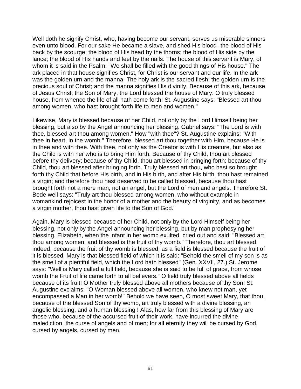Well doth he signify Christ, who, having become our servant, serves us miserable sinners even unto blood. For our sake He became a slave, and shed His blood--the blood of His back by the scourge; the blood of His head by the thorns; the blood of His side by the lance; the blood of His hands and feet by the nails. The house of this servant is Mary, of whom it is said in the Psalm: "We shall be filled with the good things of His house." The ark placed in that house signifies Christ, for Christ is our servant and our life. In the ark was the golden urn and the manna. The holy ark is the sacred flesh; the golden urn is the precious soul of Christ; and the manna signifies His divinity. Because of this ark, because of Jesus Christ, the Son of Mary, the Lord blessed the house of Mary. O truly blessed house, from whence the life of all hath come forth! St. Augustine says: "Blessed art thou among women, who hast brought forth life to men and women."

Likewise, Mary is blessed because of her Child, not only by the Lord Himself being her blessing, but also by the Angel announcing her blessing. Gabriel says: "The Lord is with thee, blessed art thou among women." How "with thee"? St. Augustine explains: "With thee in heart, in the womb." Therefore, blessed art thou together with Him, because He is in thee and with thee. With thee, not only as the Creator is with His creature, but also as the Child is with her who is to bring Him forth. Because of thy Child, thou art blessed before thy delivery; because of thy Child, thou art blessed in bringing forth; because of thy Child, thou art blessed after bringing forth. Truly blessed art thou, who hast so brought forth thy Child that before His birth, and in His birth, and after His birth, thou hast remained a virgin; and therefore thou hast deserved to be called blessed, because thou hast brought forth not a mere man, not an angel, but the Lord of men and angels. Therefore St. Bede well says: "Truly art thou blessed among women, who without example in womankind rejoicest in the honor of a mother and the beauty of virginity, and as becomes a virgin mother, thou hast given life to the Son of God."

Again, Mary is blessed because of her Child, not only by the Lord Himself being her blessing, not only by the Angel announcing her blessing, but by man prophesying her blessing. Elizabeth, when the infant in her womb exulted, cried out and said: "Blessed art thou among women, and blessed is the fruit of thy womb." Therefore, thou art blessed indeed, because the fruit of thy womb is blessed; as a field is blessed because the fruit of it is blessed. Mary is that blessed field of which it is said: "Behold the smell of my son is as the smell of a plentiful field, which the Lord hath blessed" (Gen. XXVII, 27.) St. Jerome says: "Well is Mary called a full field, because she is said to be full of grace, from whose womb the Fruit of life came forth to all believers." O field truly blessed above all fields because of its fruit! O Mother truly blessed above all mothers because of thy Son! St. Augustine exclaims: "O Woman blessed above all women, who knew not man, yet encompassed a Man in her womb!" Behold we have seen, O most sweet Mary, that thou, because of the blessed Son of thy womb, art truly blessed with a divine blessing, an angelic blessing, and a human blessing ! Alas, how far from this blessing of Mary are those who, because of the accursed fruit of their work, have incurred the divine malediction, the curse of angels and of men; for all eternity they will be cursed by God, cursed by angels, cursed by men.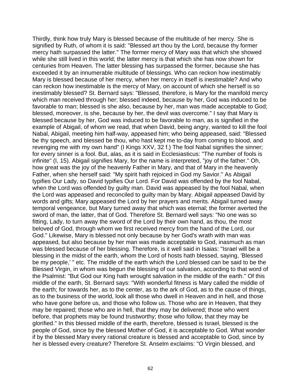Thirdly, think how truly Mary is blessed because of the multitude of her mercy. She is signified by Ruth, of whom it is said: "Blessed art thou by the Lord, because thy former mercy hath surpassed the latter." The former mercy of Mary was that which she showed while she still lived in this world; the latter mercy is that which she has now shown for centuries from Heaven. The latter blessing has surpassed the former, because she has exceeded it by an innumerable multitude of blessings. Who can reckon how inestimably Mary is blessed because of her mercy, when her mercy in itself is inestimable? And who can reckon how inestimable is the mercy of Mary, on account of which she herself is so inestimably blessed? St. Bernard says: "Blessed, therefore, is Mary for the manifold mercy which man received through her; blessed indeed, because by her, God was induced to be favorable to man; blessed is she also, because by her, man was made acceptable to God; blessed, moreover, is she, because by her, the devil was overcome." I say that Mary is blessed because by her, God was induced to be favorable to man, as is signified in the example of Abigail, of whom we read, that when David, being angry, wanted to kill the fool Nabal, Abigail, meeting him half-way, appeased him; who being appeased, said: "Blessed be thy speech, and blessed be thou, who hast kept me to-day from coming to blood, and revenging me with my own hand" (I Kings XXV, 32 f.) The fool Nabal signifies the sinner; for every sinner is a fool. But, alas, as it is said in Ecclesiasticus: "The number of fools is infinite" (I, 15). Abigail signifies Mary, for the name is interpreted, "joy of the father." Oh, how great was the joy of the heavenly Father in Mary, and that of Mary in the heavenly Father, when she herself said: "My spirit hath rejoiced in God my Savior." As Abigail typifies Our Lady, so David typifies Our Lord. For David was offended by the fool Nabal, when the Lord was offended by guilty man. David was appeased by the fool Nabal, when the Lord was appeased and reconciled to guilty man by Mary. Abigail appeased David by words and gifts; Mary appeased the Lord by her prayers and merits. Abigail turned away temporal vengeance, but Mary turned away that which was eternal; the former averted the sword of man, the latter, that of God. Therefore St. Bernard well says: "No one was so fitting, Lady, to turn away the sword of the Lord by their own hand, as thou, the most beloved of God, through whom we first received mercy from the hand of the Lord, our God." Likewise, Mary is blessed not only because by her God's wrath with man was appeased, but also because by her man was made acceptable to God, inasmuch as man was blessed because of her blessing. Therefore, is it well said in Isaias: "Israel will be a blessing in the midst of the earth, whom the Lord of hosts hath blessed, saying, 'Blessed be my people,' " etc. The middle of the earth which the Lord blessed can be said to be the Blessed Virgin, in whom was begun the blessing of our salvation, according to that word of the Psalmist: "But God our King hath wrought salvation in the middle of the earth." Of this middle of the earth, St. Bernard says: "With wonderful fitness is Mary called the middle of the earth; for towards her, as to the center, as to the ark of God, as to the cause of things, as to the business of the world, look all those who dwell in Heaven and in hell, and those who have gone before us, and those who follow us. Those who are in Heaven, that they may be repaired; those who are in hell, that they may be delivered; those who went before, that prophets may be found trustworthy; those who follow, that they may be glorified." In this blessed middle of the earth, therefore, blessed is Israel, blessed is the people of God, since by the blessed Mother of God, it is acceptable to God. What wonder if by the blessed Mary every rational creature is blessed and acceptable to God, since by her is blessed every creature? Therefore St. Anselm exclaims: "O Virgin blessed, and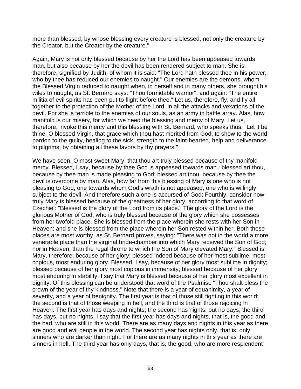more than blessed, by whose blessing every creature is blessed, not only the creature by the Creator, but the Creator by the creature."

Again, Mary is not only blessed because by her the Lord has been appeased towards man, but also because by her the devil has been rendered subject to man. She is, therefore, signified by Judith, of whom it is said: "The Lord hath blessed thee in his power, who by thee has reduced our enemies to naught." Our enemies are the demons, whom the Blessed Virgin reduced to naught when, in herself and in many others, she brought his wiles to naught, as St. Bernard says: "Thou formidable warrior"; and again: "The entire militia of evil spirits has been put to flight before thee." Let us, therefore, fly, and fly all together to the protection of the Mother of the Lord, in all the attacks and vexations of the devil. For she is terrible to the enemies of our souls, as an army in battle array. Alas, how manifold is our misery, for which we need the blessing and mercy of Mary. Let us, therefore, invoke this mercy and this blessing with St. Bernard, who speaks thus: "Let it be thine, O blessed Virgin, that grace which thou hast merited from God, to show to the world pardon to the guilty, healing to the sick, strength to the faint-hearted, help and deliverance to pilgrims, by obtaining all these favors by thy prayers."

We have seen, O most sweet Mary, that thou art truly blessed because of thy manifold mercy. Blessed, I say, because by thee God is appeased towards man.; blessed art thou, because by thee man is made pleasing to God; blessed art thou, because by thee the devil is overcome by man. Alas, how far from this blessing of Mary is one who is not pleasing to God, one towards whom God's wrath is not appeased, one who is willingly subject to the devil. And therefore such a one is accursed of God; Fourthly, consider how truly Mary is blessed because of the greatness of her glory, according to that word of Ezechiel: "Blessed is the glory of the Lord from its place." The glory of the Lord is the glorious Mother of God, who is truly blessed because of the glory which she possesses from her twofold place. She is blessed from the place wherein she rests with her Son in Heaven; and she is blessed from the place wherein her Son rested within her. Both these places are most worthy, as St. Bernard proves, saying: "There was not in the world a more venerable place than the virginal bride-chamber into which Mary received the Son of God; nor in Heaven, than the regal throne to which the Son of Mary elevated Mary." Blessed is Mary, therefore, because of her glory; blessed indeed because of her most sublime, most copious, most enduring glory. Blessed, I say, because of her glory most sublime in dignity; blessed because of her glory most copious in immensity; blessed because of her glory most enduring in stability. I say that Mary is blessed because of her glory most excellent in dignity. Of this blessing can be understood that word of the Psalmist: "Thou shalt bless the crown of the year of thy kindness." Note that there is a year of equanimity, a year of severity, and a year of benignity. The first year is that of those still fighting in this world; the second is that of those weeping in hell; and the third is that of those rejoicing in Heaven. The first year has days and nights; the second has nights, but no days; the third has days, but no nights. I say that the first year has days and nights, that is, the good and the bad, who are still in this world. There are as many days and nights in this year as there are good and evil people in the world. The second year has nights only, that is, only sinners who are darker than night. For there are as many nights in this year as there are sinners in hell. The third year has only days, that is, the good, who are more resplendent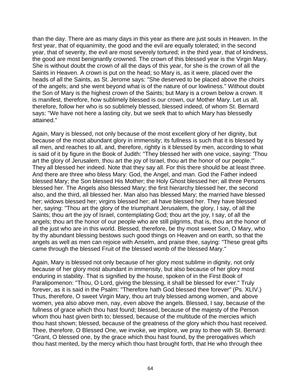than the day. There are as many days in this year as there are just souls in Heaven. In the first year, that of equanimity, the good and the evil are equally tolerated; in the second year, that of severity, the evil are most severely tortured; in the third year, that of kindness, the good are most benignantly crowned. The crown of this blessed year is the Virgin Mary. She is without doubt the crown of all the days of this year, for she is the crown of all the Saints in Heaven. A crown is put on the head; so Mary is, as it were, placed over the heads of all the Saints, as St. Jerome says: "She deserved to be placed above the choirs of the angels; and she went beyond what is of the nature of our lowliness." Without doubt the Son of Mary is the highest crown of the Saints; but Mary is a crown below a crown. It is manifest, therefore, how sublimely blessed is our crown, our Mother Mary. Let us all, therefore, follow her who is so sublimely blessed, blessed indeed, of whom St. Bernard says: "We have not here a lasting city, but we seek that to which Mary has blessedly attained."

Again, Mary is blessed, not only because of the most excellent glory of her dignity, but because of the most abundant glory in immensity; its fullness is such that it is blessed by all men, and reaches to all, and, therefore, rightly is it blessed by men, according to what is said of it by figure in the Book of Judith: "They blessed her with one voice, saying: 'Thou art the glory of Jerusalem, thou art the joy of Israel, thou art the honor of our people."' They all blessed her indeed. Note that they say all. For this there should be at least three. And there are three who bless Mary: God, the Angel, and man. God the Father indeed blessed Mary; the Son blessed His Mother; the Holy Ghost blessed her; all three Persons blessed her. The Angels also blessed Mary; the first hierarchy blessed her, the second also, and the third, all blessed her. Man also has blessed Mary; the married have blessed her; widows blessed her; virgins blessed her; all have blessed her. They have blessed her, saying: "Thou art the glory of the triumphant Jerusalem, the glory, I say, of all the Saints; thou art the joy of Israel, contemplating God; thou art the joy, I say, of all the angels; thou art the honor of our people who are still pilgrims, that is, thou art the honor of all the just who are in this world. Blessed, therefore, be thy most sweet Son, O Mary, who by thy abundant blessing bestows such good things on Heaven and on earth, so that the angels as well as men can rejoice with Anselm, and praise thee, saying: "These great gifts came through the blessed Fruit of the blessed womb of the blessed Mary."

Again, Mary is blessed not only because of her glory most sublime in dignity, not only because of her glory most abundant in immensity, but also because of her glory most enduring in stability. That is signified by the house, spoken of in the First Book of Paralipomenon: "Thou, O Lord, giving the blessing, it shall be blessed for ever." Truly forever, as it is said in the Psalm: "Therefore hath God blessed thee forever" (Ps. XLIV.) Thus, therefore, O sweet Virgin Mary, thou art truly blessed among women, and above women, yea also above men, nay, even above the angels. Blessed, I say, because of the fullness of grace which thou hast found; blessed, because of the majesty of the Person whom thou hast given birth to; blessed, because of the multitude of the mercies which thou hast shown; blessed, because of the greatness of the glory which thou hast received. Thee, therefore, O Blessed One, we invoke, we implore, we pray to thee with St. Bernard: "Grant, O blessed one, by the grace which thou hast found, by the prerogatives which thou hast merited, by the mercy which thou hast brought forth, that He who through thee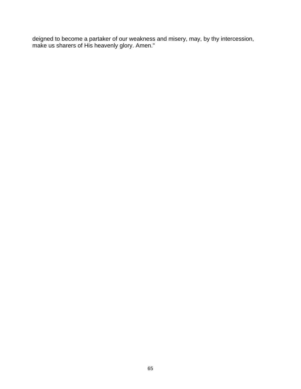deigned to become a partaker of our weakness and misery, may, by thy intercession, make us sharers of His heavenly glory. Amen."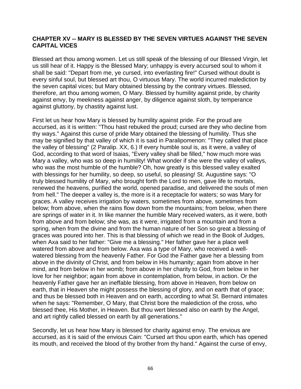## **CHAPTER XV -- MARY IS BLESSED BY THE SEVEN VIRTUES AGAINST THE SEVEN CAPITAL VICES**

Blessed art thou among women. Let us still speak of the blessing of our Blessed Virgin, let us still hear of it. Happy is the Blessed Mary; unhappy is every accursed soul to whom it shall be said: "Depart from me, ye cursed, into everlasting fire!" Cursed without doubt is every sinful soul, but blessed art thou, O virtuous Mary. The world incurred malediction by the seven capital vices; but Mary obtained blessing by the contrary virtues. Blessed, therefore, art thou among women, O Mary. Blessed by humility against pride, by charity against envy, by meekness against anger, by diligence against sloth, by temperance against gluttony, by chastity against lust.

First let us hear how Mary is blessed by humility against pride. For the proud are accursed, as it is written: "Thou hast rebuked the proud; cursed are they who decline from thy ways." Against this curse of pride Mary obtained the blessing of humility. Thus she may be signified by that valley of which it is said in Paralipomenon: "They called that place the valley of blessing" (2 Paralip. XX, 6.) If every humble soul is, as it were, a valley of God, according to that word of Isaias, "Every valley shall be filled," how much more was Mary a valley, who was so deep in humility! What wonder if she were the valley of valleys, who was the most humble of the humble? Oh, how greatly is this blessed valley exalted with blessings for her humility, so deep, so useful, so pleasing! St. Augustine says: "O truly blessed humility of Mary, who brought forth the Lord to men, gave life to mortals, renewed the heavens, purified the world, opened paradise, and delivered the souls of men from hell." The deeper a valley is, the more is it a receptacle for waters; so was Mary for graces. A valley receives irrigation by waters, sometimes from above, sometimes from below; from above, when the rains flow down from the mountains; from below, when there are springs of water in it. In like manner the humble Mary received waters, as it were, both from above and from below; she was, as it were, irrigated from a mountain and from a spring, when from the divine and from the human nature of her Son so great a blessing of graces was poured into her. This is that blessing of which we read in the Book of Judges, when Axa said to her father: "Give me a blessing." Her father gave her a place well watered from above and from below. Axa was a type of Mary, who received a wellwatered blessing from the heavenly Father. For God the Father gave her a blessing from above in the divinity of Christ, and from below in His humanity; again from above in her mind, and from below in her womb; from above in her charity to God, from below in her love for her neighbor; again from above in contemplation, from below, in action. Or the heavenly Father gave her an ineffable blessing, from above in Heaven, from below on earth, that in Heaven she might possess the blessing of glory, and on earth that of grace; and thus be blessed both in Heaven and on earth, according to what St. Bernard intimates when he says: "Remember, O Mary, that Christ bore the malediction of the cross, who blessed thee, His Mother, in Heaven. But thou wert blessed also on earth by the Angel, and art rightly called blessed on earth by all generations."

Secondly, let us hear how Mary is blessed for charity against envy. The envious are accursed, as it is said of the envious Cain: "Cursed art thou upon earth, which has opened its mouth, and received the blood of thy brother from thy hand." Against the curse of envy,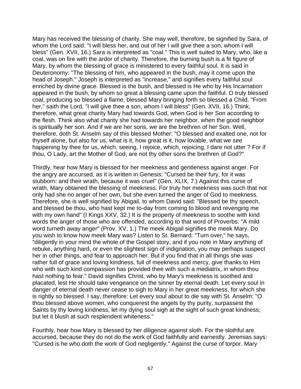Mary has received the blessing of charity. She may well, therefore, be signified by Sara, of whom the Lord said: "I will bless her, and out of her I will give thee a son, whom I will bless" (Gen. XVII, 16.) Sara is interpreted as "coal." This is well suited to Mary, who, like a coal, was on fire with the ardor of charity. Therefore, the burning bush is a fit figure of Mary, by whom the blessing of grace is ministered to every faithful soul. It is said in Deuteronomy: "The blessing of him, who appeared in the bush, may it come upon the head of Joseph." Joseph is interpreted as "increase," and signifies every faithful soul enriched by divine grace. Blessed is the bush, and blessed is He who by His Incarnation appeared in the bush, by whom so great a blessing came upon the faithful. O truly blessed coal, producing so blessed a flame, blessed Mary bringing forth so blessed a Child. "From her," saith the Lord, "I will give thee a son, whom I will bless" (Gen. XVII, 16.) Think, therefore, what great charity Mary had towards God, when God is her Son according to the flesh. Think also what charity she had towards her neighbor, when the good neighbor is spiritually her son. And if we are her sons, we are the brethren of her Son. Well, therefore, doth St. Anselm say of this blessed Mother: "O blessed and exalted one, not for thyself alone, but also for us, what is it, how great is it, how lovable, what we see happening by thee for us, which, seeing, I rejoice, which, rejoicing, I dare not utter ? For if thou, O Lady, art the Mother of God, are not thy other sons the brethren of God?"

Thirdly, hear how Mary is blessed for her meekness and gentleness against anger. For the angry are accursed, as it is written in Genesis: "Cursed be their fury, for it was stubborn: and their wrath, because it was cruel" (Gen. XLIX, 7.) Against this curse of wrath, Mary obtained the blessing of meekness. For truly her meekness was such that not only had she no anger of her own, but she even turned the anger of God to meekness. Therefore, she is well signified by Abigail, to whom David said: "Blessed be thy speech, and blessed be thou, who hast kept me to-day from coming to blood and revenging me with my own hand" (I Kings XXV, 32.) It is the property of meekness to soothe with kind words the anger of those who are offended, according to that word of Proverbs: "A mild word turneth away anger" (Prov. XV, 1.) The meek Abigail signifies the meek Mary. Do you wish to know how meek Mary was? Listen to St. Bernard: "Turn over," he says, "diligently in your mind the whole of the Gospel story, and if you note in Mary anything of rebuke, anything hard, or even the slightest sign of indignation, you may perhaps suspect her in other things, and fear to approach her. But if you find that in all things she was rather full of grace and loving kindness, full of meekness and mercy, give thanks to Him who with such kind compassion has provided thee with such a mediatrix, in whom thou hast nothing to fear." David signifies Christ, who by Mary's meekness is soothed and placated, lest He should take vengeance on the sinner by eternal death. Let every soul in danger of eternal death never cease to sigh to Mary in her great meekness, for which she is rightly so blessed. I say, therefore: Let every soul about to die say with St. Anselm: "O thou blessed above women, who conquerest the angels by thy purity, surpassest the Saints by thy loving kindness, let my dying soul sigh at the sight of such great kindness; but let it blush at such resplendent whiteness."

Fourthly, hear how Mary is blessed by her diligence against sloth. For the slothful are accursed, because they do not do the work of God faithfully and earnestly. Jeremias says: "Cursed is he who doth the work of God negligently." Against the curse of torpor, Mary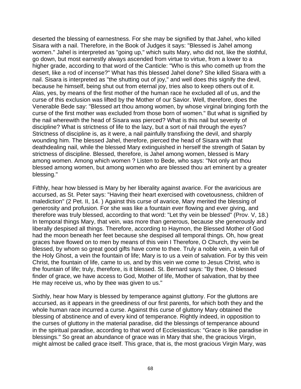deserted the blessing of earnestness. For she may be signified by that Jahel, who killed Sisara with a nail. Therefore, in the Book of Judges it says: "Blessed is Jahel among women." Jahel is interpreted as "going up," which suits Mary, who did not, like the slothful, go down, but most earnestly always ascended from virtue to virtue, from a lower to a higher grade, according to that word of the Canticle: "Who is this who cometh up from the desert, like a rod of incense?" What has this blessed Jahel done? She killed Sisara with a nail. Sisara is interpreted as "the shutting out of joy," and well does this signify the devil, because he himself, being shut out from eternal joy, tries also to keep others out of it. Alas, yes, by means of the first mother of the human race he excluded all of us, and the curse of this exclusion was lifted by the Mother of our Savior. Well, therefore, does the Venerable Bede say: "Blessed art thou among women, by whose virginal bringing forth the curse of the first mother was excluded from those born of women." But what is signified by the nail wherewith the head of Sisara was pierced? What is this nail but severity of discipline? What is strictness of life to the lazy, but a sort of nail through the eyes? Strictness of discipline is, as it were, a nail painfully transfixing the devil, and sharply wounding him. The blessed Jahel, therefore, pierced the head of Sisara with that deathdealing nail, while the blessed Mary extinguished in herself the strength of Satan by strictness of discipline. Blessed, therefore, is Jahel among women, blessed is Mary among women. Among which women ? Listen to Bede, who says: "Not only art thou blessed among women, but among women who are blessed thou art eminent by a greater blessing."

Fifthly, hear how blessed is Mary by her liberality against avarice. For the avaricious are accursed, as St. Peter says: "Having their heart exercised with covetousness, children of malediction" (2 Pet. II, 14. ) Against this curse of avarice, Mary merited the blessing of generosity and profusion. For she was like a fountain ever flowing and ever giving, and therefore was truly blessed, according to that word: "Let thy vein be blessed" (Prov. V, 18.) In temporal things Mary, that vein, was more than generous, because she generously and liberally despised all things. Therefore, according to Haymon, the Blessed Mother of God had the moon beneath her feet because she despised all temporal things. Oh, how great graces have flowed on to men by means of this vein I Therefore, O Church, thy vein be blessed, by whom so great good gifts have come to thee. Truly a noble vein, a vein full of the Holy Ghost, a vein the fountain of life; Mary is to us a vein of salvation. For by this vein Christ, the fountain of life, came to us, and by this vein we come to Jesus Christ, who is the fountain of life; truly, therefore, is it blessed. St. Bernard says: "By thee, O blessed finder of grace, we have access to God, Mother of life, Mother of salvation, that by thee He may receive us, who by thee was given to us."

Sixthly, hear how Mary is blessed by temperance against gluttony. For the gluttons are accursed, as it appears in the greediness of our first parents, for which both they and the whole human race incurred a curse. Against this curse of gluttony Mary obtained the blessing of abstinence and of every kind of temperance. Rightly indeed, in opposition to the curses of gluttony in the material paradise, did the blessings of temperance abound in the spiritual paradise, according to that word of Ecclesiasticus: "Grace is like paradise in blessings." So great an abundance of grace was in Mary that she, the gracious Virgin, might almost be called grace itself. This grace, that is, the most gracious Virgin Mary, was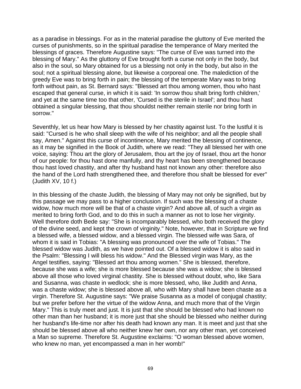as a paradise in blessings. For as in the material paradise the gluttony of Eve merited the curses of punishments, so in the spiritual paradise the temperance of Mary merited the blessings of graces. Therefore Augustine says: "The curse of Eve was turned into the blessing of Mary." As the gluttony of Eve brought forth a curse not only in the body, but also in the soul, so Mary obtained for us a blessing not only in the body, but also in the soul; not a spiritual blessing alone, but likewise a corporeal one. The malediction of the greedy Eve was to bring forth in pain; the blessing of the temperate Mary was to bring forth without pain, as St. Bernard says: "Blessed art thou among women, thou who hast escaped that general curse, in which it is said: 'In sorrow thou shalt bring forth children,' and yet at the same time too that other, 'Cursed is the sterile in Israel'; and thou hast obtained a singular blessing, that thou shouldst neither remain sterile nor bring forth in sorrow."

Seventhly, let us hear how Mary is blessed by her chastity against lust. To the lustful it is said: "Cursed is he who shall sleep with the wife of his neighbor; and all the people shall say, Amen." Against this curse of incontinence, Mary merited the blessing of continence, as it may be signified in the Book of Judith, where we read: "They all blessed her with one voice, saying: Thou art the glory of Jerusalem, thou art the joy of Israel, thou art the honor of our people: for thou hast done manfully, and thy heart has been strengthened because thou hast loved chastity, and after thy husband hast not known any other: therefore also the hand of the Lord hath strengthened thee, and therefore thou shalt be blessed for ever" (Judith XV, 10 f.)

In this blessing of the chaste Judith, the blessing of Mary may not only be signified, but by this passage we may pass to a higher conclusion. If such was the blessing of a chaste widow, how much more will be that of a chaste virgin? And above all, of such a virgin as merited to bring forth God, and to do this in such a manner as not to lose her virginity. Well therefore doth Bede say: "She is incomparably blessed, who both received the glory of the divine seed, and kept the crown of virginity." Note, however, that in Scripture we find a blessed wife, a blessed widow, and a blessed virgin. The blessed wife was Sara, of whom it is said in Tobias: "A blessing was pronounced over the wife of Tobias." The blessed widow was Judith, as we have pointed out. Of a blessed widow it is also said in the Psalm: "Blessing I will bless his widow." And the Blessed virgin was Mary, as the Angel testifies, saying: "Blessed art thou among women." She is blessed, therefore, because she was a wife; she is more blessed because she was a widow; she is blessed above all those who loved virginal chastity. She is blessed without doubt, who, like Sara and Susanna, was chaste in wedlock; she is more blessed, who, like Judith and Anna, was a chaste widow; she is blessed above all, who with Mary shall have been chaste as a virgin. Therefore St. Augustine says: "We praise Susanna as a model of conjugal chastity; but we prefer before her the virtue of the widow Anna, and much more that of the Virgin Mary." This is truly meet and just. It is just that she should be blessed who had known no other man than her husband; it is more just that she should be blessed who neither during her husband's life-time nor after his death had known any man. It is meet and just that she should be blessed above all who neither knew her own, nor any other man, yet conceived a Man so supreme. Therefore St. Augustine exclaims: "O woman blessed above women, who knew no man, yet encompassed a man in her womb!"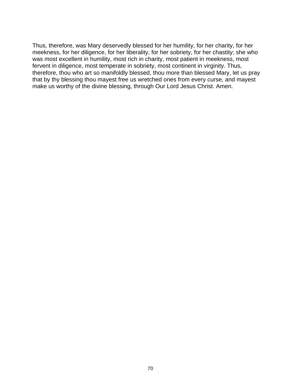Thus, therefore, was Mary deservedly blessed for her humility, for her charity, for her meekness, for her diligence, for her liberality, for her sobriety, for her chastity; she who was most excellent in humility, most rich in charity, most patient in meekness, most fervent in diligence, most temperate in sobriety, most continent in virginity. Thus, therefore, thou who art so manifoldly blessed, thou more than blessed Mary, let us pray that by thy blessing thou mayest free us wretched ones from every curse, and mayest make us worthy of the divine blessing, through Our Lord Jesus Christ. Amen.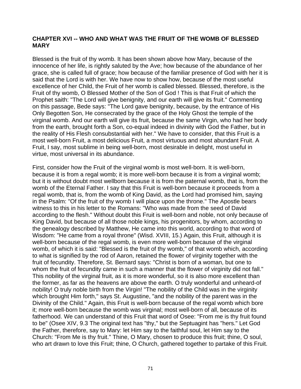#### **CHAPTER XVI -- WHO AND WHAT WAS THE FRUIT OF THE WOMB OF BLESSED MARY**

Blessed is the fruit of thy womb. It has been shown above how Mary, because of the innocence of her life, is rightly saluted by the Ave; how because of the abundance of her grace, she is called full of grace; how because of the familiar presence of God with her it is said that the Lord is with her. We have now to show how, because of the most useful excellence of her Child, the Fruit of her womb is called blessed. Blessed, therefore, is the Fruit of thy womb, O Blessed Mother of the Son of God ! This is that Fruit of which the Prophet saith: "The Lord will give benignity, and our earth will give its fruit." Commenting on this passage, Bede says: "The Lord gave benignity, because, by the entrance of His Only Begotten Son, He consecrated by the grace of the Holy Ghost the temple of the virginal womb. And our earth will give its fruit, because the same Virgin, who had her body from the earth, brought forth a Son, co-equal indeed in divinity with God the Father, but in the reality of His Flesh consubstantial with her." We have to consider, that this Fruit is a most well-born Fruit, a most delicious Fruit, a most virtuous and most abundant Fruit. A Fruit, I say, most sublime in being well-born, most desirable in delight, most useful in virtue, most universal in its abundance.

First, consider how the Fruit of the virginal womb is most well-born. It is well-born, because it is from a regal womb; it is more well-born because it is from a virginal womb; but it is without doubt most wellborn because it is from the paternal womb, that is, from the womb of the Eternal Father. I say that this Fruit is well-born because it proceeds from a regal womb, that is, from the womb of King David, as the Lord had promised him, saying in the Psalm: "Of the fruit of thy womb I will place upon the throne." The Apostle bears witness to this in his letter to the Romans: "Who was made from the seed of David according to the flesh." Without doubt this Fruit is well-born and noble, not only because of King David, but because of all those noble kings, his progenitors, by whom, according to the genealogy described by Matthew, He came into this world, according to that word of Wisdom: "He came from a royal throne" (Wisd. XVIII, 15.) Again, this Fruit, although it is well-born because of the regal womb, is even more well-born because of the virginal womb, of which it is said: "Blessed is the fruit of thy womb," of that womb which, according to what is signified by the rod of Aaron, retained the flower of virginity together with the fruit of fecundity. Therefore, St. Bernard says: "Christ is born of a woman, but one to whom the fruit of fecundity came in such a manner that the flower of virginity did not fall." This nobility of the virginal fruit, as it is more wonderful, so it is also more excellent than the former, as far as the heavens are above the earth. O truly wonderful and unheard-of nobility! O truly noble birth from the Virgin! "The nobility of the Child was in the virginity which brought Him forth," says St. Augustine, "and the nobility of the parent was in the Divinity of the Child." Again, this Fruit is well-born because of the regal womb which bore it; more well-born because the womb was virginal; most well-born of all, because of its fatherhood. We can understand of this Fruit that word of Osee: "From me is thy fruit found to be" (Osee XIV, 9.3 The original text has "thy," but the Septuagint has "hers." Let God the Father, therefore, say to Mary: let Him say to the faithful soul, let Him say to the Church: "From Me is thy fruit." Thine, O Mary, chosen to produce this fruit; thine, O soul, who art drawn to love this Fruit; thine, O Church, gathered together to partake of this Fruit.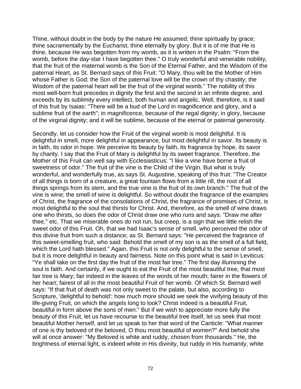Thine, without doubt in the body by the nature He assumed; thine spiritually by grace; thine sacramentally by the Eucharist; thine eternally by glory. But it is of me that He is thine, because He was begotten from my womb, as it is written in the Psalm: "From the womb, before the day-star I have begotten thee." O truly wonderful and venerable nobility, that the fruit of the maternal womb is the Son of the Eternal Father, and the Wisdom of the paternal Heart, as St. Bernard says of this Fruit: "O Mary, thou wilt be the Mother of Him whose Father is God; the Son of the paternal love will be the crown of thy chastity; the Wisdom of the paternal heart will be the fruit of the virginal womb." The nobility of this most well-born fruit precedes in dignity the first and the second in an infinite degree, and exceeds by its sublimity every intellect, both human and angelic. Well, therefore, is it said of this fruit by Isaias: "There will be a bud of the Lord in magnificence and glory, and a sublime fruit of the earth"; in magnificence, because of the regal dignity; in glory, because of the virginal dignity; and it will be sublime, because of the eternal or paternal generosity.

Secondly, let us consider how the Fruit of the virginal womb is most delightful. It is delightful in smell, more delightful in appearance, but most delightful in savor. Its beauty is in faith, its odor in hope. We perceive its beauty by faith, its fragrance by hope, its savor by charity. I say that the Fruit of Mary is delightful by its sweet fragrance. Therefore, the Mother of this Fruit can well say with Ecclesiasticus: "I like a vine have borne a fruit of sweetness of odor." The fruit of the vine is the Child of the Virgin. But what is truly wonderful, and wonderfully true, as says St. Augustine, speaking of this fruit: "The Creator of all things is born of a creature, a great fountain flows from a little rill, the root of all things springs from its stem, and the true vine is the fruit of its own branch." The fruit of the vine is wine; the smell of wine is delightful. So without doubt the fragrance of the examples of Christ, the fragrance of the consolations of Christ, the fragrance of promises of Christ, is most delightful to the soul that thirsts for Christ. And, therefore, as the smell of wine draws one who thirsts, so does the odor of Christ draw one who runs and says: "Draw me after thee," etc. That we miserable ones do not run, but creep, is a sign that we little relish the sweet odor of this Fruit. Oh, that we had Isaac's sense of smell, who perceived the odor of this divine fruit from such a distance; as St. Bernard says: "He perceived the fragrance of this sweet-smelling fruit, who said: Behold the smell of my son is as the smell of a full field, which the Lord hath blessed." Again, this Fruit is not only delightful to the sense of smell, but it is more delightful in beauty and fairness. Note on this point what is said in Leviticus: "Ye shall take on the first day the fruit of the most fair tree." The first day illumining the soul is faith. And certainly, if we ought to eat the Fruit of the most beautiful tree, that most fair tree is Mary; fair indeed in the leaves of the words of her mouth; fairer in the flowers of her heart; fairest of all in the most beautiful Fruit of her womb. Of which St. Bernard well says: "If that fruit of death was not only sweet to the palate, but also, according to Scripture, 'delightful to behold'; how much more should we seek the vivifying beauty of this life-giving Fruit, on which the angels long to look? Christ indeed is a beautiful Fruit, beautiful in form above the sons of men." But if we wish to appreciate more fully the beauty of this Fruit, let us have recourse to the beautiful tree itself, let us seek that most beautiful Mother herself, and let us speak to her that word of the Canticle: "What manner of one is thy beloved of the beloved, O thou most beautiful of women?" And behold she will at once answer: "My Beloved is white and ruddy, chosen from thousands." He, the brightness of eternal light, is indeed white in His divinity, but ruddy in His humanity, white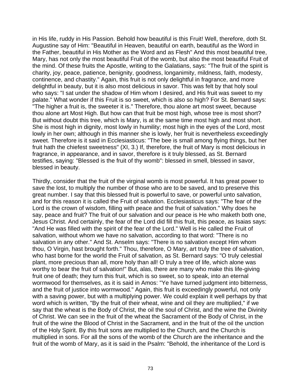in His life, ruddy in His Passion. Behold how beautiful is this Fruit! Well, therefore, doth St. Augustine say of Him: "Beautiful in Heaven, beautiful on earth, beautiful as the Word in the Father, beautiful in His Mother as the Word and as Flesh" And this most beautiful tree, Mary, has not only the most beautiful Fruit of the womb, but also the most beautiful Fruit of the mind. Of these fruits the Apostle, writing to the Galatians, says: "The fruit of the spirit is charity, joy, peace, patience, benignity, goodness, longanimity, mildness, faith, modesty, continence, and chastity." Again, this fruit is not only delightful in fragrance, and more delightful in beauty, but it is also most delicious in savor. This was felt by that holy soul who says: "I sat under the shadow of Him whom I desired, and His fruit was sweet to my palate." What wonder if this Fruit is so sweet, which is also so high? For St. Bernard says: "The higher a fruit is, the sweeter it is." Therefore, thou alone art most sweet, because thou alone art Most High. But how can that fruit be most high, whose tree is most short? But without doubt this tree, which is Mary, is at the same time most high and most short. She is most high in dignity, most lowly in humility; most high in the eyes of the Lord, most lowly in her own; although in this manner she is lowly, her fruit is nevertheless exceedingly sweet. Therefore is it said in Ecclesiasticus: "The bee is small among flying things, but her fruit hath the chiefest sweetness" (XI, 3.) If, therefore, the fruit of Mary is most delicious in fragrance, in appearance, and in savor, therefore is it truly blessed, as St. Bernard testifies, saying: "Blessed is the fruit of thy womb": blessed in smell, blessed in savor, blessed in beauty.

Thirdly, consider that the fruit of the virginal womb is most powerful. It has great power to save the lost, to multiply the number of those who are to be saved, and to preserve this great number. I say that this blessed fruit is powerful to save, or powerful unto salvation, and for this reason it is called the Fruit of salvation. Ecclesiasticus says: "The fear of the Lord is the crown of wisdom, filling with peace and the fruit of salvation." Why does he say, peace and fruit? The fruit of our salvation and our peace is He who maketh both one, Jesus Christ. And certainly, the fear of the Lord did fill this fruit, this peace, as Isaias says: "And He was filled with the spirit of the fear of the Lord." Well is He called the Fruit of salvation, without whom we have no salvation, according to that word: "There is no salvation in any other." And St. Anselm says: "There is no salvation except Him whom thou, O Virgin, hast brought forth." Thou, therefore, O Mary, art truly the tree of salvation, who hast borne for the world the Fruit of salvation, as St. Bernard says: "O truly celestial plant, more precious than all, more holy than all! O truly a tree of life, which alone was worthy to bear the fruit of salvation!" But, alas, there are many who make this life-giving fruit one of death; they turn this fruit, which is so sweet, so to speak, into an eternal wormwood for themselves, as it is said in Amos: "Ye have turned judgment into bitterness, and the fruit of justice into wormwood." Again, this fruit is exceedingly powerful, not only with a saving power, but with a multiplying power. We could explain it well perhaps by that word which is written, "By the fruit of their wheat, wine and oil they are multiplied," if we say that the wheat is the Body of Christ, the oil the soul of Christ, and the wine the Divinity of Christ. We can see in the fruit of the wheat the Sacrament of the Body of Christ, in the fruit of the wine the Blood of Christ in the Sacrament, and in the fruit of the oil the unction of the Holy Spirit. By this fruit sons are multiplied to the Church, and the Church is multiplied in sons. For all the sons of the womb of the Church are the inheritance and the fruit of the womb of Mary, as it is said in the Psalm: "Behold, the inheritance of the Lord is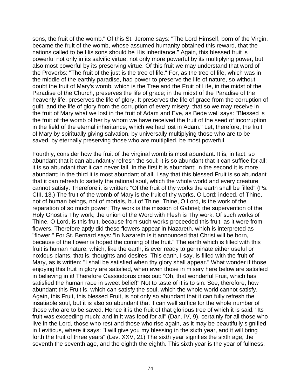sons, the fruit of the womb." Of this St. Jerome says: "The Lord Himself, born of the Virgin, became the fruit of the womb, whose assumed humanity obtained this reward, that the nations called to be His sons should be His inheritance." Again, this blessed fruit is powerful not only in its salvific virtue, not only more powerful by its multiplying power, but also most powerful by its preserving virtue. Of this fruit we may understand that word of the Proverbs: "The fruit of the just is the tree of life." For, as the tree of life, which was in the middle of the earthly paradise, had power to preserve the life of nature, so without doubt the fruit of Mary's womb, which is the Tree and the Fruit of Life, in the midst of the Paradise of the Church, preserves the life of grace; in the midst of the Paradise of the heavenly life, preserves the life of glory. It preserves the life of grace from the corruption of guilt, and the life of glory from the corruption of every misery, that so we may receive in the fruit of Mary what we lost in the fruit of Adam and Eve, as Bede well says: "Blessed is the fruit of the womb of her by whom we have received the fruit of the seed of incorruption in the field of the eternal inheritance, which we had lost in Adam." Let, therefore, the fruit of Mary by spiritually giving salvation, by universally multiplying those who are to be saved, by eternally preserving those who are multiplied, be most powerful.

Fourthly, consider how the fruit of the virginal womb is most abundant. It is, in fact, so abundant that it can abundantly refresh the soul; it is so abundant that it can suffice for all; it is so abundant that it can never fail. In the first it is abundant; in the second it is more abundant; in the third it is most abundant of all. I say that this blessed Fruit is so abundant that it can refresh to satiety the rational soul, which the whole world and every creature cannot satisfy. Therefore it is written: "Of the fruit of thy works the earth shall be filled" (Ps. CIII, 13.) The fruit of the womb of Mary is the fruit of thy works, O Lord: indeed, of Thine, not of human beings, not of mortals, but of Thine. Thine, O Lord, is the work of the reparation of so much power; Thy work is the mission of Gabriel; the supervention of the Holy Ghost is Thy work; the union of the Word with Flesh is Thy work. Of such works of Thine, O Lord, is this fruit, because from such works proceeded this fruit, as it were from flowers. Therefore aptly did these flowers appear in Nazareth, which is interpreted as "flower." For St. Bernard says: "In Nazareth is it announced that Christ will be born, because of the flower is hoped the coming of the fruit." The earth which is filled with this fruit is human nature, which, like the earth, is ever ready to germinate either useful or noxious plants, that is, thoughts and desires. This earth, I say, is filled with the fruit of Mary, as is written: "I shall be satisfied when thy glory shall appear." What wonder if those enjoying this fruit in glory are satisfied, when even those in misery here below are satisfied in believing in it! Therefore Cassiodorus cries out: "Oh, that wonderful Fruit, which has satisfied the human race in sweet belief!" Not to taste of it is to sin. See, therefore, how abundant this Fruit is, which can satisfy the soul, which the whole world cannot satisfy. Again, this Fruit, this blessed Fruit, is not only so abundant that it can fully refresh the insatiable soul, but it is also so abundant that it can well suffice for the whole number of those who are to be saved. Hence it is the fruit of that glorious tree of which it is said: "Its fruit was exceeding much; and in it was food for all" (Dan. IV, 9), certainly for all those who live in the Lord, those who rest and those who rise again, as it may be beautifully signified in Leviticus, where it says: "I will give you my blessing in the sixth year, and it will bring forth the fruit of three years" (Lev. XXV, 21) The sixth year signifies the sixth age, the seventh the seventh age, and the eighth the eighth. This sixth year is the year of fullness,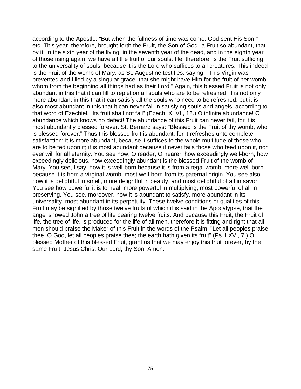according to the Apostle: "But when the fullness of time was come, God sent His Son," etc. This year, therefore, brought forth the Fruit, the Son of God--a Fruit so abundant, that by it, in the sixth year of the living, in the seventh year of the dead, and in the eighth year of those rising again, we have all the fruit of our souls. He, therefore, is the Fruit sufficing to the universality of souls, because it is the Lord who suffices to all creatures. This indeed is the Fruit of the womb of Mary, as St. Augustine testifies, saying: "This Virgin was prevented and filled by a singular grace, that she might have Him for the fruit of her womb, whom from the beginning all things had as their Lord." Again, this blessed Fruit is not only abundant in this that it can fill to repletion all souls who are to be refreshed; it is not only more abundant in this that it can satisfy all the souls who need to be refreshed; but it is also most abundant in this that it can never fail in satisfying souls and angels, according to that word of Ezechiel, "Its fruit shall not fail" (Ezech. XLVII, 12.) O infinite abundance! O abundance which knows no defect! The abundance of this Fruit can never fail, for it is most abundantly blessed forever. St. Bernard says: "Blessed is the Fruit of thy womb, who is blessed forever." Thus this blessed fruit is abundant, for it refreshes unto complete satisfaction; it is more abundant, because it suffices to the whole multitude of those who are to be fed upon it; it is most abundant because it never fails those who feed upon it, nor ever will for all eternity. You see now, O reader, O hearer, how exceedingly well-born, how exceedingly delicious, how exceedingly abundant is the blessed Fruit of the womb of Mary. You see, I say, how it is well-born because it is from a regal womb, more well-born because it is from a virginal womb, most well-born from its paternal origin. You see also how it is delightful in smell, more delightful in beauty, and most delightful of all in savor. You see how powerful it is to heal, more powerful in multiplying, most powerful of all in preserving. You see, moreover, how it is abundant to satisfy, more abundant in its universality, most abundant in its perpetuity. These twelve conditions or qualities of this Fruit may be signified by those twelve fruits of which it is said in the Apocalypse, that the angel showed John a tree of life bearing twelve fruits. And because this Fruit, the Fruit of life, the tree of life, is produced for the life of all men, therefore it is fitting and right that all men should praise the Maker of this Fruit in the words of the Psalm: "Let all peoples praise thee, O God, let all peoples praise thee; the earth hath given its fruit" (Ps. LXVI, 7.) O blessed Mother of this blessed Fruit, grant us that we may enjoy this fruit forever, by the same Fruit, Jesus Christ Our Lord, thy Son. Amen.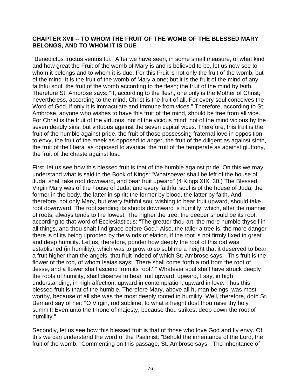## **CHAPTER XVII -- TO WHOM THE FRUIT OF THE WOMB OF THE BLESSED MARY BELONGS, AND TO WHOM IT IS DUE**

"Benedictus fructus ventris tui." After we have seen, in some small measure, of what kind and how great the Fruit of the womb of Mary is and is believed to be, let us now see to whom it belongs and to whom it is due. For this Fruit is not only the fruit of the womb, but of the mind. It is the fruit of the womb of Mary alone; but it is the fruit of the mind of any faithful soul; the fruit of the womb according to the flesh; the fruit of the mind by faith. Therefore St. Ambrose says: "If, according to the flesh, one only is the Mother of Christ; nevertheless, according to the mind, Christ is the fruit of all. For every soul conceives the Word of God, if only it is immaculate and immune from vices." Therefore, according to St. Ambrose, anyone who wishes to have this fruit of the mind, should be free from all vice. For Christ is the fruit of the virtuous, not of the vicious mind: not of the mind vicious by the seven deadly sins; but virtuous against the seven capital vices. Therefore, this fruit is the fruit of the humble against pride, the fruit of those possessing fraternal love in opposition to envy, the fruit of the meek as opposed to anger, the fruit of the diligent as against sloth, the fruit of the liberal as opposed to avarice, the fruit of the temperate as against gluttony, the fruit of the chaste against lust.

First, let us see how this blessed fruit is that of the humble against pride. On this we may understand what is said in the Book of Kings: "Whatsoever shall be left of the house of Juda, shall take root downward, and bear fruit upward" (4 Kings XIX, 30.) The Blessed Virgin Mary was of the house of Juda, and every faithful soul is of the house of Juda; the former in the body, the latter in spirit; the former by blood, the latter by faith. And, therefore, not only Mary, but every faithful soul wishing to bear fruit upward, should take root downward. The root sending its shoots downward is humility; which, after the manner of roots, always tends to the lowest. The higher the tree, the deeper should be its root, according to that word of Ecclesiasticus: "The greater thou art, the more humble thyself in all things, and thou shalt find grace before God." Also, the taller a tree is, the more danger there is of its being uprooted by the winds of elation, if the root is not firmly fixed in great and deep humility. Let us, therefore, ponder how deeply the root of this rod was established (in humility), which was to grow to so sublime a height that it deserved to bear a fruit higher than the angels, that fruit indeed of which St. Ambrose says: "This fruit is the flower of the rod, of whom Isaias says: 'There shall come forth a rod from the root of Jesse, and a flower shall ascend from its root.' " Whatever soul shall have struck deeply the roots of humility, shall deserve to bear fruit upward; upward, I say, in high understanding, in high affection; upward in contemplation, upward in love. Thus this blessed fruit is that of the humble. Therefore Mary, above all human beings, was most worthy, because of all she was the most deeply rooted in humility. Well, therefore, doth St. Bernard say of her: "O Virgin, rod sublime, to what a height dost thou raise thy holy summit! Even unto the throne of majesty, because thou strikest deep down the root of humility."

Secondly, let us see how this blessed fruit is that of those who love God and fly envy. Of this we can understand the word of the Psalmist: "Behold the inheritance of the Lord, the fruit of the womb." Commenting on this passage, St. Ambrose says: "The inheritance of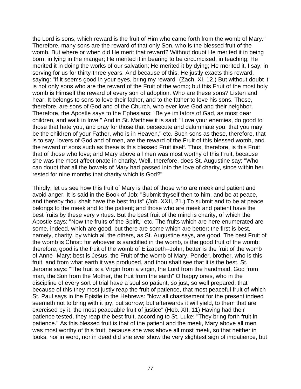the Lord is sons, which reward is the fruit of Him who came forth from the womb of Mary." Therefore, many sons are the reward of that only Son, who is the blessed fruit of the womb. But where or when did He merit that reward? Without doubt He merited it in being born, in lying in the manger; He merited it in bearing to be circumcised, in teaching; He merited it in doing the works of our salvation; He merited it by dying; He merited it, I say, in serving for us for thirty-three years. And because of this, He justly exacts this reward, saying: "If it seems good in your eyes, bring my reward" (Zach. XI, 12.) But without doubt it is not only sons who are the reward of the Fruit of the womb; but this Fruit of the most holy womb is Himself the reward of every son of adoption. Who are these sons? Listen and hear. It belongs to sons to love their father, and to the father to love his sons. Those, therefore, are sons of God and of the Church, who ever love God and their neighbor. Therefore, the Apostle says to the Ephesians: "Be ye imitators of Gad, as most dear children, and walk in love." And in St. Matthew it is said: "Love your enemies, do good to those that hate you, and pray for those that persecute and calumniate you, that you may be the children of your Father, who is in Heaven," etc. Such sons as these, therefore, that is to say, lovers of God and of men, are the reward of the Fruit of this blessed womb, and the reward of sons such as these is this blessed Fruit itself. Thus, therefore, is this Fruit that of those who love; and Mary above all men was most worthy of this Fruit, because she was the most affectionate in charity. Well, therefore, does St. Augustine say: "Who can doubt that all the bowels of Mary had passed into the love of charity, since within her rested for nine months that charity which is God?"

Thirdly, let us see how this fruit of Mary is that of those who are meek and patient and avoid anger. It is said in the Book of Job: "Submit thyself then to him, and be at peace, and thereby thou shalt have the best fruits" (Job. XXII, 21.) To submit and to be at peace belongs to the meek and to the patient; and those who are meek and patient have the best fruits by these very virtues. But the best fruit of the mind is charity, of which the Apostle says: "Now the fruits of the Spirit," etc. The fruits which are here enumerated are some, indeed, which are good, but there are some which are better; the first is best, namely, charity, by which all the others, as St. Augustine says, are good. The best Fruit of the womb is Christ: for whoever is sanctified in the womb, is the good fruit of the womb: therefore, good is the fruit of the womb of Elizabeth--John; better is the fruit of the womb of Anne--Mary; best is Jesus, the Fruit of the womb of Mary. Ponder, brother, who is this fruit, and from what earth it was produced, and thou shalt see that it is the best. St. Jerome says: "The fruit is a Virgin from a virgin, the Lord from the handmaid, God from man, the Son from the Mother, the fruit from the earth" O happy ones, who in the discipline of every sort of trial have a soul so patient, so just, so well prepared, that because of this they most justly reap the fruit of patience, that most peaceful fruit of which St. Paul says in the Epistle to the Hebrews: "Now all chastisement for the present indeed seemeth not to bring with it joy, but sorrow; but afterwards it will yield, to them that are exercised by it, the most peaceable fruit of justice" (Heb. XII, 11) Having had their patience tested, they reap the best fruit, according to St. Luke: "They bring forth fruit in patience." As this blessed fruit is that of the patient and the meek, Mary above all men was most worthy of this fruit, because she was above all most meek, so that neither in looks, nor in word, nor in deed did she ever show the very slightest sign of impatience, but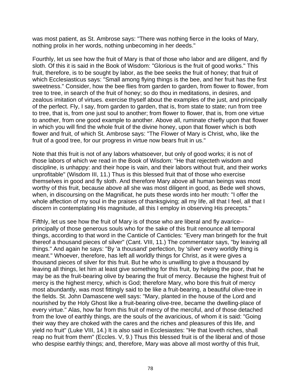was most patient, as St. Ambrose says: "There was nothing fierce in the looks of Mary, nothing prolix in her words, nothing unbecoming in her deeds."

Fourthly, let us see how the fruit of Mary is that of those who labor and are diligent, and fly sloth. Of this it is said in the Book of Wisdom: "Glorious is the fruit of good works." This fruit, therefore, is to be sought by labor, as the bee seeks the fruit of honey; that fruit of which Ecclesiasticus says: "Small among flying things is the bee, and her fruit has the first sweetness." Consider, how the bee flies from garden to garden, from flower to flower, from tree to tree, in search of the fruit of honey; so do thou in meditations, in desires, and zealous imitation of virtues. exercise thyself about the examples of the just, and principally of the perfect. Fly, I say, from garden to garden, that is, from state to state; run from tree to tree, that is, from one just soul to another; from flower to flower, that is, from one virtue to another, from one good example to another. Above all, ruminate chiefly upon that flower in which you will find the whole fruit of the divine honey, upon that flower which is both flower and fruit, of which St. Ambrose says: "The Flower of Mary is Christ, who, like the fruit of a good tree, for our progress in virtue now bears fruit in us."

Note that this fruit is not of any labors whatsoever, but only of good works; it is not of those labors of which we read in the Book of Wisdom: "He that rejecteth wisdom and discipline, is unhappy: and their hope is vain, and their labors without fruit, and their works unprofitable" (Wisdom III, 11.) Thus is this blessed fruit that of those who exercise themselves in good and fly sloth. And therefore Mary above all human beings was most worthy of this fruit, because above all she was most diligent in good, as Bede well shows, when, in discoursing on the Magnificat, he puts these words into her mouth: "I offer the whole affection of my soul in the praises of thanksgiving; all my life, all that I feel, all that I discern in contemplating His magnitude, all this I employ in observing His precepts."

Fifthly, let us see how the fruit of Mary is of those who are liberal and fly avarice- principally of those generous souls who for the sake of this fruit renounce all temporal things, according to that word in the Canticle of Canticles: "Every man bringeth for the fruit thereof a thousand pieces of silver" (Cant. VIII, 11.) The commentator says, "by leaving all things." And again he says: "By 'a thousand' perfection, by 'silver' every worldly thing is meant." Whoever, therefore, has left all worldly things for Christ, as it were gives a thousand pieces of silver for this fruit. But he who is unwilling to give a thousand by leaving all things, let him at least give something for this fruit, by helping the poor, that he may be as the fruit-bearing olive by bearing the fruit of mercy. Because the highest fruit of mercy is the highest mercy, which is God; therefore Mary, who bore this fruit of mercy most abundantly, was most fittingly said to be like a fruit-bearing, a beautiful olive-tree in the fields. St. John Damascene well says: "Mary, planted in the house of the Lord and nourished by the Holy Ghost like a fruit-bearing olive-tree, became the dwelling-place of every virtue." Alas, how far from this fruit of mercy of the merciful, and of those detached from the love of earthly things, are the souls of the avaricious, of whom it is said: "Going their way they are choked with the cares and the riches and pleasures of this life, and yield no fruit" (Luke VIII, 14.) It is also said in Ecclesiastes: "He that loveth riches, shall reap no fruit from them" (Eccles. V, 9.) Thus this blessed fruit is of the liberal and of those who despise earthly things; and, therefore, Mary was above all most worthy of this fruit,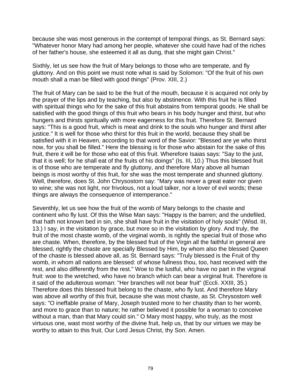because she was most generous in the contempt of temporal things, as St. Bernard says: "Whatever honor Mary had among her people, whatever she could have had of the riches of her father's house, she esteemed it all as dung, that she might gain Christ."

Sixthly, let us see how the fruit of Mary belongs to those who are temperate, and fly gluttony. And on this point we must note what is said by Solomon: "Of the fruit of his own mouth shall a man be filled with good things" (Prov. XIII, 2.)

The fruit of Mary can be said to be the fruit of the mouth, because it is acquired not only by the prayer of the lips and by teaching, but also by abstinence. With this fruit he is filled with spiritual things who for the sake of this fruit abstains from temporal goods. He shall be satisfied with the good things of this fruit who bears in his body hunger and thirst, but who hungers and thirsts spiritually with more eagerness for this fruit. Therefore St. Bernard says: "This is a good fruit, which is meat and drink to the souls who hunger and thirst after justice." It is well for those who thirst for this fruit in the world, because they shall be satisfied with it in Heaven, according to that word of the Savior: "Blessed are ye who thirst now, for you shall be filled." Here the blessing is for those who abstain for the sake of this fruit, there it will be for those who eat of this fruit. Wherefore Isaias says: "Say to the just, that it is well; for he shall eat of the fruits of his doings" (Is. III, 10.) Thus this blessed fruit is of those who are temperate and fly gluttony, and therefore Mary above all human beings is most worthy of this fruit, for she was the most temperate and shunned gluttony. Well, therefore, does St. John Chrysostom say: "Mary was never a great eater nor given to wine; she was not light, nor frivolous, not a loud talker, nor a lover of evil words; these things are always the consequence of intemperance."

Seventhly, let us see how the fruit of the womb of Mary belongs to the chaste and continent who fly lust. Of this the Wise Man says: "Happy is the barren; and the undefiled, that hath not known bed in sin, she shall have fruit in the visitation of holy souls" (Wisd. III, 13.) I say, in the visitation by grace, but more so in the visitation by glory. And truly, the fruit of the most chaste womb, of the virginal womb, is rightly the special fruit of those who are chaste. When, therefore, by the blessed fruit of the Virgin all the faithful in general are blessed, rightly the chaste are specially Blessed by Him, by whom also the blessed Queen of the chaste is blessed above all, as St. Bernard says: "Truly blessed is the Fruit of thy womb, in whom all nations are blessed: of whose fullness thou, too, hast received with the rest, and also differently from the rest." Woe to the lustful, who have no part in the virginal fruit: woe to the wretched, who have no branch which can bear a virginal fruit. Therefore is it said of the adulterous woman: "Her branches will not bear fruit" (Eccli. XXIII, 35.) Therefore does this blessed fruit belong to the chaste, who fly lust. And therefore Mary was above all worthy of this fruit, because she was most chaste, as St. Chrysostom well says: "O ineffable praise of Mary, Joseph trusted more to her chastity than to her womb, and more to grace than to nature; he rather believed it possible for a woman to conceive without a man, than that Mary could sin." O Mary most happy, who truly, as the most virtuous one, wast most worthy of the divine fruit, help us, that by our virtues we may be worthy to attain to this fruit, Our Lord Jesus Christ, thy Son. Amen.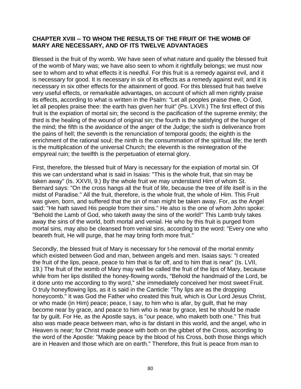## **CHAPTER XVIII -- TO WHOM THE RESULTS OF THE FRUIT OF THE WOMB OF MARY ARE NECESSARY, AND OF ITS TWELVE ADVANTAGES**

Blessed is the fruit of thy womb. We have seen of what nature and quality the blessed fruit of the womb of Mary was; we have also seen to whom it rightfully belongs; we must now see to whom and to what effects it is needful. For this fruit is a remedy against evil, and it is necessary for good. It is necessary in six of its effects as a remedy against evil; and it is necessary in six other effects for the attainment of good. For this blessed fruit has twelve very useful effects, or remarkable advantages, on account of which all men rightly praise its effects, according to what is written in the Psalm: "Let all peoples praise thee, O God, let all peoples praise thee: the earth has given her fruit" (Ps. LXVII.) The first effect of this fruit is the expiation of mortal sin; the second is the pacification of the supreme enmity; the third is the healing of the wound of original sin; the fourth is the satisfying of the hunger of the mind; the fifth is the avoidance of the anger of the Judge; the sixth is deliverance from the pains of hell; the seventh is the renunciation of temporal goods; the eighth is the enrichment of the rational soul; the ninth is the consummation of the spiritual life; the tenth is the multiplication of the universal Church; the eleventh is the reintegration of the empyreal ruin; the twelfth is the perpetuation of eternal glory.

First, therefore, the blessed fruit of Mary is necessary for the expiation of mortal sin. Of this we can understand what is said in Isaias: "This is the whole fruit, that sin may be taken away" (Is. XXVII, 9.) By the whole fruit we may understand Him of whom St. Bernard says: "On the cross hangs all the fruit of life, because the tree of life itself is in the midst of Paradise." All the fruit, therefore, is the whole fruit, the whole of Him. This Fruit was given, born, and suffered that the sin of man might be taken away. For, as the Angel said: "He hath saved His people from their sins." He also is the one of whom John spoke: "Behold the Lamb of God, who taketh away the sins of the world!" This Lamb truly takes away the sins of the world, both mortal and venial. He who by this fruit is purged from mortal sins, may also be cleansed from venial sins, according to the word: "Every one who beareth fruit, He will purge, that he may bring forth more fruit."

Secondly, the blessed fruit of Mary is necessary for t-he removal of the mortal enmity which existed between God and man, between angels and men. Isaias says: "I created the fruit of the lips, peace, peace to him that is far off, and to him that is near" (Is. LVII, 19.) The fruit of the womb of Mary may well be called the fruit of the lips of Mary, because while from her lips distilled the honey-flowing words, "Behold the handmaid of the Lord, be it done unto me according to thy word," she immediately conceived her most sweet Fruit. O truly honeyflowing lips, as it is said in the Canticle: "Thy lips are as the dropping honeycomb." It was God the Father who created this fruit, which is Our Lord Jesus Christ, or who made (in Him) peace; peace, I say, to him who is afar, by guilt, that he may become near by grace, and peace to him who is near by grace, lest he should be made far by guilt. For He, as the Apostle says, is "our peace, who maketh both one." This fruit also was made peace between man, who is far distant in this world, and the angel, who in Heaven is near; for Christ made peace with both on the gibbet of the Cross, according to the word of the Apostle: "Making peace by the blood of his Cross, both those things which are in Heaven and those which are on earth." Therefore, this fruit is peace from man to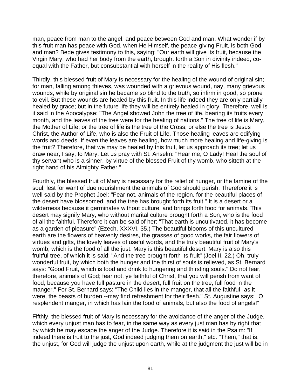man, peace from man to the angel, and peace between God and man. What wonder if by this fruit man has peace with God, when He Himself, the peace-giving Fruit, is both God and man? Bede gives testimony to this, saying: "Our earth will give its fruit, because the Virgin Mary, who had her body from the earth, brought forth a Son in divinity indeed, coequal with the Father, but consubstantial with herself in the reality of His flesh."

Thirdly, this blessed fruit of Mary is necessary for the healing of the wound of original sin; for man, falling among thieves, was wounded with a grievous wound, nay, many grievous wounds, while by original sin he became so blind to the truth, so infirm in good, so prone to evil. But these wounds are healed by this fruit. In this life indeed they are only partially healed by grace; but in the future life they will be entirely healed in glory. Therefore, well is it said in the Apocalypse: "The Angel showed John the tree of life, bearing its fruits every month, and the leaves of the tree were for the healing of nations." The tree of life is Mary, the Mother of Life; or the tree of life is the tree of the Cross; or else the tree is Jesus Christ, the Author of Life, who is also the Fruit of Life. Those healing leaves are edifying words and deeds. If even the leaves are healing, how much more healing and life-giving is the fruit? Therefore, that we may be healed by this fruit, let us approach its tree; let us draw near, I say, to Mary. Let us pray with St. Anselm: "Hear me, O Lady! Heal the soul of thy servant who is a sinner, by virtue of the blessed Fruit of thy womb, who sitteth at the right hand of his Almighty Father."

Fourthly, the blessed fruit of Mary is necessary for the relief of hunger, or the famine of the soul, lest for want of due nourishment the animals of God should perish. Therefore it is well said by the Prophet Joel: "Fear not, animals of the region, for the beautiful places of the desert have blossomed, and the tree has brought forth its fruit." It is a desert or a wilderness because it germinates without culture, and brings forth food for animals. This desert may signify Mary, who without marital culture brought forth a Son, who is the food of all the faithful. Therefore it can be said of her: "That earth is uncultivated, it has become as a garden of pleasure" (Ezech. XXXVI, 35.) The beautiful blooms of this uncultured earth are the flowers of heavenly desires, the grasses of good works, the fair flowers of virtues and gifts, the lovely leaves of useful words, and the truly beautiful fruit of Mary's womb, which is the food of all the just. Mary is this beautiful desert. Mary is also this fruitful tree, of which it is said: "And the tree brought forth its fruit" (Joel II, 22.) Oh, truly wonderful fruit, by which both the hunger and the thirst of souls is relieved, as St. Bernard says: "Good Fruit, which is food and drink to hungering and thirsting souls." Do not fear, therefore, animals of God; fear not, ye faithful of Christ, that you will perish from want of food, because you have full pasture in the desert, full fruit on the tree, full food in the manger." For St. Bernard says: "The Child lies in the manger, that all the faithful--as it were, the beasts of burden --may find refreshment for their flesh." St. Augustine says: "O resplendent manger, in which has lain the food of animals, but also the food of angels!"

Fifthly, the blessed fruit of Mary is necessary for the avoidance of the anger of the Judge, which every unjust man has to fear, in the same way as every just man has by right that by which he may escape the anger of the Judge. Therefore it is said in the Psalm: "If indeed there is fruit to the just, God indeed judging them on earth," etc. "Them," that is, the unjust, for God will judge the unjust upon earth, while at the judgment the just will be in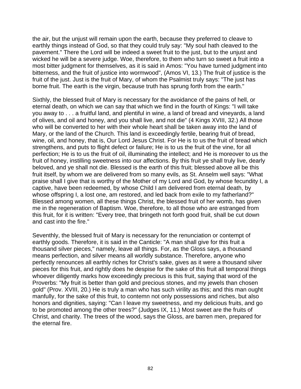the air, but the unjust will remain upon the earth, because they preferred to cleave to earthly things instead of God, so that they could truly say: "My soul hath cleaved to the pavement." There the Lord will be indeed a sweet fruit to the just, but to the unjust and wicked he will be a severe judge. Woe, therefore, to them who turn so sweet a fruit into a most bitter judgment for themselves, as it is said in Amos: "You have turned judgment into bitterness, and the fruit of justice into wormwood", (Amos VI, 13.) The fruit of justice is the fruit of the just. Just is the fruit of Mary, of whom the Psalmist truly says: "The just has borne fruit. The earth is the virgin, because truth has sprung forth from the earth."

Sixthly, the blessed fruit of Mary is necessary for the avoidance of the pains of hell, or eternal death, on which we can say that which we find in the fourth of Kings: "I will take you away to . . . a fruitful land, and plentiful in wine, a land of bread and vineyards, a land of olives, and oil and honey, and you shall live, and not die" (4 Kings XVIII, 32.) All those who will be converted to her with their whole heart shall be taken away into the land of Mary, or the land of the Church. This land is exceedingly fertile, bearing fruit of bread, wine, oil, and honey, that is, Our Lord Jesus Christ. For He is to us the fruit of bread which strengthens, and puts to flight defect or failure; He is to us the fruit of the vine, for all perfection; He is to us the fruit of oil, illuminating the intellect; and He is moreover to us the fruit of honey, instilling sweetness into our affections. By this fruit ye shall truly live, dearly beloved, and ye shall not die. Blessed is the earth of this fruit; blessed above all be this fruit itself, by whom we are delivered from so many evils, as St. Anselm well says: "What praise shall I give that is worthy of the Mother of my Lord and God, by whose fecundity I, a captive, have been redeemed, by whose Child I am delivered from eternal death, by whose offspring I, a lost one, am restored, and led back from exile to my fatherland?" Blessed among women, all these things Christ, the blessed fruit of her womb, has given me in the regeneration of Baptism. Woe, therefore, to all those who are estranged from this fruit, for it is written: "Every tree, that bringeth not forth good fruit, shall be cut down and cast into the fire."

Seventhly, the blessed fruit of Mary is necessary for the renunciation or contempt of earthly goods. Therefore, it is said in the Canticle: "A man shall give for this fruit a thousand silver pieces," namely, leave all things. For, as the Gloss says, a thousand means perfection, and silver means all worldly substance. Therefore, anyone who perfectly renounces all earthly riches for Christ's sake, gives as it were a thousand silver pieces for this fruit, and rightly does he despise for the sake of this fruit all temporal things whoever diligently marks how exceedingly precious is this fruit, saying that word of the Proverbs: "My fruit is better than gold and precious stones, and my jewels than chosen gold" (Prov. XVIII, 20.) He is truly a man who has such virility as this; and this man ought manfully, for the sake of this fruit, to contemn not only possessions and riches, but also honors and dignities, saying: "Can I leave my sweetness, and my delicious fruits, and go to be promoted among the other trees?" (Judges IX, 11.) Most sweet are the fruits of Christ, and charity. The trees of the wood, says the Gloss, are barren men, prepared for the eternal fire.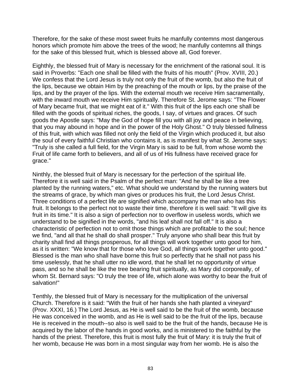Therefore, for the sake of these most sweet fruits he manfully contemns most dangerous honors which promote him above the trees of the wood; he manfully contemns all things for the sake of this blessed fruit, which is blessed above all, God forever.

Eighthly, the blessed fruit of Mary is necessary for the enrichment of the rational soul. It is said in Proverbs: "Each one shall be filled with the fruits of his mouth" (Prov. XVIII, 20.) We confess that the Lord Jesus is truly not only the fruit of the womb, but also the fruit of the lips, because we obtain Him by the preaching of the mouth or lips, by the praise of the lips, and by the prayer of the lips. With the external mouth we receive Him sacramentally, with the inward mouth we receive Him spiritually. Therefore St. Jerome says: "The Flower of Mary became fruit, that we might eat of it." With this fruit of the lips each one shall be filled with the goods of spiritual riches, the goods, I say, of virtues and graces. Of such goods the Apostle says: "May the God of hope fill you with all joy and peace in believing, that you may abound in hope and in the power of the Holy Ghost." O truly blessed fullness of this fruit, with which was filled not only the field of the Virgin which produced it, but also the soul of every faithful Christian who contains it, as is manifest by what St. Jerome says: "Truly is she called a full field, for the Virgin Mary is said to be full, from whose womb the Fruit of life came forth to believers, and all of us of His fullness have received grace for grace."

Ninthly, the blessed fruit of Mary is necessary for the perfection of the spiritual life. Therefore it is well said in the Psalm of the perfect man: "And he shall be like a tree planted by the running waters," etc. What should we understand by the running waters but the streams of grace, by which man gives or produces his fruit, the Lord Jesus Christ. Three conditions of a perfect life are signified which accompany the man who has this fruit. It belongs to the perfect not to waste their time, therefore it is well said: "It will give its fruit in its time." It is also a sign of perfection nor to overflow in useless words, which we understand to be signified in the words, "and his leaf shall not fall off." It is also a characteristic of perfection not to omit those things which are profitable to the soul; hence we find, "and all that he shall do shall prosper." Truly anyone who shall bear this fruit by charity shall find all things prosperous, for all things will work together unto good for him, as it is written: "We know that for those who love God, all things work together unto good." Blessed is the man who shall have borne this fruit so perfectly that he shall not pass his time uselessly, that he shall utter no idle word, that he shall let no opportunity of virtue pass, and so he shall be like the tree bearing fruit spiritually, as Mary did corporeally, of whom St. Bernard says: "O truly the tree of life, which alone was worthy to bear the fruit of salvation!"

Tenthly, the blessed fruit of Mary is necessary for the multiplication of the universal Church. Therefore is it said: "With the fruit of her hands she hath planted a vineyard" (Prov. XXXI, 16.) The Lord Jesus, as He is well said to be the fruit of the womb, because He was conceived in the womb, and as He is well said to be the fruit of the lips, because He is received in the mouth--so also is well said to be the fruit of the hands, because He is acquired by the labor of the hands in good works, and is ministered to the faithful by the hands of the priest. Therefore, this fruit is most fully the fruit of Mary: it is truly the fruit of her womb, because He was born in a most singular way from her womb. He is also the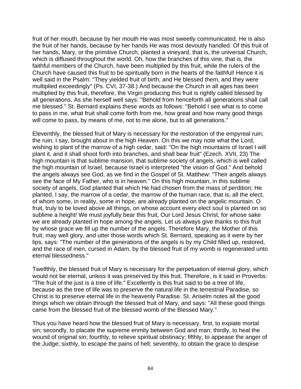fruit of her mouth, because by her mouth He was most sweetly communicated. He is also the fruit of her hands, because by her hands He was most devoutly handled. Of this fruit of her hands, Mary, or the primitive Church, planted a vineyard, that is, the universal Church, which is diffused throughout the world. Oh, how the branches of this vine, that is, the faithful members of the Church, have been multiplied by this fruit, while the rulers of the Church have caused this fruit to be spiritually born in the hearts of the faithful! Hence it is well said in the Psalm: "They yielded fruit of birth, and He blessed them, and they were multiplied exceedingly" (Ps. CVI, 37-38.) And because the Church in all ages has been multiplied by this fruit, therefore, the Virgin producing this fruit is rightly called blessed by all generations. As she herself well says: "Behold from henceforth all generations shall call me blessed." St. Bernard explains these words as follows: "Behold I see what is to come to pass in me, what fruit shall come forth from me, how great and how many good things will come to pass, by means of me, not to me alone, but to all generations."

Eleventhly, the blessed fruit of Mary is necessary for the restoration of the empyreal ruin, the ruin, I say, brought about in the high Heaven. On this we may note what the Lord, wishing to plant of the marrow of a high cedar, said: "On the high mountains of Israel I will plant it, and it shall shoot forth into branches, and shall bear fruit" (Ezech. XVII, 23) The high mountain is that sublime mansion, that sublime society of angels, which is well called the high mountain of Israel, because Israel is interpreted "the vision of God." And behold the angels always see God, as we find in the Gospel of St. Matthew: "Their angels always see the face of My Father, who is in heaven." On this high mountain, in this sublime society of angels, God planted that which He had chosen from the mass of perdition; He planted, I say, the marrow of a cedar, the marrow of the human race, that is, all the elect, of whom some, in reality, some in hope, are already planted on the angelic mountain. O fruit, truly to be loved above all things, on whose account every elect soul is planted on so sublime a height! We must joyfully bear this fruit, Our Lord Jesus Christ, for whose sake we are already planted in hope among the angels. Let us always give thanks to this fruit by whose grace we fill up the number of the angels. Therefore Mary, the Mother of this fruit, may well glory, and utter those words which St. Bernard, speaking as it were by her lips, says: "The number of the generations of the angels is by my Child filled up, restored, and the race of men, cursed in Adam, by the blessed fruit of my womb is regenerated unto eternal blessedness."

Twelfthly, the blessed fruit of Mary is necessary for the perpetuation of eternal glory, which would not be eternal, unless it was preserved by this fruit. Therefore, is it said in Proverbs: "The fruit of the just is a tree of life." Excellently is this fruit said to be a tree of life, because as the tree of life was to preserve the natural life in the terrestrial Paradise, so Christ is to preserve eternal life in the heavenly Paradise. St. Anselm notes all the good things which we obtain through the blessed fruit of Mary, and says: "All these good things came from the blessed fruit of the blessed womb of the Blessed Mary."

Thus you have heard how the blessed fruit of Mary is necessary, first, to expiate mortal sin; secondly, to placate the supreme enmity between God and man; thirdly, to heal the wound of original sin; fourthly, to relieve spiritual obstinacy; fifthly, to appease the anger of the Judge; sixthly, to escape the pains of hell; seventhly, to obtain the grace to despise